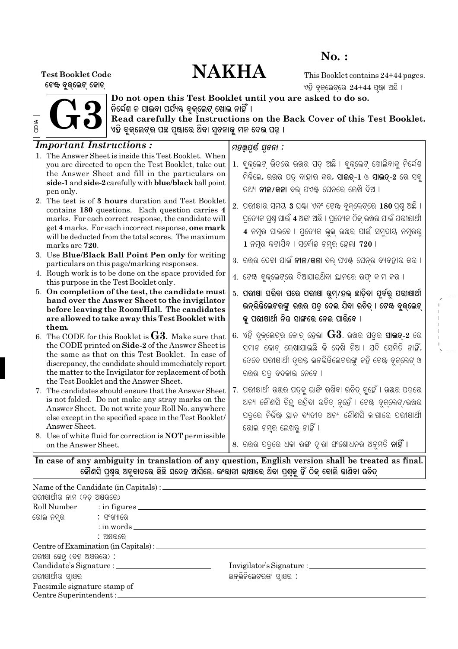## $No.$ :

# **NAKHA**

**Test Booklet Code** ଟେଖ ବୁଜ୍ଲେଟ୍ ଜୋତ୍

This Booklet contains 24+44 pages. ଏହି ବ୍କଲେଟରେ  $24 + 44$  ପ଼ଝା ଅଛି ।



Do not open this Test Booklet until you are asked to do so. ନିର୍ଦ୍ଦେଶ ନ ପାଇବା ପର୍ଯ୍ୟନ୍ତ ବୁକ୍ଲେଟ୍ ଖୋଲ ନାହିଁ ।

Read carefully the Instructions on the Back Cover of this Test Booklet. ଏହି ବୃଜ୍ଲେଟ୍ର ପଛ ପୂଷାରେ ଥିବା ସୂଚନାକୁ ମନ ଦେଇ ପଢ଼ ।

#### **Important Instructions:** ମହର୍ଯ୍ୟ ସଚନା : 1. The Answer Sheet is inside this Test Booklet. When 1. ବ୍କଲେଟ ଭିତରେ ଉତ୍ତର ପତ୍ ଅଛି । ବ୍କଲେଟ ଖୋଲିବାକୁ ନିର୍ଦ୍ଦେଶ you are directed to open the Test Booklet, take out the Answer Sheet and fill in the particulars on ମିଳିଲେ, ଉତ୍ତର ପତ୍ର ବାହାର କର, **ସାଇତ୍-1** ଓ **ସାଇତ୍-2** ରେ ସବୁ side-1 and side-2 carefully with blue/black ball point ତଥ୍ୟ **ନୀଳ/କଳା** ବଲ୍ ପଏ<del>ଣ୍ଟ</del> ପେନରେ ଲେଖି ଦିଅ । pen only. 2. The test is of 3 hours duration and Test Booklet  $2.$  ପରୀକ୍ଷାର ସମୟ  $3$  ଘ଼ିଖା ଏବଂ ଟେ଼ିଖ ବୁକଲେଟ୍ରେ  $180$  ପ଼ଶୁ ଅଛି । contains 180 questions. Each question carries 4 ପ୍ତେ୍ୟକ ପଶୁ ପାଇଁ 4 ଅଙ୍କ ଅଛି । ପ୍ତେ୍ୟକ ଠିକ ଉତ୍ତର ପାଇଁ ପରୀଷାର୍ଥୀ marks. For each correct response, the candidate will get 4 marks. For each incorrect response, one mark 4 ନମ୍ର ପାଇବେ । ପ୍ତେ୍ୟକ ଭ୍ଲ ଉତ୍ତର ପାଇଁ ସମ୍ଦାୟ ନମ୍ରର୍ will be deducted from the total scores. The maximum  $1$  ନମୂର କଟାଯିବ । ସର୍ବୋଚ୍ଚ ନମୂର ହେଲା 720 । marks are 720. 3. Use Blue/Black Ball Point Pen only for writing 3. ଉଉର ଦେବା ପାଇଁ **ନୀଳ/କଳା** ବଲ୍ ପଏ଼ି ପେନ୍ର ବ୍ୟବହାର କର । particulars on this page/marking responses. 4. Rough work is to be done on the space provided for 4. ଟେଖ ବୁକଲେଟରେ ଦିଆଯାଇଥିବା ୟାନରେ ରଫ୍ କାମ କର । this purpose in the Test Booklet only. 5. On completion of the test, the candidate must 5. ପରୀଷା ସରିବା ପରେ ପରୀଷା ରମ/ହଲ ଛାଡିବା ପର୍ବର ପରୀଷାର୍ଥୀ hand over the Answer Sheet to the invigilator ଇନ୍ଭିଜିଲେଟରଙ୍କୁ ଉତ୍ତର ପତ୍ ଦେଇ ଯିବା ଉଚିତ୍ । ଟେଖ୍ ବୁକ୍ଲେଟ୍ before leaving the Room/Hall. The candidates କ ପରୀଷାର୍ଥୀ ନିଜ ସାଙ୍ଗରେ ନେଇ ପାରିବେ । are allowed to take away this Test Booklet with them.  $\,$  . ଏହି ବ୍କଲେଟର କୋଡ ହେଲା  ${\bf G3}$ . ଉତ୍ତର ପତ୍ର ସା**ଇଡ**-2 ରେ 6. The CODE for this Booklet is  $G3$ . Make sure that the CODE printed on Side-2 of the Answer Sheet is ସମାନ କୋଡ ଲେଖାଯାଇଛି କି ଦେଖି ନିଅ । ଯଦି ସେମିତି ନାହିଁ, the same as that on this Test Booklet. In case of ତେବେ ପରୀକ୍ଷାର୍ଥୀ ତ୍ରନ୍ତ ଇନଭିଜିଲେଟରଙ୍କୁ କହି ଟେଝ ବ୍କଲେଟ ଓ discrepancy, the candidate should immediately report the matter to the Invigilator for replacement of both ଉତ୍ତର ପତ୍ ବଦଳାଇ ନେବେ । the Test Booklet and the Answer Sheet. 7. ପରୀଷାର୍ଥୀ ଉତ୍ତର ପତକ ଭାଙ୍ଗି ରଖିବା ଉଚିତ ନହେଁ । ଉତ୍ତର ପତରେ 7. The candidates should ensure that the Answer Sheet is not folded. Do not make any stray marks on the ଅନ୍ୟ କୌଣସି ଚିନ୍ଦୁ ରହିବା ଉଚିତ ନୁହେଁ । ଟେଖ୍ ବୁକଲେଟ/ଉଉର Answer Sheet. Do not write your Roll No. anywhere ପତରେ ନିର୍ଦ୍ଦିଷ୍ଟ ସ୍ଥାନ ବ୍ୟତୀତ ଅନ୍ୟ କୌଣସି ଜାଗାରେ ପରୀକ୍ଷାର୍ଥୀ else except in the specified space in the Test Booklet/ ରୋଲ ନମ୍ବ ଲେଖକୁ ନାହିଁ । Answer Sheet. 8. Use of white fluid for correction is **NOT** permissible 8. ଉତ୍ତର ପତ୍ରରେ ଧଳା ରଙ୍ଗ ଦ୍ୱାରା ସଂଶୋଧନର ଅନୁମତି **ନାହିଁ ।** on the Answer Sheet. In case of any ambiguity in translation of any question, English version shall be treated as final. କୌଣସି ପ୍ଶୂର ଅନୃବାଦରେ କିଛି ସନ୍ଦେହ ଆସିଲେ, ଇଂରାଜୀ ଭାଷାରେ ଥିବା ପ୍ଶୂକୁ ହିଁ ଠିକ୍ ବୋଲି ଜାଣିବା ଉଚିତ୍

| ପରୀକ୍ଷାର୍ଥୀର ନାମ (ବଡ଼ ଅକ୍ଷରରେ)    |                                             |                          |
|-----------------------------------|---------------------------------------------|--------------------------|
|                                   | Roll Number : in figures                    |                          |
| ରୋଲ ନମ୍ବର              : ସଂଖ୍ୟାରେ |                                             |                          |
|                                   | $:$ in words $\_\_\_\_\_\_\_\_\_\_\_\_\_\_$ |                          |
|                                   | : ଅକ୍ଷରରେ                                   |                          |
|                                   |                                             |                          |
| ପରୀକ୍ଷା କେନ୍ଦ୍ (ବଡ଼ ଅକ୍ଷରରେ) :    |                                             |                          |
|                                   |                                             |                          |
| ପରୀକ୍ଷାର୍ଥୀର ସ୍ୱାକ୍ଷର             |                                             | ଇନଭିଜିଲେଟରଙ୍କ ସ୍ୱାକ୍ଷର : |
| Facsimile signature stamp of      |                                             |                          |
|                                   | Centre Superintendent :                     |                          |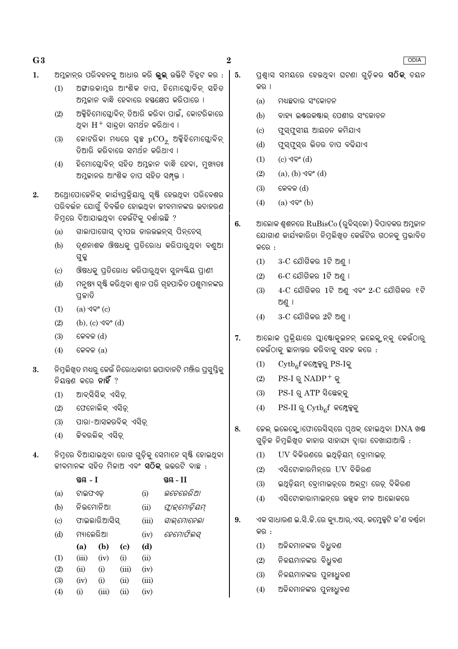$\bf{2}$ 

- $\mathbf{1}$ . ଅମ୍ଳକାନ୍ର ପରିବହନକ୍ ଆଧାର କରି **ଭ୍ଲ** ଉକ୍ତିଟି ଚିହ୍ଟ କର :  $\vert 5.$ 
	- ଅଙ୍ଗାରକାମୁର ଆଂଶିକ ଚାପ, ହିମୋଗ୍ଲୋବିନ୍ ସହିତ  $(1)$ ଅମ୍ଳକାନ ବାନ୍ଧି ହେବାରେ ହସ୍ତକ୍ଷେପ କରିପାରେ ।
	- $(2)$ ଅକ୍ସିହିମୋଘ୍ଲୋବିନ୍ ତିଆରି କରିବା ପାଇଁ, କୋଟରିକାରେ ଥବା  $\rm H^+$  ସାହତା ସମର୍ଥନ କରିଥାଏ ।
	- $(3)$ କୋଟରିକା ମଧ୍ୟରେ ସ୍ୱଳ୍ପ pCO<sub>2</sub> ଅକ୍ସିହିମୋଗ୍ଲୋବିନ୍ ତିଆରି କରିବାରେ ସମର୍ଥନ କରିଥାଏ ।
	- ହିମୋଗ୍ଳୋବିନ୍ ସହିତ ଅମ୍ଳକାନ ବାନ୍ଧି ହେବା, ମୁଖ୍ୟତଃ  $(4)$ ଅମ୍ଳକାନର ଆଂଶିକ ଚାପ ସହିତ ସମ୍ପୃକ୍ତ ।
- ଅଥ୍ରୋପୋକେନିକ୍ କାର୍ଯ୍ୟପ୍ରକ୍ରିୟାରୁ ସ୍ୟି ହେଉଥିବା ପରିବେଶର  $2.$ ପରିବର୍ତ୍ତନ ଯୋଗୁଁ ବିବର୍ତ୍ତିତ ହୋଇଥିବା ଜୀବମାନଙ୍କର ଉଦାହରଣ ନିମରେ ଦିଆଯାଇଥିବା କେଉଁଟିକ୍ ଦର୍ଶାଉଛି ?
	- ଗାଲାପାଗୋସ୍ ଦ୍ୱୀପର ଡାରଉଇନ୍ସ୍ ପିନ୍ଚେସ୍  $(a)$
	- ତ୍ଣନାଶକ ଔଷଧକୁ ପ୍ତିରୋଧ କରିପାରୁଥିବା ବଣ୍ରଆ  $(h)$ ଗ୍ରକ୍
	- ଔଷଧକୁ ପ୍ରତିରୋଧ କରିପାରୁଥିବା ସୁନ୍ୟୟିୟ ପ୍ରାଣୀ  $(c)$
	- ମନ୍ଷ୍ୟ ସଷ୍ଟି କରିଥବା ଶାନ ପରି ଗହପାଳିତ ପଶ୍ଚମାନଙ୍କର  $(d)$ ପ୍ରକାତି
	- $(1)$ (a) ଏବଂ (c)
	- $(2)$  $(b)$ ,  $(c)$   $\sqrt{9}$ ° $(d)$
	- $(3)$ କେବଳ (d)
	- $(4)$ କେବଳ  $(a)$
- ନିମୁଲିଖୁତ ମଧ୍ୟର କେଉଁ ନିରୋଧକାରୀ ଉପାଦାନଟି ମଞ୍ଜିର ପ୍ରସ୍ପିକ୍ 3. ନିୟନ୍ତ କରେ **ନାହିଁ** ?
	- ଆବ୍ସିସିକ୍ ଏସିଡ୍  $(1)$
	- $(2)$ ଫେନୋଲିକ୍ ଏସିଡ଼୍
	- $(3)$ ପାରା-ଆସକରବିକ୍ ଏସିଡ୍
	- $(4)$ ଜିବରଲିକ୍ ଏସିଡ୍

 $a \overline{a}$  T

ନିମ୍ନରେ ଦିଆଯାଇଥିବା ରୋଗ ଗଡ଼ିକ ସେମାନେ ସ୍ଷ୍ଟି ହୋଇଥିବା  $\overline{4}$ . ଜୀବମାନଙ୍କ ସହିତ ମିଳାଅ ଏବଂ **ସଠିକ୍** ଉତ୍ତରଟି ବାଛ :

 $a\alpha$  II

|                           | 2012 - L  |              |                            |       | 3012 - II      |
|---------------------------|-----------|--------------|----------------------------|-------|----------------|
| (a)                       | ଟାଇଫଏଡ଼   |              |                            | (i)   | ଭଚେରେରିଆ       |
| (b)                       |           | ନିଭମୋନିଆ     |                            | (ii)  | ପ୍ଲାକ୍ଟୋଡ଼ିୟମ୍ |
| $\left( \text{c} \right)$ |           | ଫାଇଲାରିଆସିସ୍ |                            | (iii) | ସାଲ୍ମୋନେଲା     |
| (d)                       | ମ୍ୟାଲେରିଆ |              |                            | (iv)  | ହେମୋଫିଲସ୍      |
|                           | (a)       | (b)          | $\left( \mathrm{e}\right)$ | (d)   |                |
| (1)                       | (iii)     | (iv)         | (i)                        | (ii)  |                |
| (2)                       | (ii)      | (i)          | (iii)                      | (iv)  |                |
| (3)                       | (iv)      | (i)          | (ii)                       | (iii) |                |
| (4)                       | (i)       | (iii)        | (ii)                       | (iv)  |                |

- ପଶାସ ସମୟରେ ହେଉଥବା ଘଟଣା ଗଡ଼ିକର **ସଠିକ୍** ଚୟନ କର ।
- ମଧ୍ୟଛଦାର ସଂକୋଚନ  $(a)$
- $(b)$ ବାହ୍ୟ ଇଷ୍ଟରକଷ୍ଟାଲ୍ ପେଶୀର ସଂକୋଚନ
- $\left( \mathrm{c}\right)$ ଫୁସ୍ଫୁସୀୟ ଆୟତନ କମିଯାଏ
- ଫୁସ୍ଫୁସ୍ର ଭିତର ଚାପ ବଢିଯାଏ  $(d)$
- (c) ଏବଂ (d)  $(1)$
- $(2)$  $(a), (b)$   $\sqrt{Q}$ °  $(d)$
- $(3)$ କେବଳ (d)
- $(a)$   $\sqrt{ }$ <sup>o</sup> $(b)$  $(4)$
- ଆଲୋକ ଶ୍ୱଶନରେ  $\mathrm{RuBisCo}\left(\right.$ ରୁବିସ୍କୋ) ବିପାଚକର ଅମ୍ଳକାନ  $6.$ ଯୋଗାଣ କାର୍ଯ୍ୟକାରିତା ନିମୁଲିଖୁତ କେଉଁଟିର ଗଠନକ୍ ପ୍ରଭାବିତ କରେ :
	- $3$ - $C$  ଯୌଗିକର 1ଟି ଅଣ ।  $(1)$
	- 6-C ଯୌଗିକର 1ଟି ଅଣ ।  $(2)$
	- $4-C$  ଯୌଗିକର  $1$ ଟି ଅଣୁ ଏବଂ  $2-C$  ଯୌଗିକର ୧ଟି  $(3)$ ଅଣୁ ।
	- $3-C$  ଯୌଗିକର  $2$ ଟି ଅଣ୍ ।  $(4)$
- 7. ଆଲୋକ ପ୍ରକ୍ରିୟାରେ ପ୍ଲାଷ୍ଟୋକୁଇନନ୍ ଇଲେକ୍ଯନ୍କୁ କେଉଁଠାରୁ କେଉଁଠାକୁ ସ୍ଥାନାନ୍ତର କରିବାକୁ ସହଜ କରେ :
	- $\mathrm{Cytb}_{6}$ f କମ୍ପେକ୍ସରୁ PS-Iକୁ  $(1)$
	- $(2)$  $PS-I \otimes NADP^+ \otimes$
	- $(3)$ PS-I ରୁ ATP ସିଛେକ୍କୁ
	- $PS-II \, \mathbb{Q}$  Cytb $_{6}f$  କମ୍ଳେକକୁ  $(4)$
- କେଲ୍ ଇଲେକ୍ଟ୍ରୋଫୋରେସିସ୍ରେ ପୃଥକ୍ ହୋଇଥିବା DNA ଖଣ୍ଡ 8. ଗୁଡ଼ିକ ନିମୁଲିଖିତ କାହାର ସାହାଯ୍ୟ ଦ୍ୱାରା ଦେଖାଯାଆନ୍ତି :
	- UV ବିକିରଣରେ ଇଥିଡ଼ିୟମ୍ ବୋମାଇଡ଼୍  $(1)$
	- ଏସିଟୋକାରମିନ୍ରେ UV ବିକିରଣ  $(2)$
	- $(3)$ ଇଥିଡ଼ିୟମ୍ ବୋମାଇଡ଼୍ରେ ଅଲ୍ଟା ରେଡ଼୍ ବିକିରଣ
	- ଏସିଟୋକାରାମାଇନ୍ରେ ଉଜ୍ଜଳ ନୀଳ ଆଲୋକରେ  $(4)$
- ଏକ ସାଧାରଣ ଇ.ସି.କି.ରେ କ୍ୟୁ.ଆର୍.ଏସ୍. କମ୍ଳେକ୍ସଟି କ'ଣ ବର୍ଷନା 9. କର :
	- ଅଳିନ୍ଦମାନଙ୍କର ବିଧୁବଣ  $(1)$
	- ନିଳୟମାନଙ୍କର ବିଧ୍ରବଣ  $(2)$
	- $(3)$ ନିଳୟମାନଙ୍କର ପ୍ରନଃଧିବଣ
	- ଅଳିନ୍ଦମାନଙ୍କର ପୁନଃଧୁବଣ  $(4)$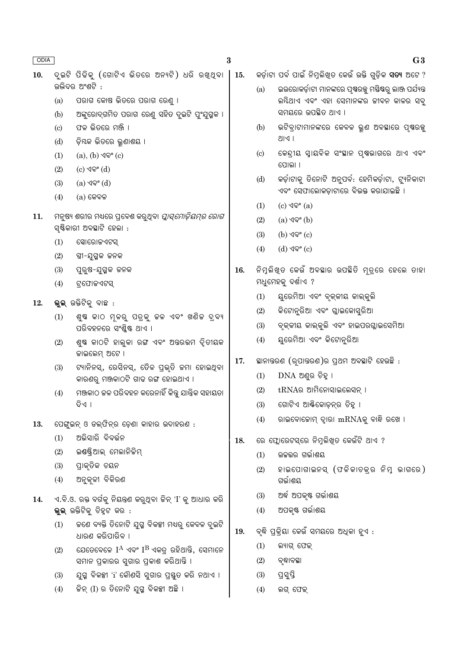$\bf{3}$ 

- ଦ୍ଇଟି ପିଢିକ (ଗୋଟିଏ ଭିତରେ ଅନ୍ୟଟି) ଧରି ରଖ୍ଥବା <mark>| 15.</mark>  $10.$ ଉଭିଦର ଅଂଶଟି :
	- ପରାଗ କୋଷ ଭିତରେ ପରାଗ ରେଣୁ ।  $(a)$
	- ଅଙ୍କରୋଦ୍ଗମିତ ପରାଗ ରେଣୁ ସହିତ ଦୁଇଟି ପ୍ରଂଯୁଗ୍ମକ ।  $(b)$
	- ଫଳ ଭିତରେ ମଞ୍ଜି ।  $(c)$
	- ଡ଼ିୟକ ଭିତରେ ଭୁଣାଶୟ ।  $(d)$
	- $(1)$ (a),  $(b)$  ଏବଂ  $(c)$
	- $(c)$  ଏବଂ  $(d)$  $(2)$
	- $(3)$ (a) ଏବଂ (d)
	- $(4)$  $(a)$  କେବଳ
- 11. ମନୁଷ୍ୟ ଶରୀର ମଧ୍ୟରେ ପ୍ରବେଶ କରୁଥିବା *ପ୍ଲାସ୍ମୋଡ଼ିୟମ୍ର ରୋଗ* ସ୍ଷିକାରୀ ଅବସ୍ଥାଟି ହେଲା :
	- $(1)$ ସୋରୋଜଏଟସ୍
	- $(2)$ ସ୍ତ୍ରୀ-ଯୁଗ୍ମକ ଜନକ
	- $(3)$ ପୁରୁଷ-ଯୁଗ୍ମକ ଜନକ
	- ଟ୍ରଫୋଜଏଟସ୍  $(4)$
- 12. ଭୁଲ୍ ଉକ୍ତିଟିକୁ ବାଛ :
	- ଶୁଷ କାଠ ମ୍ଳରୁ ପତ୍ରକୁ ଚ୍ଚଳ ଏବଂ ଖଣିଚ୍ଚ ଦ୍ର୍ୟ  $(1)$ ପରିବହନରେ ସଂଶ୍ଲିଷ୍ଟ ଥାଏ ।
	- ଶୁଷ କାଠଟି ହାଲୁକା ରଙ୍ଗ ଏବଂ ଅନ୍ତରଭମ ଦୃିତୀୟକ  $(2)$ ଜାଇଲେମ୍ ଅଟେ ।
	- ଟ୍ୟାନିନସ୍, ରେସିନସ୍, ତୈଳ ପ୍ରଭୃତି କମା ହୋଇଥିବା  $(3)$ କାରଣରୁ ମଞ୍ଜକାଠଟି ଗାଢ ରଙ୍ଗ ହୋଇଥାଏ ।
	- ମଞ୍ଜକାଠ କଳ ପରିବହନ କରେନାହିଁ କିନ୍ତୁ ଯାନ୍ତ୍ରିକ ସହାୟତା  $(4)$ ବିଏ ।
- 13. ପେଙ୍ଗୁଇନ୍ ଓ ଡଲ୍ଫିନ୍ର ଡ଼େଣା କାହାର ଉଦାହରଣ :
	- ଅଭିସାରି ବିବର୍ତ୍ତନ  $(1)$
	- ଇଣ୍ଡଷ୍ଟ୍ରିଆଲ୍ ମେଲାନିଜିମ୍  $(2)$
	- ପ୍ରାକୃତିକ ଚୟନ  $(3)$
	- $(4)$ ଅନ୍କଳୀ ବିକିରଣ
- ଏ.ବି.ଓ. ରକ୍ତ ବର୍ଗକୁ ନିୟନ୍ତ୍ରଣ କରୁଥିବା ଜିନ୍ 'I' କୁ ଆଧାର କରି 14. ଭ୍ଲ ଉକ୍ତିଟିକ୍ ଚିହ୍ଟ କର :
	- କଣେ ବ୍ୟକ୍ତି ତିନୋଟି ଯୁଗ୍ମ ବିକଳ୍ପୀ ମଧ୍ୟରୁ କେବଳ ଦୁଇଟି  $(1)$ ଧାରଣ କରିପାରିବ ।
	- ଯେତେବେଳେ  $I^A$  ଏବଂ  $I^B$  ଏକତ୍ୱ ରହିଥାନ୍ତି, ସେମାନେ  $(2)$ ସମାନ ପ୍କାରର ସ୍ୱଗାର ପ୍କାଶ କରିଥାନ୍ତି ।
	- ଯୁଗ୍ମ ବିକଳ୍ପୀ 'i' କୌଣସି ସୁଗାର ପ୍ରସ୍ତୁତ କରି ନଥାଏ ।  $(3)$
	- କିନ୍ (I) ର ତିନୋଟି ଯୁଗ୍ମ ବିକଳ୍ପୀ ଅଛି ।  $(4)$

କର୍ଡ଼ାଟା ପର୍ବ ପାଇଁ ନିମ୍ନଲିଖତ କେଉଁ ଉକ୍ତି ଗଡ଼ିକ **ସତ୍ୟ** ଅଟେ ?

- ଇଉରୋକର୍ଡ଼ାଟା ମାନଙ୍କରେ ପ୍ଷରଜ୍ଜ ମସ୍ତିଷର ଲାଞ୍ଜ ପର୍ଯ୍ୟନ୍ତ  $(a)$ ଲୟିଥାଏ ଏବଂ ଏହା ସେମାନଙ୍କର ଜୀବନ କାଳର ସବ୍ ସମୟରେ ଉପଛିତ ଥାଏ ।
- ଭଟିବ୍ରାଟାମାନଙ୍କରେ କେବଳ ଭୁଣ ଅବସ୍ଥାରେ ପୃଷରଜ୍ଯୁ  $(b)$  $|M|$
- କେନ୍ଦ୍ରୀୟ ସ୍ୱାୟବିକ ସଂସ୍ଥାନ ପୃଷ୍ଠଭାଗରେ ଥାଏ ଏବଂ  $\left( \text{c} \right)$ ପୋଲା ।
- କର୍ଡ଼ାଟାକୁ ତିନୋଟି ଅନୁପର୍ବ: ହେମିକର୍ଡ଼ାଟା, ଟ୍ୟୁନିକାଟା  $(d)$ ଏବଂ ସେଫାଲୋକଡ଼ାଟାରେ ବିଭକ୍ତ କରାଯାଇଛି ।
- $(1)$  $(c)$  ଏବଂ  $(a)$
- $(2)$ (a) ଏବଂ (b)
- $(b)$  ଏବଂ  $(c)$  $(3)$
- $(4)$  $(d)$  ଏବଂ  $(c)$
- ନିମ୍ନଲିଖିତ କେଉଁ ଅବସ୍ଥାର ଉପସ୍ଥିତି ମୃତ୍ରେ ହେଲେ ତାହା 16. ମଧୁମେହକୁ ଦର୍ଶାଏ ?
	- ୟୁରେମିଆ ଏବଂ ବୃକ୍କୀୟ କାଲ୍କୁଲି  $(1)$
	- $(2)$ କିଟୋନୁରିଆ ଏବଂ ଗ୍ଲାଇକୋସୁରିଆ
	- ବୃକ୍କୀୟ କାଲ୍କୁଲି ଏବଂ ହାଇପରଗ୍ଲାଇସେମିଆ  $(3)$
	- ୟୁରେମିଆ ଏବଂ କିଟୋନୁରିଆ  $(4)$
- ୍କସାନାନ୍ତରଣ (ରୂପାନ୍ତରଣ)ର ପ୍ରଥମ ଅବସ୍ଥାଟି ହେଉଛି : 17.
	- DNA ଅଣୁର ଚିହ୍ନ ।  $(1)$
	- tRNAର ଆମିନୋସାଇଲେସନ୍ ।  $(2)$
	- ଗୋଟିଏ ଆର୍କିକୋଡ଼ନ୍ର ଚିହ୍ନ ।  $(3)$
	- ରାଇବୋଜୋମ୍ ଦାରା mRNAକୁ ବାନ୍ଧି ରଖେ ।  $(4)$
- ରେ ଫ୍ଲୋରେଟସ୍ରେ ନିମ୍ନଲିଖିତ କେଉଁଟି ଥାଏ ? 18.
	- ଉଚ୍ଚଭର ଗର୍ଭାଶୟ  $(1)$
	- ହାଇପୋଗାଇନସ୍ (ଫଳିକାଚକ୍ର ନିମ୍ନ ଭାଗରେ)  $(2)$ ଗର୍ଭାଶୟ
	- ଅର୍ଦ୍ଧ ଅପକୃଷ୍ଟ ଗର୍ଭାଶୟ  $(3)$
	- ଅପକୃଷ୍ଟ ଗର୍ଭାଶୟ  $(4)$
- ବୃଦ୍ଧି ପ୍ରକ୍ରିୟା କେଉଁ ସମୟରେ ଅଧିକା ହୁଏ : 19.
	- $(1)$ ଲ୍ୟାଗ୍ ଫେକ୍
	- $(2)$ ବୃଦ୍ଧାବସ୍ଥା
	- ପ୍ରସ୍ତି  $(3)$
	- $(4)$ ଲଗ୍ ଫେକ୍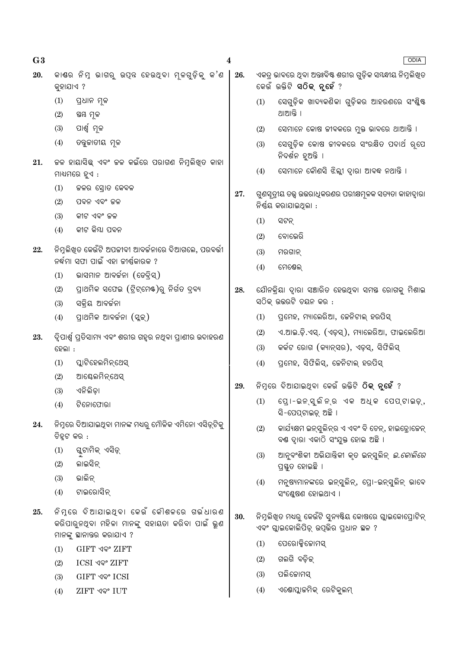| G3  |           |                                                                                                                           | 4   |     | <b>ODIA</b>                                                                                        |
|-----|-----------|---------------------------------------------------------------------------------------------------------------------------|-----|-----|----------------------------------------------------------------------------------------------------|
| 20. | କୁହାଯାଏ ? | କାଶର ନିମୁ ଭାଗରୁ ଉପ୍ନ ହେଉଥ୍ବା ମୂଳଗୁଡ଼ିକୁ କ'ଣ                                                                               | 26. |     | ଏକତ୍ର ଭାବରେ ଥିବା ଅନ୍ତଃବିଷ୍ଟ ଶରୀର ଗୁଡ଼ିକ ସୟନ୍ଧୀୟ ନିମୁଲିଖିତ<br>କେଉଁ ଉକ୍ତିଟି <b>ସଠିକ୍ ନୃହେଁ</b> ?     |
|     | (1)       | ପ୍ରଧାନ ମୂଳ                                                                                                                |     | (1) | ସେଗୁଡ଼ିକ ଖାଦ୍ୟକଣିକା ଗୁଡ଼ିକର ଆହରଣରେ ସଂଶ୍ଳିଷ୍ଟ                                                       |
|     | (2)       | ସ୍ତୟ ମୂଳ                                                                                                                  |     |     | ଥାଆନ୍ତି ।                                                                                          |
|     | (3)       | ପାର୍ଶ୍ୱ ମୂଳ                                                                                                               |     | (2) | ସେମାନେ କୋଷ ଜୀବକରେ ମୁକ୍ତ ଭାବରେ ଥାଆନ୍ତି ।                                                            |
|     | (4)       | ତବୁଜାତୀୟ ମୂଳ                                                                                                              |     | (3) | ସେଗୁଡ଼ିକ କୋଷ ଜୀବକରେ ସଂରକ୍ଷିତ ପଦାର୍ଥ ରୂପେ<br>ନିଦର୍ଶନ ହୁଅନ୍ତି ।                                      |
| 21. |           | ଚ୍ଚଳ ହାୟାସିଛ୍ ଏବଂ ଚ୍ଚଳ କଇଁରେ ପରାଗଣ ନିମୁଲିଖିତ କାହା<br>ମାଧ୍ୟମରେ ହୁଏ :                                                       |     | (4) | ସେମାନେ କୌଣସି ଝିଲ୍ଲୀ ଦ୍ୱାରା ଆବଦ୍ଧ ନଥାନ୍ତି ।                                                         |
|     | (1)       | ଜଳର ସ୍ରୋତ କେବଳ                                                                                                            | 27. |     | ଗୁଣସୂତ୍ରୀୟ ତତ୍ତ୍ୱ ଉତ୍ତରାଧିକରଣର ପରୀକ୍ଷମୂଳକ ସତ୍ୟତା କାହାଦ୍ୱାରା                                        |
|     | (2)       | ପବନ ଏବଂ ଜଳ                                                                                                                |     |     | ନିର୍ଣ୍ଣୟ କରାଯାଇଥିଲା :                                                                              |
|     | (3)       | କୀଟ ଏବଂ ଜଳ                                                                                                                |     | (1) | ସଟନ୍                                                                                               |
|     | (4)       | କୀଟ କିୟା ପବନ                                                                                                              |     | (2) | ବୋଭେରି                                                                                             |
| 22. |           | ନିମୁଲିଖିତ କେଉଁଟି ଅପକୀବୀ ଆବର୍କନାରେ ଦିଆଗଲେ, ପରବର୍ତ୍ତୀ                                                                       |     | (3) | ମରଗାନ୍                                                                                             |
|     |           | ନର୍ଦ୍ଧମା ସଫା ପାଇଁ ଏହା ଜୀର୍ଷ୍ଣକାରକ ?                                                                                       |     | (4) | ମେଷେଲ୍                                                                                             |
|     | (1)       | ଭାସମାନ ଆବର୍ଜନା (ଡେବ୍ରିସ୍)                                                                                                 |     |     |                                                                                                    |
|     | (2)       | ପ୍ରାଥମିକ ସଫେଇ (ଟ୍ରିଟ୍ମେଷ୍)ରୁ ନିର୍ଗତ ଦ୍ରବ୍ୟ                                                                                | 28. |     | ଯୌନକ୍ରିୟା ଦ୍ୱାରା ସଞ୍ଚାରିତ ହେଉଥିବା ସମୟ ରୋଗକୁ ମିଶାଇ                                                  |
|     | (3)       | ସକ୍ରିୟ ଆବର୍ଜନା                                                                                                            |     |     | ସଠିକ୍ ଉତ୍ତରଟି ଚୟନ କର :                                                                             |
|     | (4)       | ପ୍ରାଥମିକ ଆବର୍ଜନା (ସ୍କୁକ୍)                                                                                                 |     | (1) | ପ୍ରମେହ, ମ୍ୟାଲେରିଆ, ଜେନିଟାଲ୍ ହରପିସ୍                                                                 |
| 23. |           | ିଦୃପାର୍ଶ୍ୱ ପ୍ରତିସାମ୍ୟ ଏବଂ ଶରୀର ଗହୃର ନଥିବା ପ୍ରାଣୀର ଉଦାହରଣ                                                                  |     | (2) | ଏ.ଆଇ.ଡ଼ି.ଏସ୍. (ଏଡ଼ସ୍), ମ୍ୟାଲେରିଆ, ଫାଇଲେରିଆ                                                         |
|     | ହେଲା :    |                                                                                                                           |     | (3) | କର୍କଟ ରୋଗ (କ୍ୟାନ୍ସର), ଏଡ଼ସ୍, ସିଫିଲିସ୍                                                              |
|     | (1)       | ପ୍ଲାଟିହେଲମିନ୍ଥେସ୍                                                                                                         |     | (4) | ପ୍ରମେହ, ସିଫିଲିସ୍, ଜେନିଟାଲ୍ ହରପିସ୍                                                                  |
|     | (2)       | ଆକ୍ଟେଲମିନ୍ଥେସ୍                                                                                                            |     |     |                                                                                                    |
|     | (3)       | ଏନିଲିଡ଼ା                                                                                                                  | 29. |     | ନିମ୍ନରେ ଦିଆଯାଇଥିବା କେଉଁ ଉକ୍ତିଟି <b>ଠିକ୍ ନୁହେଁ</b> ?                                                |
|     | (4)       | ଟିନୋଫୋରା                                                                                                                  |     |     | (1) ପ୍ରୋ-ଇନ୍ସୁଲିନ୍ର ଏକ ଅଧିକ ପେପ୍ଟାଇଡ଼୍,<br>ସି-ପେପ୍ଟାଇଡ଼୍ ଅଛି ।                                     |
| 24. |           | ନିମ୍ନରେ ଦିଆଯାଇଥିବା ମାନଙ୍କ ମଧ୍ୟରୁ ମୌଳିକ ଏମିନୋ ଏସିଡ୍ରଟିକୁ<br>ଚିହ୍ନଟ କର :                                                    |     | (2) | କାର୍ଯ୍ୟକ୍ଷମ ଇନ୍ସ୍ତୁଲିନ୍ର ଏ ଏବଂ ବି ଚେନ୍, ହାଇଡ୍ରୋକେନ୍<br>ବଣ୍ଠ ଦ୍ୱାରା ଏକାଠି ସଂଯୁକ୍ତ ହୋଇ ଅଛି ।         |
|     | (1)       | ଗ୍ଳୁଟାମିକ୍ ଏସିଡ଼୍                                                                                                         |     | (3) | ଆନୁବଂଶିକୀ ଅଭିଯାନ୍ତିକୀ କୃତ ଇନ୍ସୁଲିନ୍ <i>ଇ.କୋଲିରେ</i>                                                |
|     | (2)       | ଲାଇସିନ୍                                                                                                                   |     |     | ପ୍ରସ୍ତୁତ ହୋଇଛି ।                                                                                   |
|     | (3)       | ଭାଲିନ୍                                                                                                                    |     | (4) | ମନୁଷ୍ୟମାନଙ୍କରେ ଇନ୍ସୁଲିନ୍, ପ୍ରୋ-ଇନ୍ସୁଲିନ୍ ଭାବେ                                                      |
|     | (4)       | ଟାଇରୋସିନ୍                                                                                                                 |     |     | ସଂଶ୍ଳେଷଣ ହୋଇଥାଏ ।                                                                                  |
| 25. |           | ନିମୃରେ ଦିଆଯାଇଥ୍ବା କେଉଁ କୌଶଳରେ ଗର୍ଭଧାରଣ<br>କରିପାରୁନଥିବା ମହିଳା ମାନଙ୍କୁ ସହାୟତା କରିବା ପାଇଁ ଭୁଣ<br>ମାନଙ୍କୁ ସ୍ଥାନାତ୍ତର କରାଯାଏ ? | 30. |     | ନିମ୍ନଲିଖିତ ମଧ୍ୟରୁ କେଉଁଟି ସୁନ୍ୟଷ୍ଟିୟ କୋଷରେ ଗ୍ଲାଇକୋପ୍ରୋଟିନ୍<br>ଏବଂ ଗ୍ଲାଇକୋଲିପିଡ଼୍ ଉପ୍ଭିର ପ୍ରଧାନ ଛଳ ? |
|     | (1)       | <b>GIFT ଏବଂ ZIFT</b>                                                                                                      |     | (1) | ପେରୋକ୍ସିକୋମସ୍                                                                                      |
|     | (2)       | ICSI ଏବଂ ZIFT                                                                                                             |     | (2) | ଗଲଗି ବଡ଼ିକ୍                                                                                        |
|     | (3)       | GIFT ଏବଂ ICSI                                                                                                             |     | (3) | ପଲିକୋମସ୍                                                                                           |
|     | (4)       | <b>ZIFT ଏବଂ IUT</b>                                                                                                       |     | (4) | ଏଷୋପ୍ଲାକମିକ୍ ରେଟିକୁଲମ୍                                                                             |
|     |           |                                                                                                                           |     |     |                                                                                                    |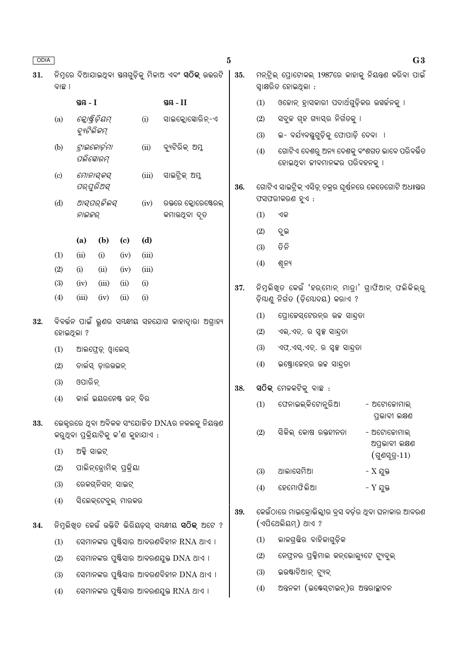| ODIA |                            |                                                       |                         |                             |                                     | $\bf{5}$                                                     |     |     |                                                                                | G3                                 |  |  |  |
|------|----------------------------|-------------------------------------------------------|-------------------------|-----------------------------|-------------------------------------|--------------------------------------------------------------|-----|-----|--------------------------------------------------------------------------------|------------------------------------|--|--|--|
| 31.  | ବାଛ ।                      |                                                       |                         |                             |                                     |                                                              | 35. |     | ମନ୍ଟ୍ରିଲ୍ ପ୍ରୋଟୋକଲ୍ 1987ରେ କାହାକୁ ନିୟନ୍ତ୍ରଣ କରିବା ପାଇଁ<br>ସ୍ୱାକ୍ଷରିତ ହୋଇଥିଲା : |                                    |  |  |  |
|      |                            | ସ୍ତୟ - I                                              |                         |                             |                                     | ସ୍ଥ $-II$                                                    |     | (1) | ଓକୋନ୍ ହ୍ରାସକାରୀ ପଦାର୍ଥଗୁଡ଼ିକର ଉସର୍କନକୁ ।                                       |                                    |  |  |  |
|      | (a)                        |                                                       | କ୍ଲୋଷ୍ଟିଡ଼ିୟମ୍          |                             | (i)                                 | ସାଇକ୍ଲୋସୋରିନ୍-ଏ                                              |     | (2) | ସବୁଚ୍ଚ ଗୃହ ଗ୍ୟାସ୍ର ନିର୍ଗତକୁ ।                                                  |                                    |  |  |  |
|      |                            | ବ୍ୟୁଟିଲିକମ୍                                           |                         |                             |                                     |                                                              |     | (3) | ଇ- ବର୍ଯ୍ୟବସ୍ତୁଗୁଡ଼ିକୁ ଫୋପାଡ଼ି ଦେବା  ।                                          |                                    |  |  |  |
|      | (b)                        | ପଲିସୋରମ୍                                              | ଟ୍ରାଇକୋର୍ଡ଼ମା           |                             | (ii)                                | ବ୍ୟଟିରିକ୍ ଅମ୍ଳ                                               |     | (4) | ଗୋଟିଏ ଦେଶରୁ ଅନ୍ୟ ଦେଶକୁ ବଂଶଗତ ଭାବେ ପରିବର୍ତ୍ତିତ<br>ହୋଇଥିବା ଜୀବମାନଙ୍କର ପରିବହନକୁ । |                                    |  |  |  |
|      | $\left( \mathrm{c}\right)$ |                                                       | ମୋନାସ୍କସ୍<br>ପର୍ଯୁରିଅସ୍ |                             | (iii)                               | ସାଇଟ୍ରିକ୍ ଅମ୍ଳ                                               | 36. |     | ଗୋଟିଏ ସାଇଟ୍ରିକ୍ ଏସିଡ଼୍ ଚକ୍ରର ଘୂର୍ଷନରେ କେତେଗୋଟି ଅଧଃୟର                           |                                    |  |  |  |
|      | (d)                        |                                                       | ଆସ୍ପର୍ଜିଲସ୍             |                             | (iv)                                | ରକ୍ତରେ କ୍ଳୋରେଷ୍ଟେରଲ୍                                         |     |     | ଫସଫରୀକରଣ ହୁଏ :                                                                 |                                    |  |  |  |
|      |                            | ନାଇଜର୍                                                |                         |                             |                                     | କମାଉଥିବା ଦୃତ                                                 |     | (1) | ଏକ                                                                             |                                    |  |  |  |
|      |                            | (a)                                                   | (b)                     | $\left( \mathbf{c} \right)$ | (d)                                 |                                                              |     | (2) | ଦୁଇ                                                                            |                                    |  |  |  |
|      | (1)                        | (ii)                                                  | (i)                     | (iv)                        | (iii)                               |                                                              |     | (3) | ତିନି                                                                           |                                    |  |  |  |
|      | (2)                        | (i)                                                   | (ii)                    | (iv)                        | (iii)                               |                                                              |     | (4) | ଶୂନ୍ୟ                                                                          |                                    |  |  |  |
|      | (3)                        | (iv)                                                  | (iii)                   | (ii)                        | (i)                                 |                                                              | 37. |     | ନିମୁଲିଖ୍ଡ କେଉଁ 'ହର୍ମୋନ୍ ମାତ୍ରା' ଗ୍ରାଫିଆନ୍ ଫଲିକିଲ୍ରୁ                            |                                    |  |  |  |
|      | (4)                        | (iii)                                                 | (iv)                    | (ii)<br>(i)                 |                                     |                                                              |     |     | ଡ଼ିୟାଣୁ ନିର୍ଗତ (ଡ଼ିଯୋଦୟ) କରାଏ ?                                                |                                    |  |  |  |
| 32.  |                            | ବିବର୍ତ୍ତନ ପାଇଁ ଭୁଣର ସୟନ୍ଧୀୟ ସହଯୋଗ କାହାଦ୍ୱାରା ଅଗ୍ରାହ୍ୟ |                         |                             |                                     |                                                              |     | (1) | ପ୍ରୋଜେସ୍ଟେରନ୍ର ଉଚ୍ଚ ସାନ୍ଦ୍ରତା                                                  |                                    |  |  |  |
|      | ହୋଇଥିଲା ?                  |                                                       |                         |                             |                                     |                                                              |     | (2) | ଏଲ୍.ଏଚ୍. ର ସ୍ୱଳ୍ପ ସାନ୍ଦ୍ରତା                                                    |                                    |  |  |  |
|      | (1)                        |                                                       | ଆଲଫ୍ରେଡ଼୍ ଓ୍ୱାଲେସ୍      |                             |                                     |                                                              |     | (3) | ଏଫ୍.ଏସ୍.ଏଚ୍. ର ସ୍ୱଳ୍ପ ସାନ୍ଦ୍ରତା                                                |                                    |  |  |  |
|      | (2)                        |                                                       | ଚାର୍ଲସ୍ ଡ଼ାରଉଇନ୍        |                             |                                     |                                                              |     | (4) | ଇଷ୍ଟ୍ରୋଜେନ୍ର ଉଚ୍ଚ ସାନ୍ଦ୍ରତା                                                    |                                    |  |  |  |
|      | (3)                        | ଓପାରିନ୍                                               |                         |                             |                                     |                                                              |     |     |                                                                                |                                    |  |  |  |
|      | (4)                        |                                                       |                         | କାର୍ଲ ଇୟରନେଷ୍ଟ ଉନ୍ ବିର      |                                     |                                                              | 38. |     | ସଠିକ୍ ମେଳକଟିକୁ ବାଛ <b>ି</b>                                                    |                                    |  |  |  |
| 33.  |                            |                                                       |                         |                             |                                     | ଭେକ୍ସରରେ ଥିବା ଅବିକଳ ସଂଯୋଜିତ DNAର ନକଲକୁ ନିୟନ୍ତ୍ରଣ             |     | (1) | ଫେନାଇଲ୍କିଟୋନୁରିଆ                                                               | - ଅଟୋକୋମାଲ୍<br>ପ୍ରଭାବୀ ଲକ୍ଷଣ       |  |  |  |
|      |                            |                                                       |                         |                             | କରୁଥିବା ପ୍ରକ୍ରିୟାଟିକୁ କ'ଣ କୁହାଯାଏ : |                                                              |     | (2) | ସିକିଲ୍ କୋଷ ରକ୍ତହୀନତା                                                           | - ଅଟୋଜୋମାଲ୍                        |  |  |  |
|      | (1)                        | ଅକ୍ସି ସାଇଟ୍                                           |                         |                             |                                     |                                                              |     |     |                                                                                | ଅପ୍ରଭାବୀ ଲକ୍ଷଣ<br>$(q$ ଣସ୍ତ $-11)$ |  |  |  |
|      | (2)                        |                                                       |                         | ପାଲିନ୍ଡ୍ରୋମିକ୍ ପ୍ରକ୍ରିୟା    |                                     |                                                              |     | (3) | ଥାଲାସେମିଆ                                                                      | - $X$ ଯୁକ୍ତ                        |  |  |  |
|      | (3)                        |                                                       | ରେକଗ୍ନିସନ୍ ସାଇଟ୍        |                             |                                     |                                                              |     | (4) | ହେମୋଫିଲିଆ                                                                      | - Y ଯୁକ୍ତ                          |  |  |  |
|      | (4)                        |                                                       |                         | ସିଲେକ୍ଟେବୁଲ୍ ମାରକର          |                                     |                                                              |     |     |                                                                                |                                    |  |  |  |
| 34.  |                            |                                                       |                         |                             |                                     | ନିମ୍ନଲିଖ୍ତ କେଉଁ ଉକ୍ତିଟି ଭିରିୟଡ଼ସ୍ ସୟଦ୍ଧୀୟ <b>ସଠିକ୍</b> ଅଟେ ? | 39. |     | କେଉଁଠାରେ ମାଇକ୍ରୋଭିଲ୍ଲୀର ବ୍ରସ ବର୍ଡ଼ର ଥିବା ଘନାକାର ଆବରଣ<br>(ଏପିଥେଲିୟମ୍) ଥାଏ ?     |                                    |  |  |  |
|      | (1)                        |                                                       |                         |                             |                                     | ସେମାନଙ୍କର ପୁଷ୍ଟିସାର ଆବରଣବିହୀନ RNA ଥାଏ ।                      |     | (1) | ଲାଳଗ୍ରଛିର ବାହିକାଗୁଡ଼ିକ                                                         |                                    |  |  |  |
|      | (2)                        |                                                       |                         |                             |                                     | ସେମାନଙ୍କର ପୁଷ୍ଟିସାର ଆବରଣଯୁକ୍ତ DNA ଥାଏ ।                      |     | (2) | ନେଫ୍ରନର ପ୍ରକ୍ସିମାଲ କନ୍ଭୋଲ୍ୟୁଟେ ଟ୍ୟୁବୁଲ୍                                        |                                    |  |  |  |
|      | (3)                        |                                                       |                         |                             |                                     | ସେମାନଙ୍କର ପୁଷ୍ଟିସାର ଆବରଣବିହୀନ DNA ଥାଏ ।                      |     | (3) | ଇଉଷ୍ଟାଚିଆନ୍ ଟ୍ୟୁବ୍                                                             |                                    |  |  |  |
|      | (4)                        |                                                       |                         |                             |                                     | ସେମାନଙ୍କର ପୁଷ୍ଟିସାର ଆବରଣଯୁକ୍ତ RNA ଥାଏ ।                      |     | (4) | ଅନ୍ତନଳୀ (ଇଷ୍ଟେସ୍ଟାଇନ୍)ର ଅନ୍ତରାଚ୍ଛାଦନ                                           |                                    |  |  |  |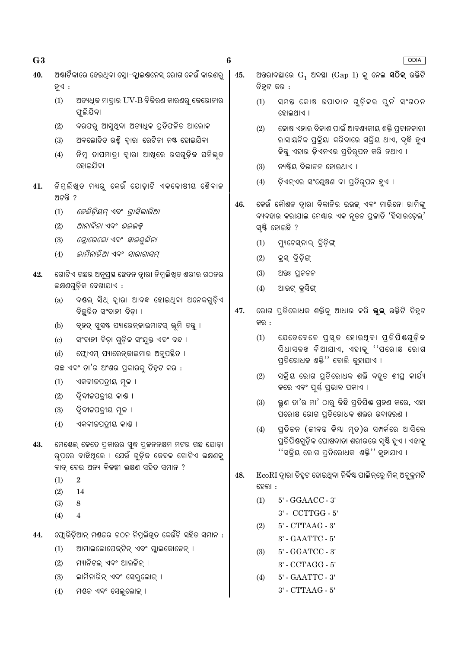$\boldsymbol{6}$ 

- ଅ୍କାର୍ଟିକାରେ ହେଉଥିବା ସ୍ତୋ-ବ୍ଲାଇଷନେସ୍ ରୋଗ କେଉଁ କାରଣର 40. ହୁଏ $:$ 
	- $(1)$ ଅତ୍ୟଧିକ ମାତ୍ରାର UV-B ବିକିରଣ କାରଣରୁ କେରୋନାର ଫୁଲିଯିବା
	- ବରଫରୁ ଆସୁଥିବା ଅତ୍ୟଧିକ ପ୍ରତିଫଳିତ ଆଲୋକ  $(2)$
	- ଅବଲୋହିତ ରଶ୍ମି ଦାରା ରେଟିନା ନଷ୍ଟ ହୋଇଯିବା  $(3)$
	- ନିମ୍ନ ତାପମାତ୍ରା ଦ୍ୱାରା ଆଖ୍ରେ ରସଗୁଡ଼ିକ ଘନିଭୃତ  $(4)$ ହୋଇଯିବା
- ିନିମୁଲିଖୁତ ମଧ୍ୟରୁ କେଉଁ ଯୋଡ଼ାଟି ଏକକୋଷୀୟ ଶୈବାଳ 41. ଅଟନ୍ତି ?
	- *କେଲିଡ଼ିୟମ୍ ଏବଂ ଗ୍ରାସିଲାରିଆ*  $(1)$
	- ଆନାବିନା ଏବଂ ଭଲଭକ୍ସ  $(2)$
	- କ୍ଳୋରେଲୋ ଏବଂ *ସ୍କାଇର୍ ଲିନା*  $(3)$
	- $(4)$ ଲାମିନାରିଆ ଏବଂ *ସାରାଗାସମ୍*
- ଗୋଟିଏ ଗଛର ଅନୁପ୍ରସ୍ଥ ଛେଦନ ଦ୍ୱାରା ନିମୁଲିଖିତ ଶରୀର ଗଠନର 42. ଲକ୍ଷଣଗୁଡ଼ିକ ଦେଖାଯାଏ :
	- ବୟଲ୍ ସିଥ୍ ଦ୍ୱାରା ଆବଦ୍ଧ ହୋଇଥିବା ଅନେକଗୁଡ଼ିଏ  $(a)$ ବିଛୁରିତ ସଂବାହୀ ବିଡ଼ା ।
	- ବୃହତ୍ ସୁସଷ୍ଟ ପ୍ୟାରେନ୍କାଇମାଟସ୍ ଭୂମି ତନ୍ତୁ ।  $(b)$
	- ସଂବାହୀ ବିଡ଼ା ଗୁଡ଼ିକ ସଂଯୁକ୍ତ ଏବଂ ବନ୍ଦ ।  $\left( \mathrm{c}\right)$
	- ଫ୍ଲୋଏମ୍ ପ୍ୟାରେନ୍କାଇମାର ଅନୁପଛିତ ।  $(d)$

ଗଛ ଏବଂ ତା'ର ଅଂଶର ପ୍ରକାରକୁ ଚିହ୍ନଟ କର :

- ଏକବୀକପତ୍ରୀୟ ମୂଳ ।  $(1)$
- $(2)$ ଦ୍ୱିବୀଜପତ୍ରୀୟ କାଣ୍ଠ ।
- $(3)$ ଦ୍ୱିବୀଜପତ୍ରୀୟ ମୂଳ ।
- $(4)$ ଏକବୀଜପତ୍ରୀୟ କାଣ୍ଡ ।
- 43. ମେଷେଲ୍ କେତେ ପ୍ରକାରର ସୁଦ୍ଧ ପ୍ରକନନକ୍ଷମ ମଟର ଗଛ ଯୋଡ଼ା ର୍ପରେ ବାଛିଥିଲେ । ଯେଉଁ ଗଡ଼ିକ କେବଳ ଗୋଟିଏ ଲକ୍ଷଣକ୍ ବାଦ୍ ଦେଇ ଅନ୍ୟ ବିକଳ୍ପୀ ଲକ୍ଷଣ ସହିତ ସମାନ ?
	- $\overline{2}$  $(1)$
	- $(2)$ 14
	- $(3)$ 8
	- $(4)$  $\overline{4}$
- 44. ପ୍ଲୋରିଡ଼ିଆନ୍ ମଣ୍ଡକର ଗଠନ ନିମ୍ନଲିଖିତ କେଉଁଟି ସହିତ ସମାନ :
	- $(1)$ ଆମାଇଲୋପେକ୍ଟିନ୍ ଏବଂ ଗ୍ଲାଇକୋଜେନ୍ ।
	- ମ୍ୟାନିଟଲ୍ ଏବଂ ଆଲଚ୍ଚିନ୍ ।  $(2)$
	- ଲାମିନାରିନ୍ ଏବଂ ସେଲୁଲୋକ୍ ।  $(3)$
	- $(4)$ ମଶ୍ଚଳ ଏବଂ ସେଲୁଲୋକ୍ ।
- 45. ଅନ୍ତରାବସ୍ଥାରେ  $G_1$  ଅବସ୍ଥା ( $Gap 1$ ) କୁ ନେଇ **ସଠିକ୍** ଉକ୍ତିଟି ଚିହ୍ରଟ କର :
	- ସମୟ କୋଷ ଉପାଦାନ ଗୁଡ଼ିକର ପୁନ ସଂଗଠନ  $(1)$ ହୋଇଥାଏ ।
	- କୋଷ ଏହାର ବିକାଶ ପାଇଁ ଆବଶ୍ୟକୀୟ ଶକ୍ତି ପ୍ରଦାନକାରୀ  $(2)$ ରାସାୟନିକ ପକ୍ିୟା କରିବାରେ ସକ୍ିୟ ଥାଏ, ବ୍ଛି ହୁଏ କିନ୍ତୁ ଏହାର ଡ଼ିଏନଏର ପ୍ରତିରୂପନ କରି ନଥାଏ ।
	- ନ୍ୟଷ୍ଟିୟ ବିଭାଜନ ହୋଇଥାଏ ।  $(3)$
	- $(4)$ ଡ଼ିଏନ୍ଏର ସଂଶ୍ଲେଷଣ ବା ପ୍ରତିରୂପନ ହୁଏ ।
- କେଉଁ କୌଶଳ ଦ୍ୱାରା ବିକାନିର ଇଉକ୍ ଏବଂ ମାରିନୋ ରାମିଙ୍କୁ 46. ବ୍ୟବହାର କରାଯାଇ ମେଣ୍ଢାର ଏକ ନ୍ତନ ପ୍ରକାତି 'ହିସାରଡ଼େଲ୍' ସ୍ଷ୍ଟି ହୋଇଛି ?
	- ମ୍ୟୁଟେସ୍ନାଲ୍ ବ୍ରିଡ଼ିଙ୍ଗ୍  $(1)$
	- $(2)$ କ୍ସ ବିଡ଼ିଙ୍ଗ
	- $(3)$ ଅନ୍ତଃ ପ୍ରକନନ
	- ଆଉଟ୍ କ୍ରସିଙ୍ଗ୍  $(4)$
- ରୋଗ ପ୍ରତିରୋଧକ ଶକ୍ତିକୁ ଆଧାର କରି **ଭୁଲ୍** ଉକ୍ତିଟି ଚିହୁଟ 47. କର :
	- $(1)$ ଯେତେବେଳେ ପୁସ୍ତ ହୋଇଥିବା ପ୍ରତିପିଷଗୁଡ଼ିକ ସିଧାସଳଖ ଦିଆଯାଏ, ଏହାକୁ ''ପରୋକ୍ଷ ରୋଗ ପ୍ରତିରୋଧକ ଶକ୍ତି'' ବୋଲି କୁହାଯାଏ ।
	- $(2)$ ସକ୍ିୟ ରୋଗ ପ୍ତିରୋଧକ ଶକ୍ତି ବହୁତ ଶୀଘ୍ କାର୍ଯ୍ୟ କରେ ଏବଂ ପୂର୍ଣ୍ଣ ପ୍ରଭାବ ପକାଏ ।
	- ଭୁଣ ତା'ର ମା' ଠାରୁ କିଛି ପ୍ରତିପିଷ ଗ୍ରହଣ କରେ, ଏହା  $(3)$ ପରୋକ୍ଷ ରୋଗ ପ୍ରତିରୋଧକ ଶକ୍ତର ଉଦାହରଣ ।
	- ପ୍ରତିକନ (କୀବନ୍ତ କିୟା ମୃତ)ର ସମ୍ପର୍କରେ ଆସିଲେ  $(4)$ ପ୍ରତିପିଶ୍ଚଗୁଡ଼ିକ ପୋଷଦାତା ଶରୀରରେ ସୃଷ୍ଟି ହୁଏ । ଏହାକୁ ''ସକ୍ରିୟ ରୋଗ ପ୍ରତିରୋଧକ ଶକ୍ତି'' କୁହାଯାଏ ।
- 48.  $\operatorname{EcoRI}$ ଦ୍ୱାରା ଚିହ୍ନଟ ହୋଇଥିବା ନିର୍ଦ୍ଦିଷ୍ଟ ପାଲିନ୍ତ୍ରୋମିକ୍ ଅନୁକ୍ରମଟି ହେଲା :
	- 5' GGAACC 3'  $(1)$ 
		- $3'$  CCTTGG  $5'$
	- $(2)$ 5' - CTTAAG - 3' 3' - GAATTC - 5'
	- 5' GGATCC 3'  $(3)$
	- 3' CCTAGG 5'
	- $(4)$ 5' - GAATTC - 3'
		- $3'$  CTTAAG  $5'$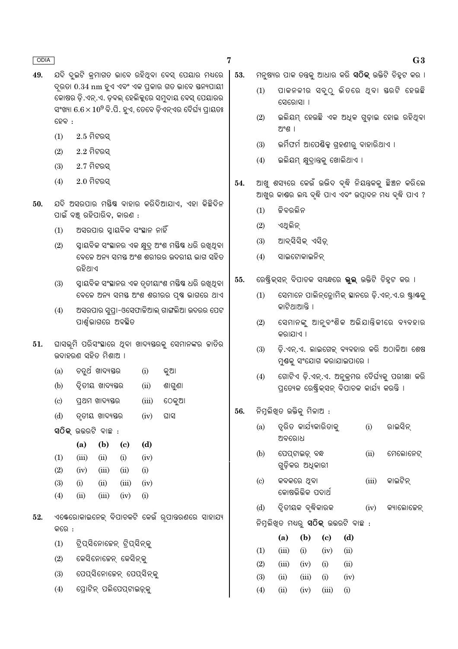- ଯଦି ଦ୍ଇଟି କ୍ମାଗତ ଭାବେ ରହିଥିବା ବେସ୍ ପେୟାର ମଧ୍ୟରେ 49. ଦ୍ରତା 0.34 nm ହୁଏ ଏବଂ ଏକ ପ୍ରକାର ଗତ ଭାବେ ସ୍ତନ୍ୟପାୟୀ କୋଷର ଡ଼ି.ଏନ୍.ଏ. ଡବଲ୍ ହେଲିକୁରେ ସମ୍ବଦାୟ ବେସ୍ ପେୟାରର ସଂଖ୍ୟା  $6.6 \times 10^9$  ବି.ପି. ହୁଏ, ତେବେ ଡିଏନ୍ଏର ଦୈର୍ଘ୍ୟ ପ୍ରାୟତଃ ହେବ :
	- $2.5$  ମିଟରସ  $(1)$
	- $(2)$  $2.2$  ମିଟରସ୍
	- $(3)$  $2.7$  ମିଟରସ୍
	- $(4)$  $2.0$  ମିଟରସ୍
- ଯଦି ଅସରପାର ମୟିଷ୍କ ବାହାର କରିଦିଆଯାଏ, ଏହା କିଛିଦିନ 50. ପାଇଁ ବଞ୍ଚ ରହିପାରିବ, କାରଣ :
	- ଅସରପାର ସ୍ୱାୟବିକ ସଂସ୍ଥାନ ନାହିଁ  $(1)$
	- ସ୍ୱାୟବିକ ସଂସ୍ଥାନର ଏକ କ୍ଷଦ ଅଂଶ ମୟିଷ ଧରି ରଖୁଥିବା  $(2)$ ବେଳେ ଅନ୍ୟ ସମୟ ଅଂଶ ଶରୀରର ଉଦରୀୟ ଭାଗ ସହିତ ରବିଥାଏ
	- ସ୍ୱାୟବିକ ସଂସ୍ଥାନର ଏକ ତୃତୀୟାଂଶ ମୟିଷ ଧରି ରଖୁଥିବା  $(3)$ ବେଳେ ଅନ୍ୟ ସମୟ ଅଂଶ ଶରୀରର ପୃଷ ଭାଗରେ ଥାଏ
	- ଅସରପାର ସ୍ୱତ୍ପ।-ଓସେଫାକିଆଲ୍ ଗାଙ୍ଗଲିଆ ଉଦରର ପେଟ  $(4)$ ପାର୍ଶ୍ୱଭାଗରେ ଅବସ୍ଥିତ
- 51. ଘାସଭୂମି ପରିସଂସ୍ଥାରେ ଥିବା ଖାଦ୍ୟସ୍ତରକୁ ସେମାନଙ୍କର ଜାତିର ଉଦାହରଣ ସହିତ ମିଶାଅ ।
	- ଚତ୍ରର୍ଥ ଖାଦ୍ୟୟର  $(a)$ କୁଆ  $(i)$
	- $(b)$ ଦ୍ୱିତୀୟ ଖାଦ୍ୟସ୍ତର  $(ii)$ ଶାଗୁଣା
	- $(c)$ ପ୍ରଥମ ଖାଦ୍ୟୟର  $(iii)$ ଠେକ୍ଆ
	- $(d)$ ତ୍ତୀୟ ଖାଦ୍ୟସ୍ତର  $(iv)$ ମାସ

ସ $\widehat{O}$ କ୍ ଉତ୍ତରଟି ବାଛ $:$ 

 $\overline{(}$ 

 $\overline{(}$ 

 $\overline{ }$ 

 $\overline{(}$ 

|    | (a)   | (b)   | (c)   | (d)       |
|----|-------|-------|-------|-----------|
| 1) | (iii) | (ii)  | (i)   | (iv)      |
| 2) | (iv)  | (iii) | (ii)  | $\rm(i)$  |
| 3) | (i)   | (ii)  | (iii) | (iv)      |
| 4) | (ii)  | (iii) | (iv)  | $\rm (i)$ |

- ଏକ୍ଟେରୋକାଇନେକ୍ ବିପାଚକଟି କେଉଁ ରୂପାନ୍ତରଣରେ ସାହାଯ୍ୟ 52. ଳରେ **·** 
	- $(1)$ ଟିପ୍ସିନୋଜେନ୍ ଟିପ୍ସିନ୍କୁ
	- $(2)$ କେସିନୋଜେନ୍ କେସିନ୍କୁ
	- ପେପ୍ସିନୋଜେନ୍ ପେପ୍ସିନ୍କୁ  $(3)$
	- ପ୍ରୋଟିନ୍ ପଲିପେପ୍ଟାଇଡ୍କୁ  $(4)$
- ମନ୍ଷ୍ୟର ପାକ ତନ୍ତ୍ରକ୍ ଆଧାର କରି **ସଠିକ୍** ଉକ୍ତିଟି ଚିହ୍ଟ କର । 53.
	- ପାକନଳୀର ସବ୍ଠ ଭିତରେ ଥବା ୟରଟି ହେଉଛି  $(1)$ ସେରୋସା ।
	- ଇଲିୟମ୍ ହେଉଛି ଏକ ଅଧିକ ଗୁଡ଼ାଇ ହୋଇ ରହିଥିବା  $(2)$ ଅଂଶ ।
	- ଭର୍ମିଫର୍ମ ଆପେର୍ଣ୍ଣିକ୍ସ ଗହଣୀର୍ ବାହାରିଥାଏ ।  $(3)$
	- $(4)$ ଇଲିୟମ୍ କ୍ଷୁଦ୍ରାନ୍ତକୁ ଖୋଲିଥାଏ ।
- ଆଖ ଶସ୍ୟରେ କେଉଁ ଉଦ୍ଭିଦ ବ୍ଦି ନିୟନ୍ତକକ୍ ଛିଅନ କରିଲେ 54. ଆଖୁର କାଣ୍ଡର ଲୟ ବୃଦ୍ଧି ପାଏ ଏବଂ ଉତ୍ପାଦନ ମଧ୍ୟ ବୃଦ୍ଧି ପାଏ ?
	- କିବରଲିନ  $(1)$

 $\overline{7}$ 

- $(2)$ ଏଥଲିନ
- ଆବସିସିକ ଏସିଡ  $(3)$
- ସାଇଟୋକାଇନିନ୍  $(4)$
- ରେଷ୍ଟିକ୍ସନ୍ ବିପାଚକ ସୟନ୍ଧରେ **ଭୁଲ୍** ଉକ୍ତିଟି ଚିହୁଟ କର । 55.
	- ସେମାନେ ପାଲିନ୍ଡ୍ରୋମିକ୍ ସ୍ଥାନରେ ଡ଼ି.ଏନ୍.ଏ.ର ଷ୍ଟ୍ରାଷକୁ  $(1)$ କାଟିଥାଆନ୍ତି ।
	- ସେମାନଙ୍କ ଆନ୍ବଂଶିକ ଅଭିଯାନ୍ତିକୀରେ ବ୍ୟବହାର  $(2)$ କରାଯାଏ ।
	- ଡ଼ି.ଏନ୍.ଏ. ଲାଇଗେକ୍ ବ୍ୟବହାର କରି ଅଠାଳିଆ ଶେଷ  $(3)$ ମ୍ୟକ୍ ସଂଯୋଗ କରାଯାଇପାରେ ।
	- ଗୋଟିଏ ଡି.ଏନ୍.ଏ. ଅନ୍କମର ଦୈର୍ଘ୍ୟକ୍ ପରୀକ୍ଷା କରି  $(4)$ ପ୍ରତ୍ୟେକ ରେଷ୍ଟିକ୍ସନ୍ ବିପାଚକ କାର୍ଯ୍ୟ କରନ୍ତି ।
- ନିମୁଲିଖିତ ଉକ୍ତିକୁ ମିଳାଅ : 56.
	- ତ୍ରିତ କାର୍ଯ୍ୟକାରିତାକ  $(a)$  $(i)$ ରାଇସିନ ଅବରୋଧ
	- ପେପ୍ତଟାଇଡ୍ ବନ୍ଧ  $(b)$  $(ii)$ ମେଲୋନେଟ୍ ଗୁଡ଼ିକର ଅଧିକାରୀ
	- କବକରେ ଥିବା କାଇଟିନ୍  $\left( \mathrm{c}\right)$  $(iii)$ କୋଷଭିଭିକ ପଦାର୍ଥ
	- ଦ୍ୱିତୀୟକ ବ୍ରବିକାରକ  $(d)$  $(iv)$ କ୍ୟାଲୋଚ୍ଚେନ୍
	- ନିମୁଲିଖିତ ମଧ୍ୟରୁ **ସଠିକ୍** ଉତ୍ତରଟି ବାଛ :

|                   | (a)   | (b)   | (c)   | (d)      |
|-------------------|-------|-------|-------|----------|
| $\left( 1\right)$ | (iii) | (i)   | (iv)  | (ii)     |
| (2)               | (iii) | (iv)  | (i)   | (ii)     |
| (3)               | (ii)  | (iii) | (i)   | (iv)     |
| $\left( 4\right)$ | (ii)  | (iv)  | (iii) | $\rm(i)$ |

#### $G3$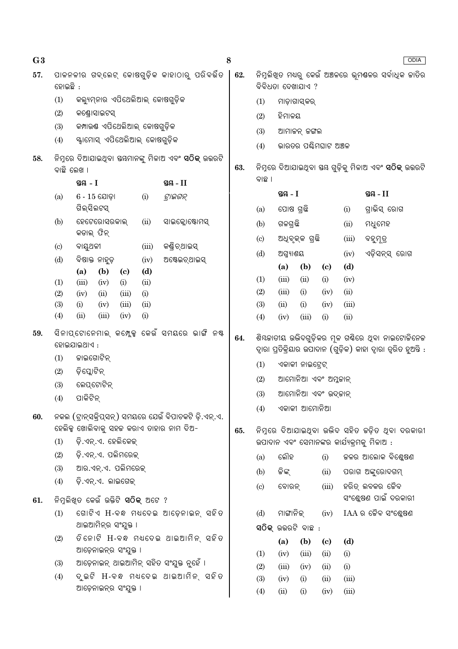| G <sub>3</sub> |                                     |                                                                   |             |                                                      | 8   |                                |                         |                    |                             |       | ODIA                                                                                                                   |  |
|----------------|-------------------------------------|-------------------------------------------------------------------|-------------|------------------------------------------------------|-----|--------------------------------|-------------------------|--------------------|-----------------------------|-------|------------------------------------------------------------------------------------------------------------------------|--|
| 57.            | ହୋଇଛି :                             |                                                                   |             | ପାଳନଳୀର ଗବ୍ଲେଟ୍ କୋଷଗୁଡ଼ିକ କାହାଠାରୁ ପରିବର୍ଭିତ         | 62. |                                |                         | ବିବିଧତା ଦେଖାଯାଏ ?  |                             |       | ନିମ୍ନଲିଖ୍ତ ମଧ୍ୟରୁ କେଉଁ ଅଞ୍ଚଳରେ ଭୂମଷଳର ସର୍ବାଧିକ ଜାତିର                                                                   |  |
|                | (1)                                 | କଲ୍ୟୁମ୍ନାର ଏପିଥେଲିଆଲ୍ କୋଷଗୁଡ଼ିକ                                   |             |                                                      |     | (1)                            |                         | ମାଡ଼ାଗାସ୍କର୍       |                             |       |                                                                                                                        |  |
|                | (2)                                 | କଣ୍ଡ୍ରୋସାଇଟସ୍                                                     |             |                                                      |     | (2)                            | ହିମାଳୟ                  |                    |                             |       |                                                                                                                        |  |
|                | (3)                                 | କମ୍ପାଉଷ ଏପିଥେଲିଆଲ୍ କୋଷଗୁଡ଼ିକ                                      |             |                                                      |     | (3)                            |                         | ଆମାଜନ୍ ଜଙ୍ଗଲ       |                             |       |                                                                                                                        |  |
|                | (4)                                 | ୍ୟ୍ୱାମୋସ୍ ଏପିଥେଲିଆଲ୍ କୋଷଗୁଡ଼ିକ                                    |             |                                                      |     | ଭାରତର ପର୍ଣ୍ଣିମଘାଟ ଅଞ୍ଚଳ<br>(4) |                         |                    |                             |       |                                                                                                                        |  |
| 58.            | ବାଛି ଲେଖ ।                          |                                                                   |             |                                                      | 63. |                                |                         |                    |                             |       | ନିମ୍ବରେ ଦିଆଯାଇଥିବା ୟୟ ଗୁଡ଼ିକୁ ମିଳାଅ ଏବଂ <b>ସଠିକ୍</b> ଉତ୍ତରଟି                                                           |  |
|                |                                     | ସ୍ଥ $-1$                                                          |             | ସ୍ତୟ - II                                            |     | ବାଛ ।                          |                         |                    |                             |       |                                                                                                                        |  |
|                | (a)                                 | $6 - 15$ ଯୋଡ଼ା                                                    | (i)         | ଟ୍ରାଇଗନ୍                                             |     |                                | ସ୍ତନ୍ତ $-I$<br>ସ୍ତୟ - I |                    |                             |       |                                                                                                                        |  |
|                |                                     | ଗିଲ୍ସିଲଟସ୍                                                        |             |                                                      |     | (a)                            | ପୋଷ ଗ୍ରଛି               |                    |                             | (i)   | ଗ୍ରାଭିସ୍ ରୋଗ                                                                                                           |  |
|                | (b)                                 | ହେଟେରୋସରକାଲ୍                                                      | (ii)        | ସାଇକ୍ଲୋଷ୍ଟୋମସ୍                                       |     | (b)                            | ଗଳଗ୍ରଛି                 |                    |                             | (ii)  | ମଧୁମେହ                                                                                                                 |  |
|                |                                     | କଡାଲ୍ ଫିନ୍                                                        |             |                                                      |     | $\left( \mathrm{c}\right)$     |                         | ଅଧିବୃକ୍କ ଗ୍ରଛି     |                             | (iii) | ବହୁମୂତ୍ର                                                                                                               |  |
|                | $\left( \mathrm{c}\right)$          | ବାୟୁଥଳୀ                                                           | (iii)       | କଣ୍ଡି ଚ୍ଥାଇସ୍                                        |     | (d)                            | ଅଗ୍ନ୍ୟାଶୟ               |                    |                             | (iv)  | ଏଡ଼ିସନ୍ସ୍ ରୋଗ                                                                                                          |  |
|                | (d)                                 | ବିଷାକ୍ତ ନାହୁଡ଼                                                    | (iv)<br>(d) | ଅଷ୍ଟେଇଚ୍ଥାଇସ୍                                        |     |                                | (a)                     | (b)                | (c)                         | (d)   |                                                                                                                        |  |
|                | (1)                                 | (b)<br>(a)<br>$\left( \mathbf{c} \right)$<br>(iii)<br>(iv)<br>(i) |             |                                                      | (1) | (iii)                          | (ii)                    | (i)                | (iv)                        |       |                                                                                                                        |  |
|                | (2)                                 | (iv)<br>(ii)<br>(iii)                                             |             |                                                      | (2) | (iii)                          | (i)                     | (iv)               | (ii)                        |       |                                                                                                                        |  |
|                | (3)                                 | (iii)<br>(i)<br>(iv)                                              |             |                                                      | (3) | (ii)                           | (i)                     | (iv)               | (iii)                       |       |                                                                                                                        |  |
|                | (4)<br>(iii)<br>(ii)<br>(i)<br>(iv) |                                                                   |             |                                                      |     | (4)                            | (iv)                    | (iii)              | (i)                         | (ii)  |                                                                                                                        |  |
| 59.            |                                     | ହୋଇଯାଇଥାଏ :                                                       |             | ସିନାପ୍ଟୋନେମାଲ୍ କମ୍ଲେକ୍ସ କେଉଁ ସମୟରେ ଭାଙ୍ଗି ନଷ୍ଟ       | 64. |                                |                         |                    |                             |       | ଶିୟଜାତୀୟ ଉଦ୍ଭିଦଗୁଡ଼ିକର ମୂଳ ଗର୍ଷିରେ ଥିବା ନାଇଟୋଜିନେଜ<br>ଦ୍ୱାରା ପ୍ରତିକ୍ରିୟାର ଉପାଦାନ (ଗୁଡ଼ିକ) କାହା ଦ୍ୱାରା ତ୍ୱରିତ ହୁଅନ୍ତି : |  |
|                | (1)                                 | କାଇଗୋଟିନ୍                                                         |             |                                                      |     | (1)<br>ଏକାକୀ ନାଇଟେଟ୍           |                         |                    |                             |       |                                                                                                                        |  |
|                | (2)                                 | ଡ଼ିସ୍କୋଟିନ୍                                                       |             |                                                      |     | ଆମୋନିଆ ଏବଂ ଅମ୍ଳକାନ୍<br>(2)     |                         |                    |                             |       |                                                                                                                        |  |
|                | (3)                                 | ଲେପ୍ଟୋଟିନ୍                                                        |             |                                                      |     | (3)                            |                         | ଆମୋନିଆ ଏବଂ ଉଦ୍କାନ୍ |                             |       |                                                                                                                        |  |
|                | (4)                                 | ପାକିଟିନ୍                                                          |             |                                                      |     | (4)                            |                         | ଏକାକୀ ଆମୋନିଆ       |                             |       |                                                                                                                        |  |
| 60.            |                                     | ହେଲିକ୍ସ ଖୋଲିବାକୁ ସହଜ କରାଏ ତାହାର ନାମ ଦିଅ-                          |             | ନକଲ (ଟ୍ୱାନ୍ସକ୍ିପ୍ସନ୍) ସମୟରେ ଯେଉଁ ବିପାଚକଟି ଡ଼ି.ଏନ୍.ଏ. | 65. |                                |                         |                    |                             |       | ନିମ୍ନରେ ଦିଆଯାଇଥିବା ଉଦ୍ଭିଦ ସହିତ କଡ଼ିତ ଥିବା ଦରକାରୀ                                                                       |  |
|                | (1)                                 | ଡ଼ି.ଏନ୍.ଏ. ହେଲିକେକ୍                                               |             |                                                      |     |                                |                         |                    |                             |       | ଉପାଦାନ ଏବଂ ସେମାନଙ୍କର କାର୍ଯ୍ୟକ୍ରମକୁ ମିଳାଅ :                                                                             |  |
|                | (2)                                 | ଡ଼ି.ଏନ୍.ଏ. ପଲିମରେକ୍                                               |             |                                                      |     | (a)                            | ଲୌହ                     |                    | (i)                         |       | କଳର ଆଲୋକ ବିଶ୍ଳେଷଣ                                                                                                      |  |
|                | (3)                                 | ଆର.ଏନ୍.ଏ. ପଲିମରେକ୍                                                |             |                                                      |     | (b)                            | ଜିଙ୍କ୍                  |                    | (ii)                        |       | ପରାଗ ଅଙ୍କୁରୋଦଗମ୍                                                                                                       |  |
|                | (4)                                 | ଡ଼ି.ଏନ୍.ଏ. ଲାଇଗେକ୍                                                |             |                                                      |     | $\left( \circ \right)$         | ବୋରନ୍                   |                    | (iii)                       |       | ହରିତ୍ ଲବକର ଜୈବ                                                                                                         |  |
| 61.            |                                     | ିନିମୁଲିଖିତ କେଉଁ ଉକ୍ତିଟି <b>ସଠିକ୍</b> ଅଟେ ?                        |             |                                                      |     |                                |                         |                    |                             |       | ସଂଶ୍ଳେଷଣ ପାଇଁ ଦରକାରୀ                                                                                                   |  |
|                | (1)                                 |                                                                   |             | ଗୋଟିଏ H-ବନ୍ଧ ମଧ୍ୟଦେଇ ଆଡ଼େନାଇନ୍ ସହିତ                  |     | (d)                            | ମାଙ୍ଗାନିକ୍              |                    | (iv)                        |       | $IAA$ ର ଜୈବ ସଂଶ୍ଳେଷଣ                                                                                                   |  |
|                |                                     | ଥାଇଆମିନ୍ର ସଂଯୁକ୍ତ ।                                               |             |                                                      |     |                                |                         | ସଠିକ୍ ଉଭରଟି ବାଛ :  |                             |       |                                                                                                                        |  |
|                | (2)                                 |                                                                   |             | ତିନୋଟି H-ବନ୍ଧ ମଧଦେଇ ଥାଇଆମିନ୍ ସହିତ                    |     |                                | (a)                     | (b)                | $\left( \mathbf{c} \right)$ | (d)   |                                                                                                                        |  |
|                |                                     | ଆଡ଼େନାଇନ୍ର ସଂଯୁକ୍ତ ।                                              |             |                                                      |     | (1)                            | (iv)                    | (iii)              | (ii)                        | (i)   |                                                                                                                        |  |
|                | (3)                                 | ଆଡ଼େନାଇନ୍ ଥାଇଆମିନ୍ ସହିତ ସଂଯୁକ୍ତ ନୁହେଁ ।                           |             |                                                      |     | (2)                            | (iii)                   | (iv)               | (ii)                        | (i)   |                                                                                                                        |  |
|                | (4)                                 | ଆଡ଼େନାଇନ୍ର ସଂଯୁକ୍ତ ।                                              |             | ଦୃଇଟି H-ବନ୍ଧ ମଧଦେଇ ଥାଇଆମିନ୍ ସହିତ                     |     | (3)                            | (iv)                    | (i)                | (ii)                        | (iii) |                                                                                                                        |  |
|                |                                     |                                                                   |             |                                                      |     | (4)                            | (ii)                    | (i)                | (iv)                        | (iii) |                                                                                                                        |  |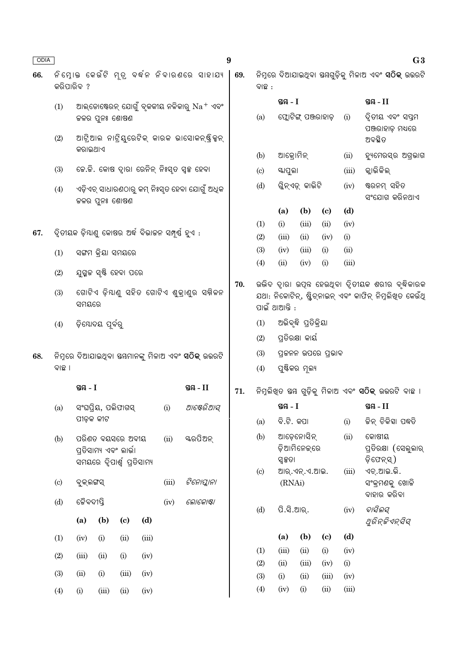| ODIA |                                                            |                                                             |                                                                           |      |                                                       |       |                                                       | $\boldsymbol{9}$             |                              |                   |                                       |                    |       | G3                                                                                                            |
|------|------------------------------------------------------------|-------------------------------------------------------------|---------------------------------------------------------------------------|------|-------------------------------------------------------|-------|-------------------------------------------------------|------------------------------|------------------------------|-------------------|---------------------------------------|--------------------|-------|---------------------------------------------------------------------------------------------------------------|
| 66.  | କରିପାରିବ ?                                                 |                                                             |                                                                           |      |                                                       |       | ନିମ୍ନୋକ କେଉଁଟି ମୂତ୍ର ବର୍ଦ୍ଧନ ନିବାରଣରେ ସାହାଯ୍ୟ         | 69.                          | ବାଛ :                        |                   |                                       |                    |       | ନିମ୍ନରେ ଦିଆଯାଇଥିବା ସୟଗୁଡ଼ିକୁ ମିଳାଅ ଏବଂ <b>ସଠିକ୍</b> ଉତ୍ତରଟି                                                   |
|      | (1)                                                        |                                                             |                                                                           |      |                                                       |       | ଆଲ୍ଡୋଷ୍ଟେରନ୍ ଯୋଗୁଁ ବ୍ଳକୀୟ ନଳିକାରୁ $\mathrm{Na^+}$ ଏବଂ |                              |                              | ସ୍ତୟ - I          |                                       |                    |       | ସ୍ତୟ $-II$                                                                                                    |
|      |                                                            |                                                             | ଜଳର ପୁନଃ ଶୋଷଣ                                                             |      |                                                       |       |                                                       |                              | (a)                          |                   | ଫ୍ଲୋଟିଙ୍ଗ୍ ପଞ୍ଜରାହାଡ଼                 |                    | (i)   | ଦ୍ୱିତୀୟ ଏବଂ ସପ୍ତମ<br>ପଞ୍ଜରାହାଡ଼ ମଧ୍ୟରେ                                                                        |
|      | (2)                                                        | କରାଇଥାଏ                                                     |                                                                           |      |                                                       |       | ଆଟ୍ରିଆଲ ନାଟ୍ରିୟୁରେଟିକ୍ କାରକ ଭାସୋକନ୍ଷ୍ଟିକ୍ସନ୍          |                              |                              |                   |                                       |                    |       | ଅବସ୍ଥିତ                                                                                                       |
|      |                                                            |                                                             |                                                                           |      |                                                       |       |                                                       |                              | (b)                          | ଆକ୍ରୋମିନ୍<br>(ii) |                                       |                    |       | ହ୍ୟମେରସ୍ର ଅଗ୍ରଭାଗ                                                                                             |
|      | (3)                                                        |                                                             |                                                                           |      |                                                       |       | ଜେ.ଜି. କୋଷ ଦ୍ୱାରା ରେନିନ୍ ନିଃସ୍ତ ସ୍ୱଳ୍ପ ହେବା           |                              | (c)                          |                   | ୟାପୁଲା                                |                    |       | କ୍ଲାଭିକିଲ୍                                                                                                    |
|      | (4)                                                        |                                                             | ଜଳର ପୁନଃ ଶୋଷଣ                                                             |      |                                                       |       | ଏଡ଼ିଏଚ୍ ସାଧାରଣଠାରୁ କମ୍ ନିଃସୃତ ହେବା ଯୋଗୁଁ ଅଧିକ         |                              | (d)                          |                   | ଗ୍ଳିନ୍ଏଡ଼୍ କାଭିଟି                     |                    | (iv)  | ଷ୍ଟରନମ୍ ସହିତ<br>ସଂଯୋଗ କରିନଥାଏ                                                                                 |
|      |                                                            |                                                             |                                                                           |      |                                                       |       |                                                       |                              |                              | (a)               | (b)                                   | (c)                | (d)   |                                                                                                               |
| 67.  |                                                            |                                                             |                                                                           |      | ିଦ୍ୱିତୀୟକ ଡ଼ିୟାଣୁ କୋଷର ଅର୍ଦ୍ଧ ବିଭାଜନ ସମ୍ପୂର୍ଣ୍ଣ ହୁଏ : |       |                                                       |                              | (1)                          | (i)               | (iii)                                 | (ii)               | (iv)  |                                                                                                               |
|      |                                                            |                                                             |                                                                           |      |                                                       |       |                                                       |                              | (2)                          | (iii)             | (ii)                                  | (iv)               | (i)   |                                                                                                               |
|      | (1)                                                        |                                                             | ସଙ୍ଗମ କ୍ରିୟା ସମୟରେ                                                        |      |                                                       |       |                                                       |                              | (3)                          | (iv)              | (iii)                                 | (i)                | (ii)  |                                                                                                               |
|      | ଯୁଗ୍ମଳ ସୃଷ୍ଟି ହେବା ପରେ<br>(2)                              |                                                             |                                                                           |      |                                                       |       |                                                       | (4)                          | (ii)                         | (iv)              | (i)                                   | (iii)              |       |                                                                                                               |
|      | ଗୋଟିଏ ଡ଼ିୟାଣୁ ସହିତ ଗୋଟିଏ ଶୁକ୍ରାଣୁର ସମ୍ମିଳନ<br>(3)<br>ସମୟରେ |                                                             |                                                                           |      |                                                       |       |                                                       | 70.                          |                              | ପାଇଁ ଥାଆନ୍ତି :    |                                       |                    |       | ଉଭିଦ ଦ୍ୱାରା ଉପ୍ନ ହେଉଥିବା ଦ୍ୱିତୀୟକ ଶରୀର ବୃଦ୍ଧିକାରକ<br>ଯଥା: ନିକୋଟିନ୍, ଷ୍ଟ୍ରିଚ୍ନାଇନ୍ ଏବଂ କାଫିନ୍ ନିମୁଲିଖିତ କେଉଁଥି |
|      | (4)                                                        | ଡ଼ିଯୋଦୟ ପୂର୍ବରୁ                                             |                                                                           |      |                                                       |       |                                                       |                              | (1)                          |                   | ଅଭିବୃଦ୍ଧି ପ୍ରତିକ୍ରିୟା                 |                    |       |                                                                                                               |
|      |                                                            |                                                             |                                                                           |      |                                                       |       |                                                       |                              | (2)                          |                   | ପ୍ରତିରକ୍ଷା କାର୍ୟ                      |                    |       |                                                                                                               |
| 68.  |                                                            | ନିମ୍ନରେ ଦିଆଯାଇଥିବା ସୟମାନଙ୍କୁ ମିଳାଅ ଏବଂ <b>ସଠିକ୍</b> ଉତ୍ତରଟି |                                                                           |      |                                                       |       |                                                       |                              | (3)                          |                   |                                       | ପ୍ରକନନ ଉପରେ ପ୍ରଭାବ |       |                                                                                                               |
|      | ବାଛ ।                                                      |                                                             |                                                                           |      |                                                       |       |                                                       |                              | (4)                          |                   | ପୁଷ୍ଟିକର ମୂଲ୍ୟ                        |                    |       |                                                                                                               |
|      |                                                            | ସ୍ତୟ - I                                                    |                                                                           |      |                                                       |       | ସ୍ଥ $-II$                                             | 71.                          |                              |                   |                                       |                    |       | ନିମ୍ନଲିଖିତ ସ୍ତୟ ଗୁଡ଼ିକୁ ମିଳାଅ ଏବଂ <b>ସଠିକ୍</b> ଉତ୍ତରଟି ବାଛ ।                                                  |
|      | (a)                                                        |                                                             | ସଂଘପ୍ରିୟ, ପଲିଫାଗସ୍                                                        |      |                                                       | (i)   | ଆଷେରିଆସ୍                                              |                              |                              | ସ୍ତୟ $-I$         |                                       |                    |       | ସ୍ତୟ $-II$                                                                                                    |
|      |                                                            | ପୀଡ଼କ କୀଟ                                                   |                                                                           |      |                                                       |       |                                                       |                              | (a)                          | ବି.ଟି. କପା        |                                       |                    | (i)   | କିନ୍ ଚିକିହା ପଦ୍ଧତି                                                                                            |
|      | (b)                                                        |                                                             | ପରିଣତ ବୟସରେ ଅବୀୟ<br>ପ୍ରତିସାମ୍ୟ ଏବଂ ଲାର୍ଭା<br>ସମୟରେ ଦ୍ୱିପାର୍ଶ୍ୱ ପ୍ରତିସାମ୍ୟ |      |                                                       | (ii)  | ୟରପିଅନ୍                                               |                              | (b)                          |                   | ଆଡ଼େନୋସିନ୍<br>ଡ଼ିଆମିନେକ୍ରେ<br>ସ୍ୱକ୍ତା |                    | (ii)  | କୋଷୀୟ<br>ପ୍ରତିରକ୍ଷା (ସେଲୁଲାର୍<br>ଡ଼ିଫେନ୍ସ୍)                                                                   |
|      | $\left( \mathrm{c}\right)$                                 | ବୁକ୍ଲଙ୍ଗସ୍                                                  |                                                                           |      |                                                       | (iii) | ଟିନୋପ୍ଲାନା                                            |                              | (c)                          | (RNAi)            | ଆର୍.ଏନ୍.ଏ.ଆଇ.                         |                    | (iii) | ଏଚ୍.ଆଇ.ଭି.<br>ସଂକ୍ରମଣକୁ ଖୋଜି                                                                                  |
|      | (d)                                                        | ଜୈବଦୀପ୍ତି                                                   |                                                                           |      |                                                       | (iv)  | ଲୋକୋଷ୍ଟା                                              |                              |                              |                   |                                       |                    |       | ବାହାର କରିବା                                                                                                   |
|      |                                                            | (b)<br>(d)<br>(a)<br>$\left( \mathbf{c} \right)$            |                                                                           |      |                                                       |       |                                                       |                              | (d)                          | ପି.ସି.ଆର୍.        |                                       |                    | (iv)  | ବାସିଲସ୍<br>ଥୁରିନ୍ଜିଏନ୍ସିସ୍                                                                                    |
|      | (1)                                                        | (i)<br>(iv)<br>(ii)<br>(iii)                                |                                                                           |      |                                                       |       |                                                       | (a)                          | (b)                          | (c)               | (d)                                   |                    |       |                                                                                                               |
|      | (2)                                                        | (iii)                                                       | (ii)                                                                      | (i)  | (iv)                                                  |       |                                                       |                              | (1)                          | (iii)             | (ii)                                  | (i)                | (iv)  |                                                                                                               |
|      |                                                            |                                                             |                                                                           |      |                                                       |       | (2)                                                   | (ii)<br>(i)<br>(iii)<br>(iv) |                              |                   |                                       |                    |       |                                                                                                               |
|      | (3)                                                        | (iii)<br>(ii)<br>(i)<br>(iv)                                |                                                                           |      |                                                       |       |                                                       | (3)                          | (i)<br>(ii)<br>(iii)<br>(iv) |                   |                                       |                    |       |                                                                                                               |
|      | (4)                                                        | (i)                                                         | (iii)                                                                     | (ii) | (iv)                                                  |       |                                                       |                              | (4)                          | (iv)              | (i)                                   | (ii)               | (iii) |                                                                                                               |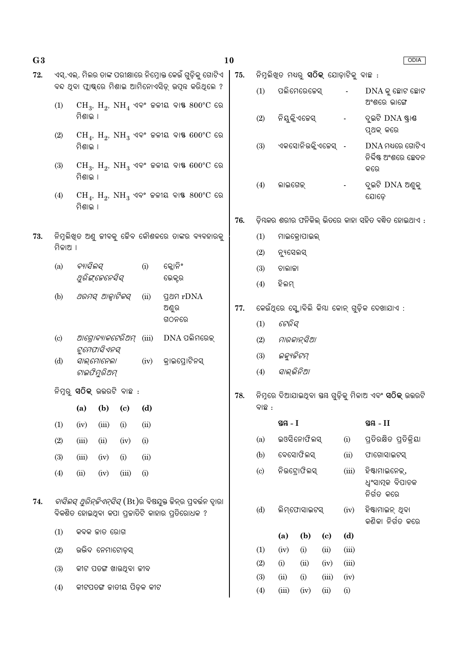| G <sub>3</sub> |                                                                                                                     |                                                              |                 |                                  |      |                                                                                                                 | <b>10</b><br>ODIA |                                                     |           |                                                |                             |       |                                              |  |  |
|----------------|---------------------------------------------------------------------------------------------------------------------|--------------------------------------------------------------|-----------------|----------------------------------|------|-----------------------------------------------------------------------------------------------------------------|-------------------|-----------------------------------------------------|-----------|------------------------------------------------|-----------------------------|-------|----------------------------------------------|--|--|
| 72.            |                                                                                                                     |                                                              |                 |                                  |      | ଏସ୍.ଏଲ୍. ମିଲର ତାଙ୍କ ପରୀକ୍ଷାରେ ନିମ୍ନୋକ୍ତ କେଉଁ ଗୁଡ଼ିକୁ ଗୋଟିଏ                                                      | 75.               |                                                     |           | ନିମ୍ନଲିଖିତ ମଧ୍ୟରୁ <b>ସଠିକ୍</b> ଯୋଡ଼ାଟିକୁ ବାଛ : |                             |       |                                              |  |  |
|                | (1)                                                                                                                 |                                                              |                 |                                  |      | ବନ୍ଦ ଥିବା ଫ୍ଲାଷ୍କରେ ମିଶାଇ ଆମିନୋଏସିଡ଼୍ ଉପୂନ କରିଥିଲେ ?<br>$CH_3$ , $H_2$ , $NH_4$ ଏବଂ ଜଳୀୟ ବାଷ $800^{\circ}$ C ରେ |                   | (1)                                                 |           | ପଲିମେରେଜେସ୍                                    |                             |       | $DNA$ କୁ ଛୋଟ ଛୋଟ<br>ଅଂଶରେ ଭାଙ୍ଗେ             |  |  |
|                |                                                                                                                     | ମିଶାଇ ।                                                      |                 |                                  |      |                                                                                                                 |                   | (2)                                                 |           | ନିୟୁକ୍ଳିଏଜେସ୍                                  |                             |       | ଦୁଇଟି DNA ଷ୍ଟାଣ୍ଡ<br>ପୂଥକ୍ କରେ               |  |  |
|                | (2)                                                                                                                 | ମିଶାଇ ।                                                      |                 |                                  |      | $CH_4$ , $H_2$ , $NH_3$ ଏବଂ ଜଳୀୟ ବାଷ $600^{\circ}$ C ରେ                                                         |                   | (3)                                                 |           | ଏକସୋନିଉକ୍ଳିଏଜେସ୍ -                             |                             |       | $DNA$ ମଧ୍ୟରେ ଗୋଟିଏ<br>ନିର୍ଦ୍ଦିଷ୍ଟ ଅଂଶରେ ଛେଦନ |  |  |
|                | (3)                                                                                                                 | ମିଶାଇ ।                                                      |                 |                                  |      | $CH_3$ , $H_2$ , $NH_3$ ଏବଂ ଜଳୀୟ ବାଷ $600^{\circ}$ C ରେ                                                         |                   | (4)                                                 | ଲାଇଗେକ୍   |                                                |                             |       | କରେ<br>ଦୁଇଟି DNA ଅଣ୍ଡକୁ                      |  |  |
|                | (4)                                                                                                                 | ମିଶାଇ ।                                                      |                 |                                  |      | $CH_4$ , $H_2$ , $NH_3$ ଏବଂ ଜଳୀୟ ବାଷ୍ଟ $800^{\circ}$ C ରେ                                                       |                   | ଯୋଡ଼େ                                               |           |                                                |                             |       |                                              |  |  |
|                |                                                                                                                     |                                                              |                 |                                  |      |                                                                                                                 | 76.               | ଡ଼ିୟକର ଶରୀର ଫନିକିଲ୍ ଭିତରେ କାହା ସହିତ ବନ୍ଧିତ ହୋଇଥାଏ : |           |                                                |                             |       |                                              |  |  |
| 73.            |                                                                                                                     |                                                              |                 |                                  |      | ନିମ୍ନଲିଖିତ ଅଣ୍ଡ ଜୀବକୁ ଜୈବ କୌଶଳରେ ତାଙ୍କର ବ୍ୟବହାରକୁ                                                               |                   | (1)                                                 |           | ମାଇକ୍ରୋପାଇଲ୍                                   |                             |       |                                              |  |  |
|                | ମିଳାଅ ।                                                                                                             |                                                              |                 |                                  |      |                                                                                                                 |                   | (2)                                                 | ନ୍ୟୁସେଲସ୍ |                                                |                             |       |                                              |  |  |
|                | (a)                                                                                                                 | ବ୍ୟାସିଲସ୍<br>କ୍ଲୋନିଂ<br>(i)<br>ଥିରିଙ୍କେନେସିସ୍<br>ଭେକ୍ଟର      |                 |                                  |      |                                                                                                                 |                   | (3)                                                 | ଚାଲାକା    |                                                |                             |       |                                              |  |  |
|                |                                                                                                                     |                                                              |                 |                                  |      |                                                                                                                 | ହିଲମ୍<br>(4)      |                                                     |           |                                                |                             |       |                                              |  |  |
|                | (b)                                                                                                                 | ଥରମସ୍ ଆଳ୍ୱାଟିକସ୍                                             |                 |                                  | (ii) | <b>gag rDNA</b><br>ଅଣୁର                                                                                         | 77.               |                                                     |           |                                                |                             |       | କେଉଁଥିରେ ସ୍କୋବିଲି କିୟା କୋନ୍ ଗୁଡ଼ିକ ଦେଖାଯାଏ : |  |  |
|                |                                                                                                                     |                                                              |                 |                                  |      | ଗଠନରେ                                                                                                           |                   | (1)                                                 | ଟେରିସ୍    |                                                |                             |       |                                              |  |  |
|                | (c)                                                                                                                 | $DNA$ ପଲିମରେକ୍<br>ଆଗ୍ରୋବ୍ୟାକଟେରିଅମ୍<br>(iii)<br>ଟୁମେପାସିଏନସ୍ |                 |                                  |      |                                                                                                                 |                   | (2)                                                 |           | ମାରକାନ୍ସିଆ                                     |                             |       |                                              |  |  |
|                | (d)                                                                                                                 |                                                              | ସାଲ୍ମୋନେଲା      |                                  | (iv) | କ୍ରାଇପ୍ରୋଟିନସ୍                                                                                                  |                   | ଇକ୍ୟୁଜିଟମ୍<br>(3)                                   |           |                                                |                             |       |                                              |  |  |
|                |                                                                                                                     |                                                              | ଟାଇଫିମୁରିଅମ୍    |                                  |      |                                                                                                                 |                   | ସାଲ୍ଭିନିଆ<br>(4)                                    |           |                                                |                             |       |                                              |  |  |
|                |                                                                                                                     |                                                              |                 | ନିମ୍ନରୁ <b>ସଠିକ୍</b> ଉଭରଟି ବାଛ : |      |                                                                                                                 | 78.               | ବାଛ :                                               |           |                                                |                             |       |                                              |  |  |
|                |                                                                                                                     | (a)                                                          | (b)             | $\left( \mathbf{c} \right)$      | (d)  |                                                                                                                 |                   |                                                     | ସ୍ତୟ - I  |                                                |                             |       | ସ୍ତୟ $-II$                                   |  |  |
|                | (1)                                                                                                                 | (iv)                                                         | (iii)           | (i)                              | (ii) |                                                                                                                 |                   | (a)                                                 |           | ଇଓସିନୋଫିଲସ୍                                    |                             | (i)   | ପ୍ତିରକ୍ଷିତ ପ୍ତିକ୍ିୟା                         |  |  |
|                | (2)                                                                                                                 | (iii)                                                        | (ii)            | (iv)                             | (i)  |                                                                                                                 |                   | (b)                                                 |           | ବେସୋଫିଲସ୍                                      |                             | (ii)  | ଫାଗୋସାଇଟସ୍                                   |  |  |
|                | (3)                                                                                                                 | (iii)                                                        | (iv)            | (i)                              | (ii) |                                                                                                                 |                   | (c)                                                 |           | ନିଉଟ୍ରୋଫିଲସ୍                                   |                             | (iii) | ହିଷ୍ଟାମାଇନେକ୍,                               |  |  |
|                | (4)                                                                                                                 | (ii)                                                         | (iv)            | (iii)                            | (i)  |                                                                                                                 |                   |                                                     |           |                                                |                             |       | ଧ୍ୱଂସାତ୍ପକ ବିପାଚକ<br>ନିର୍ଗତ କରେ              |  |  |
| 74.            | <i>ବାସିଲସ୍ ଥ୍ରିନ୍ଚିଏନ୍ସିସ୍</i> (Bt)ର ବିଷଯୁକ୍ତ ଜିନ୍ର ପ୍ବର୍ଭନ ଦାୁରା<br>ବିକଶିତ ହୋଇଥିବା କପା ପ୍ରଜାତିଟି କାହାର ପ୍ରତିରୋଧକ ? |                                                              |                 |                                  |      |                                                                                                                 |                   | (d)                                                 |           | ଲିମ୍ଫୋସାଇଟସ୍                                   |                             | (iv)  | ହିଷ୍ଟାମାଇନ୍ ଥିବା<br>କଣିକା ନିର୍ଗତ କରେ         |  |  |
|                | (1)<br>କବକ ଜାତ ରୋଗ                                                                                                  |                                                              |                 |                                  |      |                                                                                                                 |                   |                                                     | (a)       | (b)                                            | $\left( \mathbf{c} \right)$ | (d)   |                                              |  |  |
|                | (2)                                                                                                                 |                                                              | ଉଭିଦ ନେମାଟୋଡ଼ସ୍ |                                  |      |                                                                                                                 |                   | (1)                                                 | (iv)      | (i)                                            | (ii)                        | (iii) |                                              |  |  |
|                | (3)                                                                                                                 | କୀଟ ପତଙ୍ଗ ଖାଉଥିବା ଜୀବ                                        |                 |                                  |      |                                                                                                                 |                   | (2)                                                 | (i)       | (ii)                                           | (iv)                        | (iii) |                                              |  |  |
|                |                                                                                                                     | କୀଟପତଙ୍ଗ କାତୀୟ ପିଡ଼କ କୀଟ                                     |                 |                                  |      |                                                                                                                 |                   | (3)                                                 | (ii)      | (i)                                            | (iii)                       | (iv)  |                                              |  |  |
|                | (4)                                                                                                                 |                                                              |                 |                                  |      |                                                                                                                 | (4)               | (iii)                                               | (iv)      | (ii)                                           | (i)                         |       |                                              |  |  |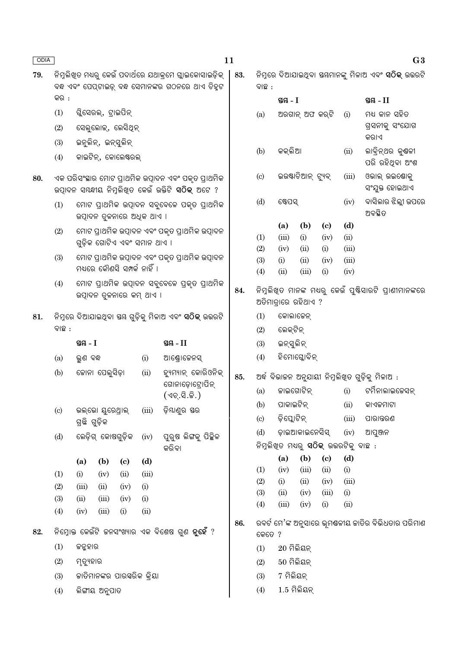| ODIA |                            |                                                                                                                    |                                                |                                              | 11         |                      |                                                         |                             |                                              |                                                    | G3                                                          |
|------|----------------------------|--------------------------------------------------------------------------------------------------------------------|------------------------------------------------|----------------------------------------------|------------|----------------------|---------------------------------------------------------|-----------------------------|----------------------------------------------|----------------------------------------------------|-------------------------------------------------------------|
| 79.  |                            | ନିମ୍ନଲିଖ୍ତ ମଧ୍ୟରୁ କେଉଁ ପଦାର୍ଥରେ ଯଥାକ୍ରମେ ଗ୍ଲାଇକୋସାଇଡ଼ିକ୍<br>ବନ୍ଧ ଏବଂ ପେପ୍ଟାଇଡ୍ ବନ୍ଧ ସେମାନଙ୍କର ଗଠନରେ ଥାଏ ଚିହୁଟ      |                                                |                                              | 83.        | ବାଛ :                |                                                         |                             |                                              |                                                    | ନିମ୍ନରେ ଦିଆଯାଇଥିବା ସୟମାନଙ୍କୁ ମିଳାଅ ଏବଂ <b>ସଠିକ୍</b> ଉତ୍ତରଟି |
|      | କର :                       |                                                                                                                    |                                                |                                              |            |                      | ସ୍ତୟ - I                                                |                             |                                              |                                                    | ସ୍ଥ $-II$                                                   |
|      | (1)                        | ଗୁିସେରଲ୍, ଟ୍ରାଇପିନ୍                                                                                                |                                                |                                              |            | (a)                  |                                                         | ଅରଗାନ୍ ଅଫ କର୍ଟି             |                                              | (i)                                                | ମଧ୍ୟ କାନ ସହିତ                                               |
|      | (2)<br>(3)                 | ସେଲୁଲୋଇ୍, ଲେସିଥିନ୍<br>ଇନୁଲିନ୍, ଇନ୍ସୁଲିନ୍                                                                           |                                                |                                              |            |                      |                                                         |                             |                                              |                                                    | ଗ୍ରସନୀକୁ ସଂଯୋଗ<br>କର।ଏ                                      |
|      | (4)                        | କାଇଟିନ୍, କୋଲେଷ୍ଟରଲ୍                                                                                                |                                                |                                              |            | (b)                  | କକ୍ଲିଆ                                                  |                             |                                              | (ii)                                               | ଲାବ୍ରିନ୍ଥର କୁଣ୍ଠଳୀ<br>ପରି ରହିଥିବା ଅଂଶ                       |
| 80.  |                            | ଏକ ପରିସଂସ୍ଥାର ମୋଟ ପ୍ରାଥମିକ ଉତ୍ପାଦନ ଏବଂ ପକୃତ ପ୍ରାଥମିକ<br>ଉତ୍ପାଦନ ସୟନ୍ଧୀୟ ନିମ୍ନଲିଖିତ କେଉଁ ଉକ୍ତିଟି <b>ସଠିକ୍</b> ଅଟେ ? |                                                |                                              |            | (c)                  |                                                         | ଇଉଷ୍ଟାଚିଆନ୍ ଟ୍ୟୁବ୍          |                                              | (iii)                                              | ଓଭାଲ୍ ଉଇଷୋକୁ<br>ସଂଯୁକ୍ତ ହୋଇଥାଏ                              |
|      | (1)                        | ଉତ୍ପାଦନ ତୁଳନାରେ ଅଧିକ ଥାଏ ।                                                                                         |                                                | ମୋଟ ପ୍ରାଥମିକ ଉତ୍ପାଦନ ସବୁବେଳେ ପକୃତ ପ୍ରାଥମିକ   |            | (d)                  | ଷ୍ଟେପସ୍                                                 |                             |                                              | (iv)                                               | ବାସିଲାର ଝିଲ୍ଲୀ ଉପରେ<br>ଅବସ୍ଥିତ                              |
|      | (2)                        |                                                                                                                    | ମୋଟ ପ୍ରାଥମିକ ଉତ୍ପାଦନ ଏବଂ ପକୃତ ପ୍ରାଥମିକ ଉତ୍ପାଦନ |                                              |            | (a)                  | (b)                                                     | $\left( \mathbf{c} \right)$ | (d)                                          |                                                    |                                                             |
|      |                            | ଗୁଡ଼ିକ ଗୋଟିଏ ଏବଂ ସମାନ ଥାଏ ।                                                                                        |                                                |                                              | (1)<br>(2) | (iii)<br>(iv)        | (i)<br>(ii)                                             | (iv)<br>(i)                 | (ii)<br>(iii)                                |                                                    |                                                             |
|      | (3)                        |                                                                                                                    | ମୋଟ ପ୍ରାଥମିକ ଉତ୍ପାଦନ ଏବଂ ପକୃତ ପ୍ରାଥମିକ ଉତ୍ପାଦନ |                                              | (3)        | (i)                  | (ii)                                                    | (iv)                        | (iii)                                        |                                                    |                                                             |
|      |                            | ମଧ୍ୟରେ କୌଣସି ସମ୍ପର୍କ ନାହିଁ ।                                                                                       |                                                |                                              | (4)        | (ii)                 | (iii)                                                   | (i)                         | (iv)                                         |                                                    |                                                             |
|      | (4)                        | ଉତ୍ପାଦନ ତ୍ରଳନାରେ କମ୍ ଥାଏ ।                                                                                         |                                                | ମୋଟ ପ୍ରାଥମିକ ଉତ୍ପାଦନ ସବୁବେଳେ ପ୍ରକୃତ ପ୍ରାଥମିକ | 84.        | ଅତିମାତ୍ରାରେ ରହିଥାଏ ? | ନିମୁଲିଖିତ ମାନଙ୍କ ମଧ୍ୟରୁ କେଉଁ ପୁଷ୍ଟିସାରଟି ପ୍ରାଣୀମାନଙ୍କରେ |                             |                                              |                                                    |                                                             |
| 81.  |                            |                                                                                                                    |                                                |                                              |            | (1)                  | କୋଲାଜେନ୍                                                |                             |                                              |                                                    |                                                             |
|      | ବାଛ :                      |                                                                                                                    |                                                |                                              | (2)        | ଲେକ୍ଟିନ୍             |                                                         |                             |                                              |                                                    |                                                             |
|      |                            | ସ୍ତୟ - I                                                                                                           |                                                | ସ୍ତୟ $-II$                                   |            | (3)                  | ଇନ୍ସୁଲିନ୍                                               |                             |                                              |                                                    |                                                             |
|      | (a)                        | ଭୁଣ ବନ୍ଧ                                                                                                           | (i)                                            | ଆଣ୍ଡ୍ରୋଜେନସ୍                                 |            | (4)                  | ହିମୋଗ୍ଳୋବିନ୍                                            |                             |                                              |                                                    |                                                             |
|      | (b)                        | ଜୋନା ପେଲୁସିଡ଼ା                                                                                                     | (ii)                                           | ହ୍ୟୁମ୍ୟାନ୍ କୋରିଓନିକ୍<br>ଗୋନାଡ଼ୋଟ୍ରୋପିନ୍      | 85.        |                      |                                                         |                             |                                              |                                                    | ଅର୍ଦ୍ଧ ବିଭାଜନ ଅନୁଯାୟୀ ନିମ୍ନଲିଖିତ ଗୁଡ଼ିକୁ ମିଳାଅ :            |
|      |                            |                                                                                                                    |                                                | (ଏଚ୍.ସି.ଜି.)                                 |            | (a)                  |                                                         | ଜାଇଗୋଟିନ୍                   |                                              | (i)                                                | ଟର୍ମିନାଲାଇଜେସନ୍                                             |
|      | $\left( \mathrm{c}\right)$ | ଭଲ୍ଭୋ ୟୁରେଥ୍ରାଲ୍                                                                                                   | (iii)                                          | ଡ଼ିଯାଣୁର ସର                                  |            | (b)                  | ପାକାଇଟିନ୍                                               |                             |                                              | (ii)                                               | କାଏକମାଟା                                                    |
|      |                            | ଗ୍ରଛି ଗୁଡ଼ିକ                                                                                                       |                                                |                                              |            | (c)                  | ଡ଼ିପ୍ଲୋଟିନ୍                                             |                             |                                              | (iii)                                              | ପାରାନ୍ତରଣ                                                   |
|      | (d)                        | ଲେଡ଼ିଗ୍ କୋଷଗୁଡ଼ିକ                                                                                                  | (iv)                                           | ପୁରୁଷ ଲିଙ୍ଗକୁ ପିଚ୍ଛିଳ                        |            | (d)                  |                                                         | ଡ଼ାଇଆକାଇନେସିସ୍              |                                              | (iv)                                               | ଆପୁଞ୍ଜନ                                                     |
|      |                            |                                                                                                                    |                                                | କରିବା                                        |            |                      |                                                         |                             | ନିମ୍ନଲିଖିତ ମଧ୍ୟରୁ <b>ସଠିକ୍</b> ଉଭରଟିକୁ ବାଛ : |                                                    |                                                             |
|      |                            | (a)<br>(b)<br>$\left( \mathbf{c} \right)$                                                                          | (d)                                            |                                              |            |                      | (a)                                                     | (b)                         | $\left( \mathrm{e}\right)$                   | (d)                                                |                                                             |
|      | (1)                        | (i)<br>(ii)<br>(iv)                                                                                                | (iii)                                          |                                              |            | (1)<br>(2)           | (iv)<br>(i)                                             | (iii)<br>(ii)               | (ii)<br>(iv)                                 | (i)<br>(iii)                                       |                                                             |
|      | (2)                        | (ii)<br>(iii)<br>(iv)                                                                                              | (i)<br>(i)                                     |                                              |            | (3)                  | (ii)                                                    | (iv)                        | (iii)                                        | (i)                                                |                                                             |
|      | (3)<br>(4)                 | (ii)<br>(iii)<br>(iv)<br>(iv)<br>(iii)<br>(i)                                                                      |                                                |                                              | (4)        | (iii)                | (iv)                                                    | (i)                         | (ii)                                         |                                                    |                                                             |
| 82.  |                            | ନିମ୍ନୋକ୍ତ କେଉଁଟି ଚ୍ଚନସଂଖ୍ୟାର ଏକ ବିଶେଷ ଗୁଣ <b>ନୁହେଁ</b> ?                                                           |                                                | 86.                                          | କେତେ ?     |                      |                                                         |                             |                                              | ରବର୍ଟ ମେ'ଙ୍କ ଅନୁସାରେ ଭୂମୟଳୀୟ ଜାତିର ବିଭିଧତାର ପରିମାଣ |                                                             |
|      | (1)                        | ଜନ୍ମହାର                                                                                                            |                                                |                                              | (1)        | $20$ ମିଲିୟନ୍         |                                                         |                             |                                              |                                                    |                                                             |
|      | (2)                        | ମୃତ୍ୟୁହାର                                                                                                          |                                                |                                              |            | $50$ ମିଲିୟନ୍<br>(2)  |                                                         |                             |                                              |                                                    |                                                             |
|      | (3)                        | କାତିମାନଙ୍କର ପାରସ୍କରିକ କ୍ରିୟା                                                                                       |                                                |                                              |            | (3)                  | 7 ମିଲିୟନ୍                                               |                             |                                              |                                                    |                                                             |
|      | (4)                        | ଲିଙ୍ଗୀୟ ଅନୁପାତ                                                                                                     |                                                |                                              |            | (4)                  |                                                         | $1.5$ ମିଲିୟନ୍               |                                              |                                                    |                                                             |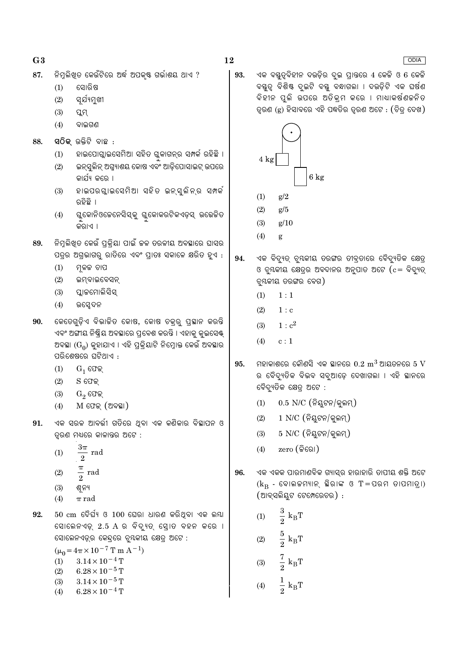$G<sub>3</sub>$ 

- ନିମୁଲିଖତ କେଉଁଟିରେ ଅର୍ଦ୍ଧ ଅପକ୍ଷ୍ଟ ଗର୍ଭାଶୟ ଥାଏ ? 87.
	- ସୋରିଷ  $(1)$
	- $(2)$ ସର୍ଯ୍ୟମଖୀ
	- $(3)$ ପ୍ଲମ୍
	- $(4)$ ବାଇଗଣ
- 88. ସ $\widehat{O}$ କ୍ ଉକ୍ତିଟି ବାଛ $\,$  :
	- ହାଇପୋଗ୍ଲାଇସେମିଆ ସହିତ ଗ୍ଲକାଗନ୍ର ସମ୍ପର୍କ ରହିଛି ।  $(1)$
	- ଇନ୍ସ୍ରଲିନ୍ ଅଗ୍ନ୍ୟାଶୟ କୋଷ ଏବଂ ଆଡ଼ିପୋସାଇଟ୍ ଉପରେ  $(2)$ କାର୍ଯ୍ୟ କରେ ।
	- $(3)$ ହାଇପରଗ୍ଳାଇସେମିଆ ସହିତ ଇନ୍ସୁଲିନ୍ର ସମ୍ବର୍ ରହିଛି ।
	- ଗ୍ଲକୋନିଓଜେନେସିସ୍କୁ ଗୁକୋକରଟିକଏଡ଼ସ୍ ଉତ୍ତେକିତ  $(4)$ କରାଏ ।
- ିନିମୁଲିଖିତ କେଉଁ ପ୍ରକ୍ରିୟା ପାଇଁ କଳ ତରଳୀୟ ଅବସ୍ଥାରେ ଘାସର 89. ପତ୍ରର ଅଗ୍ରଭାଗରୁ ରାତିରେ ଏବଂ ପ୍ରାତଃ ସକାଳେ କ୍ଷରିତ ହୁଏ :
	- $(1)$ ମ୍ନଳକ ଚାପ
	- $(2)$ ଇମ୍ବାଇବେସନ୍
	- $(3)$ ପ୍ଲାକମୋଲିସିସ
	- $(4)$ ଉପ୍ସେଦନ
- କେତେଗ୍ଡିଏ ବିଭାଜିତ କୋଷ, କୋଷ ଚକ୍ର ପ୍ଲୟାନ କରନ୍ତି 90. ଏବଂ ଅଙ୍ଗୀୟ ନିଷ୍କିୟ ଅବସ୍ଥାରେ ପ୍ରବେଶ କରନ୍ତି । ଏହାକ୍ କ୍ଇସେଷ୍ଟ୍ ଅବସ୍ଥା ( $G_0$ ) କୁହାଯାଏ । ଏହି ପୁକ୍ଲିୟାଟି ନିମ୍ନୋକ୍ତ କେଉଁ ଅବସ୍ଥାର ପରିଶେଷରେ ଘଟିଥାଏ :
	- $G_1$  ଫେକ୍  $(1)$
	- $(2)$  $S$  ଫେକ
	- $(3)$  $G_2$  ଫେକ୍
	- $M$  ଫେକ୍ (ଅବସ୍ଥା)  $(4)$
- ଏକ ସରଳ ଆବର୍ତ୍ତୀ ଗତିରେ ଥିବା ଏକ କଣିକାର ବିସ୍ଥାପନ ଓ 91. ତ୍ରଣ ମଧ୍ୟରେ କାଳାନ୍ତର ଅଟେ :
	- $3\pi$  $(1)$ rad  $\overline{2}$
	- $\frac{\pi}{2}$  rad  $(2)$
	- $(3)$ ଶ୍ୱନ୍ୟ
	- $(4)$  $\pi$  rad
- 92.  $50 \text{ cm}$  ଦୈର୍ଘ୍ୟ ଓ  $100$  ଘେରା ଧାରଣ କରିଥିବା ଏକ ଲୟା ସୋଲେନଏଡ଼୍ 2.5 A ର ବିଦ୍ୟୁତ୍ ସ୍ରୋଡ ବହନ କରେ । ସୋଲେନଏଡ୍ର କେନ୍ଦ୍ରରେ ବୃୟକୀୟ କ୍ଷେତ୍ର ଅଟେ :
	- $(\mu_0 = 4\pi \times 10^{-7} \text{ T m A}^{-1})$  $3.14\times10^{-4}\,\mathrm{T}$  $(1)$
	- $(2)$  $6.28 \times 10^{-5}$  T
	- $3.14\times10^{-5}\,\mathrm{T}$  $(3)$
	- $6.28 \times 10^{-4}$  T  $(4)$

93. ଏକ ବୟତ୍ତବିହୀନ ଦଉଡ଼ିର ଦ୍ଲ ପ୍ରାନ୍ତରେ 4 କେଜି ଓ 6 କେଜି ବୟୁତ୍ୱ ବିଶିଷ୍ଟ ଦୁଇଟି ବୟୁ ବନ୍ଧାଗଲା । ଦଉଡ଼ିଟି ଏକ ଘର୍ଷଣ ବିହୀନ ପ୍ଲି ଉପରେ ଅତିକ୍ମ କରେ । ମାଧାକର୍ଷଣଚ୍ଚନିତ ତ୍ୱରଣ (g) ହିସାବରେ ଏହି ପଦ୍ଧତିର ତୃରଣ ଅଟେ : (ଚିତ୍ର ଦେଖ)



 $g/5$ 

- $(3)$  $g/10$  $(4)$ g ଏକ ବିଦ୍ୟୁତ୍ ବୃୟକୀୟ ତରଙ୍ଗର ତୀବ୍ରତାରେ ବୈଦ୍ୟୁତିକ କ୍ଷେତ୍ର
- 94. ଓ ବୃୟକୀୟ କ୍ଷେତ୍ରର ଅବଦାନର ଅନୁପାତ ଅଟେ (c= ବିଦ୍ୟୁତ୍ ଚୁୟକୀୟ ତରଙ୍ଗର ବେଗ)
	- $1:1$  $(1)$

 $(2)$ 

- $(2)$  $1 : c$
- $1: c^2$  $(3)$
- $(4)$  $\ensuremath{\mathbf{c}}$  :  $1$
- 95. ମହାକାଶରେ କୌଣସି ଏକ ସ୍ଥାନରେ  $0.2~{\rm m}^3$  ଆୟତନରେ  $5~{\rm V}$ ର ବୈଦ୍ୟୁତିକ ବିଭବ ସବୁଆଡ଼େ ଦେଖାଗଲା । ଏହି ସ୍ଥାନରେ ବୈଦ୍ୟୁତିକ କ୍ଷେତ୍ର ଅଟେ :
	- $0.5$  N/C (ନିୟୁଟନ/କୁଲମ୍)  $(1)$
	- $1$  N/C (ନିୟଟନ/କୁଲମ୍)  $(2)$
	- $(3)$  $5$  N/C  $($ ନିୟୁଟନ/କୁଲମ୍ $)$
	- $zero$  (କିରୋ)  $(4)$
- ଏକ ଏକକ ପାରମାଣବିକ ଗ୍ୟାସ୍ର ହାରାହାରି ତାପୀୟ ଶକ୍ତି ଅଟେ 96.  $(k_R - \epsilon)$ କାଲଚ୍ଚମ୍ୟାନ୍ ଛିରାଙ୍କ ଓ T=ପରମ ତାପମାତ୍ରା) (ଆବ୍ସଲିୟୁଟ ଟେମ୍ପେରେଚର) :
	- $\frac{3}{2}$  $k_B T$  $(1)$  $\frac{5}{2}$  $k_B T$  $(2)$  $\frac{7}{2} k_B T$  $(3)$

$$
(4) \qquad \frac{1}{2} \; \mathbf{k}_{\mathrm{B}} \mathbf{T}
$$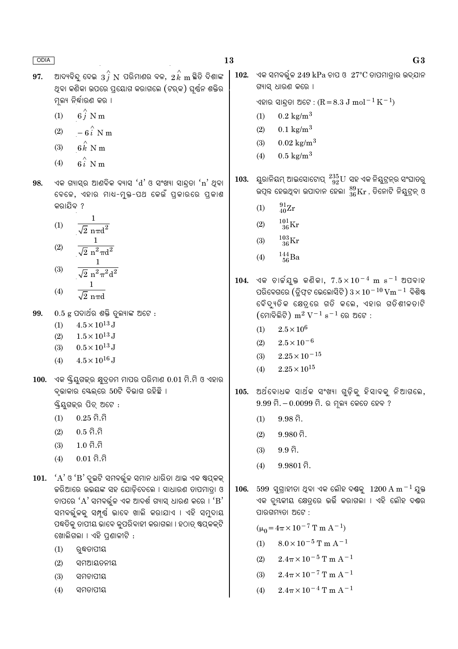| ODIA        |                                                                                                                                                        | 13   | G <sub>3</sub>                                                                                                                             |
|-------------|--------------------------------------------------------------------------------------------------------------------------------------------------------|------|--------------------------------------------------------------------------------------------------------------------------------------------|
| 97.         | ଆଦ୍ୟବିନ୍ଦୁ ଦେଇ $\,3\, \hat{j}\,$ $\! \mathrm{N} \,$ ପରିମାଣର ବଳ, $\,2\, \hat{k}\,$ m ଛିତି ଦିଶାଙ୍କ<br>ଥିବା କଣିକା ଉପରେ ପ୍ରୟୋଗ କରାଗଲେ (ଟର୍କ) ଘୂର୍ଷନ ଶକ୍ତିର | 102. | ଏକ ସମବର୍ତ୍ତୁଳ 249 $kPa$ ଚାପ ଓ $27^{\circ}$ C ତାପମାତ୍ରାର ଉଦ୍ଯାନ<br>ଗ୍ୟାସ୍ ଧାରଣ କରେ ।                                                        |
|             | ମୂଲ୍ୟ ନିର୍ଦ୍ଧାରଣ କର ।                                                                                                                                  |      | ଏହାର ସାନ୍ଦ୍ରତା ଅଟେ : (R = 8.3 J mol $^{-1}$ K $^{-1}$ )                                                                                    |
|             | $6\hat{j}$ N m<br>(1)                                                                                                                                  |      | $0.2 \text{ kg/m}^3$<br>(1)                                                                                                                |
|             | $-6\hat{i}$ N m<br>(2)                                                                                                                                 |      | $0.1 \text{ kg/m}^3$<br>(2)                                                                                                                |
|             | $6k$ N m<br>(3)                                                                                                                                        |      | $0.02 \text{ kg/m}^3$<br>(3)                                                                                                               |
|             |                                                                                                                                                        |      | $0.5 \text{ kg/m}^3$<br>(4)                                                                                                                |
|             | $6i$ N m<br>(4)                                                                                                                                        |      |                                                                                                                                            |
| 98.         | ଏକ ଗ୍ୟାସ୍ର ଆଣବିକ ବ୍ୟାସ 'd' ଓ ସଂଖ୍ୟା ସାନ୍ଦ୍ରତା 'n' ଥିବା<br>ବେଳେ, ଏହାର ମାଧ-ମୁକ୍ତ-ପଥ କେଉଁ ପ୍ରକାରରେ ପ୍ରକାଶ                                                 | 103. | ୟୁରାନିୟମ୍ ଆଇସୋଟୋପ୍ $^{235}_{\ 92}{\rm U}$ ସହ ଏକ ନିୟୁଟ୍ରନ୍ର ସଂଘାତରୁ<br>ଉତ୍ପନ୍ନ ହେଉଥିବା ଉପାଦାନ ହେଲା $^{89}_{36}\rm{Kr}$ , ତିନୋଟି ନିୟୁଟ୍ରନ୍ ଓ |
|             | କରାଯିବ ?                                                                                                                                               |      | $^{91}_{40}\rm{Zr}$<br>(1)                                                                                                                 |
|             | $\frac{1}{\sqrt{2} \pi d^2}$<br>(1)                                                                                                                    |      | $^{101}_{\phantom{1}36}\mathrm{Kr}$<br>(2)                                                                                                 |
|             |                                                                                                                                                        |      | $^{103}_{\phantom{1}36}\rm{Kr}$<br>(3)                                                                                                     |
|             | $\frac{1}{\sqrt{2} n^2 \pi d^2}$<br>(2)                                                                                                                |      |                                                                                                                                            |
|             |                                                                                                                                                        |      | $^{144}_{\ 56}$ Ba<br>(4)                                                                                                                  |
|             | $\frac{1}{\sqrt{2} \pi^2 \pi^2 d^2}$<br>(3)                                                                                                            | 104. | ଏକ ଚାର୍ଜଯୁକ୍ତ କଣିକା, $7.5 \times 10^{-4}$ m s $^{-1}$ ଅପବାହ                                                                                |
|             | $\frac{1}{\sqrt{2} \text{ n} \pi d}$<br>(4)                                                                                                            |      | ପରିବେଗରେ (ଡ୍ରିଫ୍ଟ ଭେଲୋସିଟି) $3 \times 10^{-10}$ $\rm V m^{-1}$ ବିଶିଷ୍ଟ                                                                     |
|             |                                                                                                                                                        |      | ବୈଦ୍ୟୁତିକ କ୍ଷେତ୍ରରେ ଗତି କଲେ, ଏହାର ଗତିଶୀଳତାଟି                                                                                               |
| 99.         | $0.5$ g ପଦାର୍ଥର ଶକ୍ତି ତୁଲ୍ୟାଙ୍କ ଅଟେ :                                                                                                                  |      |                                                                                                                                            |
|             | $4.5 \times 10^{13}$ J<br>(1)<br>$1.5 \times 10^{13}$ J<br>(2)                                                                                         |      | $2.5 \times 10^6$<br>(1)                                                                                                                   |
|             | $0.5 \times 10^{13}$ J<br>(3)                                                                                                                          |      | $2.5 \times 10^{-6}$<br>(2)                                                                                                                |
|             | $4.5 \times 10^{16}$ J<br>(4)                                                                                                                          |      | $2.25 \times 10^{-15}$<br>(3)                                                                                                              |
|             |                                                                                                                                                        |      | $2.25 \times 10^{15}$<br>(4)                                                                                                               |
| <b>100.</b> | ଏକ ୟ୍ରିୟୁଗକ୍ର କ୍ଷୁଦ୍ରତମ ମାପର ପରିମାଣ 0.01 ମି.ମି ଓ ଏହାର<br>ବୃଭାକାର ସ୍କେଲ୍ରେ 50ଟି ବିଭାଗ ରହିଛି ।                                                           |      |                                                                                                                                            |
|             | ୟ୍କିୟଗକ୍ର ପିଚ୍ ଅଟେ :                                                                                                                                   |      | 105. ଅର୍ଥବୋଧକ ସାର୍ଥକ ସଂଖ୍ୟା ଗୁଡ଼ିକୁ ହିସାବକୁ ନିଆଗଲେ,<br>$9.99$ ମି $. -0.0099$ ମି. ର ମୂଲ୍ୟ କେତେ ହେବ ?                                        |
|             | $0.25$ ମି.ମି<br>(1)                                                                                                                                    |      | $9.98$ ମି.                                                                                                                                 |
|             | $0.5$ ମି.ମି<br>(2)                                                                                                                                     |      | (1)                                                                                                                                        |
|             | $1.0$ ମି.ମି<br>(3)                                                                                                                                     |      | $9.980$ ମି.<br>(2)                                                                                                                         |
|             | $0.01$ ମି.ମି<br>(4)                                                                                                                                    |      | $9.9\,\hat{a}$ .<br>(3)                                                                                                                    |
|             |                                                                                                                                                        |      | $9.9801$ ମି.<br>(4)                                                                                                                        |
| 101.        | 'A' ଓ 'B' ଦୁଇଟି ସମବର୍ଜୁଳ ସମାନ ଧାରିତା ଥାଇ ଏକ ଷ୍ଟପ୍କକ୍                                                                                                   |      |                                                                                                                                            |
|             | କରିଆରେ ଉଭୟଙ୍କ ସହ ଯୋଡ଼ିଦେଲେ । ସାଧାରଣ ତାପମାତ୍ରା ଓ<br>ଚାପରେ ' $\mathrm{A}$ ' ସମବର୍ଜୁଳ ଏକ ଆଦର୍ଶ ଗ୍ୟାସ୍ ଧାରଣ କରେ । ' $\mathrm{B}^\star$                     | 106. | $599$ ସୁଗ୍ରାହୀତା ଥିବା ଏକ ଲୌହ ଦଶ୍ଚକୁ $1200 \text{ A m}^{-1}$ ଯୁକ୍ତ<br>ଏକ ଚୁ୍ୟକୀୟ କ୍ଷେତ୍ରରେ ଭର୍ତ୍ତି କରାଗଲା । ଏହି ଲୌହ ଦଣ୍ଡର                   |
|             | ସମବର୍ଜୁଳକୁ ସମ୍ପୂର୍ଣ୍ଣ ଭାବେ ଖାଲି କରାଯାଏ । ଏହି ସମୁଦାୟ                                                                                                    |      | ପାରଗମ୍ୟତା ଅଟେ :                                                                                                                            |
|             | ପଦ୍ଧତିକୁ ତାପୀୟ ଭାବେ କୁପରିବାହୀ କରାଗଲା । ହଠାତ୍ ଷ୍ଟପ୍କକ୍ଟି                                                                                                |      | $(\mu_0 = 4\pi \times 10^{-7} \text{ T m A}^{-1})$                                                                                         |
|             | ଖୋଲିଗଲା । ଏହି ପ୍ରଶାଳୀଟି :                                                                                                                              |      |                                                                                                                                            |
|             | (1)<br>ରୁଦ୍ଧତାପୀୟ                                                                                                                                      |      | $8.0\times10^{-5}\,\mathrm{T}$ m A $^{-1}$<br>(1)                                                                                          |
|             | (2)<br>ସମଆୟତନୀୟ                                                                                                                                        |      | $2.4\pi\times10^{-5}$ T m A <sup>-1</sup><br>(2)                                                                                           |
|             | (3)<br>ସମଚାପୀୟ                                                                                                                                         |      | $2.4\pi \times 10^{-7}$ T m A <sup>-1</sup><br>(3)                                                                                         |
|             | (4)<br>ସମତାପୀୟ                                                                                                                                         |      | $2.4\pi\times10^{-4}$ T m $\mathrm{A}^{-1}$<br>(4)                                                                                         |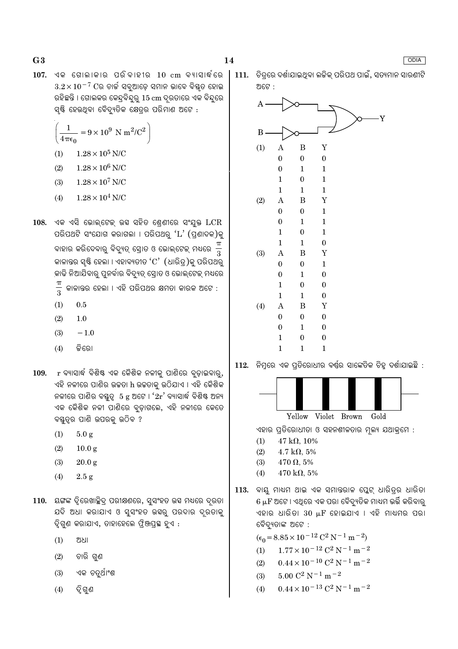$107.$  ଏକ ଗୋଲାକାର ପରିବାହୀର  $10 \text{ cm}$  ବ୍ୟାସାର୍ଦ୍ଧରେ  $3.2 \times 10^{-7}$  Cର ଚାର୍ଜ ସବୁଆଡ଼େ ସମାନ ଭାବେ ବିଷ୍ଣୂତ ହୋଇ ରହିଛନ୍ତି । ଗୋଲକର କେନ୍ଦ୍ବିନ୍ଦର୍ 15 cm ଦ୍ରତାରେ ଏକ ବିନ୍ଦରେ ସ୍ୟି ହେଉଥିବା ବୈଦ୍ୟୁତିକ କ୍ଷେତ୍ରର ପରିମାଣ ଅଟେ :

$$
\left(\frac{1}{4\pi\epsilon_0} = 9 \times 10^9 \text{ N m}^2/\text{C}^2\right)
$$

- $1.28 \times 10^5$  N/C  $(1)$
- $1.28 \times 10^6$  N/C  $(2)$
- $1.28 \times 10^7$  N/C  $(3)$
- $1.28 \times 10^4$  N/C  $(4)$
- $108.$  ଏକ ଏସି ଭୋଲ୍ଟେକ୍ ଉସ ସହିତ ଶ୍ରେଣୀରେ ସଂଯୁକ୍ତ  $LCR$ ପରିପଥଟି ସଂଯୋଗ କରାଗଲା । ପରିପଥରୁ ' $L$ ' (ପ୍ରଣାଦକ)କୁ ବାହାର କରିଦେବାରୁ ବିଦ୍ୟୁତ୍ ସ୍ରୋତ ଓ ଭୋଲ୍ଟେକ୍ ମଧ୍ୟରେ କାଳାନ୍ତର ସୃଷ୍ଟି ହେଲା । ଏହାବ୍ୟତୀତ ' $C'$  (ଧାରିତ୍ର)କୁ ପରିପଥରୁ କାଢି ନିଆଯିବାରୁ ପୁନର୍ବାର ବିଦ୍ୟୁତ୍ ସ୍ରୋତ ଓ ଭୋଲ୍ଟେକ୍ ମଧ୍ୟରେ
	- $\frac{\pi}{3}$ କାଳାନ୍ତର ହେଲା । ଏହି ପରିପଥର କ୍ଷମତା କାରକ ଅଟେ :
	- $(1)$  $0.5$
	- $(2)$  $1.0$
	- $(3)$  $-1.0$
	- କିରୋ  $(4)$
- 109. r ବ୍ୟାସାର୍ଦ୍ଧ ବିଶିଷ୍ଟ ଏକ କୈଶିକ ନଳୀକୁ ପାଣିରେ ବୃଡ଼ାଇବାରୁ, ଏହି ନଳୀରେ ପାଣିର ଉଚ୍ଚତା h ଉଚ୍ଚତାକୁ ଉଠିଯାଏ । ଏହି କୈଶିକ ନଳୀରେ ପାଣିର ବୟୁତ୍ୱ 5 g ଅଟେ ।  $2r'$  ବ୍ୟାସାର୍ଦ୍ଧ ବିଶିଷ୍ଟ ଅନ୍ୟ ଏକ କୈଶିକ ନଳୀ ପାଣିରେ ବୁଡ଼ାଗଲେ, ଏହି ନଳୀରେ କେତେ ବୟତ୍ର ପାଣି ଉପରକ୍ ଉଠିବ ?
	- $(1)$  $5.0 g$
	- $(2)$  $10.0 g$
	- $(3)$  $20.0 g$
	- $(4)$  $2.5 g$
- 110. ୟଙ୍ଗଙ୍କ ଦ୍ୱିରେଖାଚ୍ଛିଦ୍ର ପରୀକ୍ଷଣରେ, ସୁସଂହତ ଉସ ମଧ୍ୟରେ ଦୂରତା ଯଦି ଅଧା କରାଯାଏ ଓ ସୁସଂହତ ଉସ୍କର ପରଦାର ଦ୍ରତାକୁ ଦ୍ୱିଗୁଣ କରାଯାଏ, ତାହାହେଲେ ଫ୍ରିଞ୍ଜପ୍ରସ୍ଥ ହୁଏ :
	- $(1)$ ଅଧା
	- ଚାରି ଗୁଣ  $(2)$
	- ଏକ ଚତୁର୍ଥାଂଶ  $(3)$
	- $(4)$ ଦ୍ୱି ଗୁଣ

111. ଚିତ୍ରରେ ଦର୍ଶାଯାଇଥିବା ଲକିକ୍ ପରିପଥ ପାଇଁ, ସତ୍ୟମାନ ସାରଣୀଟି ଅଟେ :



112. ନିମ୍ନରେ ଏକ ପ୍ରତିରୋଧୀର ବର୍ଷର ସାଙ୍କେତିକ ଚିହ୍ନ ଦର୍ଶାଯାଇଛି :



Yellow Violet Brown Gold

ଏହାର ପ୍ରତିରୋଧୀତା ଓ ସହନଶୀଳତାର ମ୍ଲ୍ୟ ଯଥାକ୍ରମେ :

- $(1)$  $47 k\Omega$ , 10%
- $(2)$  $4.7 \text{ k}\Omega, 5\%$
- $(3)$  $470 \Omega, 5\%$
- $470 \text{ k}\Omega, 5\%$  $(4)$
- 113. ବାୟ ମାଧ୍ୟମ ଥାଇ ଏକ ସମାନ୍ତରାଳ ପ୍ଲେଟ୍ ଧାରିତ୍ରର ଧାରିତା  $6\,\mu\text{F}$  ଅଟେ । ଏଥିରେ ଏକ ପରା ବୈଦ୍ୟୁତିକ ମାଧ୍ୟମ ଭର୍ତ୍ତି କରିବାରୁ ଏହାର ଧାରିତା 30 µF ହୋଇଯାଏ । ଏହି ମାଧ୍ୟମର ପରା ବୈଦ୍ୟତାଙ୍କ ଅଟେ :

 $(\epsilon_0 = 8.85 \times 10^{-12} \text{ C}^2 \text{ N}^{-1} \text{ m}^{-2})$ 

- $1.77 \times 10^{-12}$  C<sup>2</sup> N<sup>-1</sup> m<sup>-2</sup>  $(1)$
- $0.44 \times 10^{-10}$  C<sup>2</sup> N<sup>-1</sup> m<sup>-2</sup>  $(2)$
- $5.00~\mathrm{C}^2$  N  $^{-1}$  m  $^{-2}$  $(3)$
- $0.44 \times 10^{-13}$  C<sup>2</sup> N<sup>-1</sup> m<sup>-2</sup>  $(4)$

#### **ODIA**

 $G<sub>3</sub>$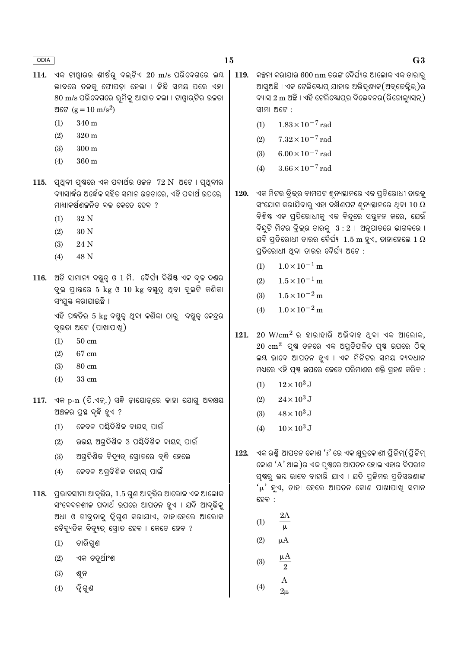- 15
- $114.$  ଏକ ଟାଓ୍ଡାରର ଶୀର୍ଷର ବଲ୍ଟିଏ  $20 \text{ m/s}$  ପରିବେଗରେ ଲୟ ଭାବରେ ତଳକ୍ର ଫୋପଡ଼ା ହେଲା । କିଛି ସମୟ ପରେ ଏହା  $80 \text{ m/s}$  ପରିବେଗରେ ଭ୍ରମିକ୍ ଆଘାତ କଲା । ଟାଓ୍ୱାର୍ଟିର ଉଚ୍ଚତା ଅଟେ ( $g = 10 \text{ m/s}^2$ )
	- 340 m  $(1)$
	- $(2)$  $320<sub>m</sub>$
	- $300 \text{ m}$  $(3)$
	- 360 m  $(4)$
- $115.$  ପୃଥିବୀ ପୃଷ୍ଠରେ ଏକ ପଦାର୍ଥର ଓଚ୍ଚନ  $72 \text{ N}$  ଅଟେ । ପୃଥିବୀର ବ୍ୟାସାର୍ଦ୍ଧର ଅର୍ଦ୍ଧେକ ସହିତ ସମାନ ଉଚ୍ଚତାରେ, ଏହି ପଦାର୍ଥ ଉପରେ, ମାଧ୍ୟାକର୍ଷଣଚ୍ଚନିତ ବଳ କେତେ ହେବ ?
	- 32 N  $(1)$
	- $(2)$ 30 N
	- $(3)$ 24 N
	- 48 N  $(4)$
- 116. ଅତି ସାମାନ୍ୟ ବହୁତ୍ୱ ଓ 1 ମି. ଦୈର୍ଘ୍ୟ ବିଶିଷ୍ଟ ଏକ ଦୃଢ ଦଣ୍ଡର ଦୁଇ ପ୍ରାନ୍ତରେ 5 kg ଓ 10 kg ବସ୍ତୁତ୍ୱ ଥିବା ଦୁଇଟି କଣିକା ସଂଯକ୍ତ କରାଯାଇଛି ।

ଏହି ପଦ୍ଧତିର 5 kg ବୟୁତ୍ୱ ଥିବା କଣିକା ଠାରୁ ବୟୁତ୍ୱ କେନ୍ଦ୍ରର ଦୃରତା ଅଟେ (ପାଖାପାଖୁ)

- $(1)$  $50 \text{ cm}$
- $(2)$ 67 cm
- $(3)$ 80 cm
- $(4)$ 33 cm
- $117.$  ଏକ p-n  $($ ପି.ଏନ୍.) ସନ୍ଧି ଡ଼ାୟୋଡ଼୍ରେ କାହା ଯୋଗୁ ଅବକ୍ଷୟ ଅଞ୍ଚଳର ପ୍ରସ୍ଥ ବୃଦ୍ଧି ହୁଏ ?
	- କେବଳ ପର୍ଣ୍ଣଦିଶିକ ବାୟସ ପାଇଁ  $(1)$
	- ଉଭୟ ଅଗ୍ଦିଶିକ ଓ ପଣ୍ଢିଦିଶିକ ବାୟସ୍ ପାଇଁ  $(2)$
	- $(3)$ ଅଗ୍ରଦିଶିକ ବିଦ୍ୟୁତ୍ ସ୍ରୋତରେ ବୃଦ୍ଧି ହେଲେ
	- କେବଳ ଅଗ୍ବିଶିକ ବାୟସ୍ ପାଇଁ  $(4)$
- $118.$  ପ୍ରଭାବସୀମା ଆବୃଭିର,  $1.5$  ଗୁଣ ଆବୃଭିର ଆଲୋକ ଏକ ଆଲୋକ ସଂବେଦନଶୀଳ ପଦାର୍ଥ ଉପରେ ଆପତନ ହୁଏ । ଯଦି ଆବୃଭିକ୍ ଅଧା ଓ ତୀବ୍ରତାକୁ ଦୃିଗୁଣ କରାଯାଏ, ତାହାହେଲେ ଆଲୋକ ବୈଦ୍ୟୁତିକ ବିଦ୍ୟୁତ୍ ସୋତ ହେବ । କେତେ ହେବ ?
	- $(1)$ ଚାରିଗୁଣ
	- ଏକ ଚତୁର୍ଥାଂଶ  $(2)$
	- $(3)$ ଶୁନ
	- ଦ୍ୱି ଗଣ  $(4)$
- 119. କକ୍କନା କରାଯାଉ 600 nm ତରଙ୍ଗ ଦୈର୍ଘ୍ୟର ଆଲୋକ ଏକ ତାରାର ଆସୁଅଛି । ଏକ ଟେଲିୟୋପ୍ ଯାହାର ଅଭିଦୃଶ୍ୟକ(ଅବ୍କେକ୍ଲିଭ୍)ର ବ୍ୟାସ 2 m ଅଛି । ଏହି ଟେଲିଷ୍କୋପର ବିଭେଦନର(ରିଜୋଲ୍ୟସନ), ସୀମା ଅଟେ:
	- $1.83 \times 10^{-7}$  rad  $(1)$
	- $(2)$  $7.32 \times 10^{-7}$  rad
	- $6.00 \times 10^{-7}$  rad  $(3)$
	- $3.66 \times 10^{-7}$  rad  $(4)$
- ଏକ ମିଟର ବିକ୍ରର ବାମପଟ ଶ୍ୱନ୍ୟସ୍ଥାନରେ ଏକ ପ୍ରତିରୋଧୀ ତାରକୁ 120. ସଂଯୋଗ କରାଯିବାରୁ ଏହା ଦକ୍ଷିଣପଟ ଶ୍ରନ୍ୟସ୍ଥାନରେ ଥିବା  $10$   $\Omega$ ବିଶିଷ୍ଟ ଏକ ପ୍ରତିରୋଧୀକୁ ଏକ ବିନ୍ଦୁରେ ସନ୍ତ୍ରଳନ କରେ, ଯେଉଁ ବିନ୍ଦୁଟି ମିଟର ବିକ୍ର ତାରକୁ  $3:2$  । ଅନୁପାତରେ ଭାଗକରେ । ଯଦି ପ୍ତିରୋଧୀ ତାରର ଦୈର୍ଘ୍ୟ  $\,1.5\text{ m}$  ହୁଏ, ତାହାହେଲେ  $1\,\Omega$ ପ୍ରତିରୋଧୀ ଥିବା ତାରର ଦୈର୍ଘ୍ୟ ଅଟେ :
	- $(1)$  $1.0 \times 10^{-1}$  m
	- $1.5 \times 10^{-1}$  m  $(2)$
	- $1.5 \times 10^{-2}$  m  $(3)$
	- $(4)$  $1.0 \times 10^{-2}$  m
- $20 \,$   $\rm{W/cm^2}$  ର ହାରାହାରି ଅଭିବାହ ଥିବା ଏକ ଆଲୋକ, 121.  $20 \text{ cm}^2$  ପ୍ୟ ତଳରେ ଏକ ଅପ୍ତିଫଳିତ ପ୍ୟ ଉପରେ ଠିକ୍ ଲୟ ଭାବେ ଆପତନ ହୁଏ । ଏକ ମିନିଟର ସମୟ ବ୍ୟବଧାନ ମଧ୍ୟରେ ଏହି ପୃଷ୍ଣ ଉପରେ କେତେ ପରିମାଣର ଶକ୍ତି ଗୃହଣ କରିବ :
	- $12 \times 10^3$  J  $(1)$
	- $24 \times 10^3$  J  $(2)$
	- $48 \times 10^3$  J  $(3)$
	- $10 \times 10^3$  J  $(4)$
- $122.$  ଏକ ରଶ୍ମି ଆପତନ କୋଣ  $'i$  ରେ ଏକ କ୍ଷୁଦ୍କୋଣୀ ପିଚ୍ଚିମ୍ $($ ପିଚ୍ଚିମ୍ କୋଣ 'A' ଥାଇ )ର ଏକ ପୃଷ୍ଠରେ ଆପତନ ହୋଇ ଏହାର ବିପରୀତ ପ୍ରଷ୍ଠ ଲୟ ଭାବେ ବାହାରି ଯାଏ । ଯଦି ପ୍ରଜିମର ପ୍ରତିସରଣାଙ୍କ 'μ' ହୁଏ, ତାହା ହେଲେ ଆପତନ କୋଣ ପାଖାପାଖ୍ ସମାନ ହେବ :
	- $2A$  $(1)$  $(2)$
	- μA  $(3)$  $\sqrt{2}$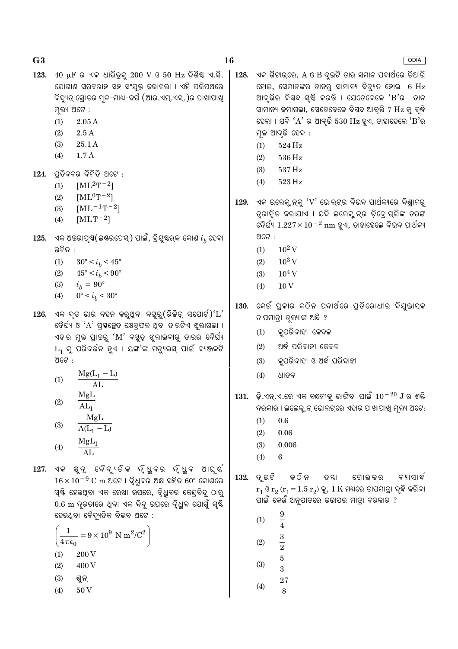$123.$  40  $\mu$ F ର ଏକ ଧାରିତ୍କ 200 V ଓ 50 Hz ବିଶିଷ୍ଟ ଏ.ସି. ଯୋଗାଣ ସରବରାହ ସହ ସଂଯୁକ୍ତ କରାଗଲା । ଏହି ପରିପଥରେ ବିଦ୍ୟୁତ୍ ସୋଡର ମଳ-ମାଧ-ବର୍ଗ (ଆର.ଏମ୍.ଏସ୍.)ର ପାଖାପାଖ ମ୍ନଲ୍ୟ ଅଟେ :

- $(1)$  $2.05A$
- $(2)$  $2.5A$
- $(3)$ 25.1 A
- $(4)$  $1.7A$

 $124.$  ପ୍ତିବଳର ବିମିତି ଅଟେ :

- $[ML^2T^{-2}]$  $(1)$
- $[ML^{0}T^{-2}]$  $(2)$
- $[ML^{-1}T^{-2}]$  $(3)$
- $(4)$  $[MLT^{-2}]$
- 125. ଏକ ଅନ୍ତରାପୃଷ(ଇଣ୍ଡରଫେସ୍) ପାଇଁ, ବ୍ରିୟୁଷ୍ଚ୍କ କୋଣ  $i_h$  ହେବା ଉଚିତ :
	- $(1)$  $30^{\circ} < i_b < 45^{\circ}$
	- $(2)$  $45^{\circ} < i_b < 90^{\circ}$
	- $(3)$  $i_h = 90^{\circ}$
	- $0^{\circ} < i_b < 30^{\circ}$  $(4)$
- $126.$  ଏକ ଦୃଢ ଭାର ବହନ କରୁଥିବା ବୟୁରୁ $($ ରିଚ୍ଚିଡ଼୍ ସପୋର୍ଟ $)('L'$ ଦୈର୍ଘ୍ୟ ଓ 'A' ପ୍ରସ୍ଥଚ୍ଛେଦ କ୍ଷେତ୍ରଫଳ ଥିବା ତାରଟିଏ ଝୁଲାଗଲା । ଏହାର ମୁକ୍ତ ପ୍ରାନ୍ତରୁ 'M' ବସ୍ତୁତ୍ୱ ଝୁଲାଇବାରୁ ତାରର ଦୈର୍ଘ୍ୟ  $L_1$  କୁ ପରିବର୍ତ୍ତନ ହୁଏ । ୟଙ୍ଗ'ଙ୍କ ମଡୁ୍ୟଲସ୍ ପାଇଁ ବ୍ୟଞ୍ଜକଟି ଅଟେ :
	- $Mg(L_1 L)$  $(1)$  $\overline{AL}$ MgL
	- $(2)$  $AL_1$ MgL  $(3)$  $A(L_1 - L)$
	- $MgL_1$  $(4)$  $AI<sub>1</sub>$

127. ଏକ କ୍ଷୁଦ, ବୈଦ୍ୟତିକ ଦୃଧୁବର ଦୃଧୁବ ଆଘ୍ଷ୍  $16 \times 10^{-9}$  C m ଅଟେ । ଦ୍ୱିଧ୍ରବର ଅକ୍ଷ ସହିତ 60° କୋଣରେ ସ୍ୟି ହେଉଥିବା ଏକ ରେଖା ଉପରେ, ଦ୍ୱିଧୁବର କେନ୍ଦ୍ରବିନ୍ଦୁ ଠାରୁ 0.6 m ଦ୍ରତାରେ ଥିବା ଏକ ବିନ୍ଦୁ ଉପରେ ଦ୍ୱିଧିବ ଯୋଗୁଁ ସ୍<del>ଷ୍ଟି</del> ହେଉଥିବା ବୈଦ୍ୟୁତିକ ବିଭବ ଅଟେ :

$$
\left(\frac{1}{4\pi\epsilon_0} = 9 \times 10^9 \text{ N m}^2/\text{C}^2\right)
$$
  
(1) 200 V  
(2) 400 V

- $(2)$ 400 V
- $(3)$ ଶ୍ୱନ୍
- $(4)$ 50<sub>V</sub>

ଏକ ଗିଟାର୍ରେ,  $A$  ଓ  $B$  ଦ୍ରଚି ତାର ସମାନ ପଦାର୍ଥରେ ତିଆରି 128. ହୋଇ, ସେମାନଙ୍କର ତାନର୍ ସାମାନ୍ୟ ବିବ୍ୟୁତ ହୋଇ 6 Hz ଆବ୍ତିର ବିୟନ୍ଦ ସ୍ଷ୍ଟି କରନ୍ତି । ଯେତେବେଳେ 'B'ର ତାନ ସାମାନ୍ୟ କମାଗଲା, ସେତେବେଳେ ବିସ୍ୱନ୍ଦ ଆବୃତ୍ତି 7 Hz କୁ ବୃଦ୍ଧି ହେଲା । ଯଦି 'A' ର ଆବୃତ୍ତି 530 Hz ହୁଏ, ତାହାହେଲେ 'B'ର ମଳ ଆବର୍ତ୍ତି ହେବ :

- $(1)$  $524\,\mathrm{Hz}$
- $(2)$ 536 Hz
- $(3)$ 537 Hz
- $(4)$ 523 Hz
- $129.$  ଏକ ଇଲେକ୍ ନ୍କ ' $\rm V$ ' ଭୋଲ୍ଟ୍ର ବିଭବ ପାର୍ଥକ୍ୟରେ ବିଶ୍ୱାମର୍ ତ୍ରାନ୍ତି କରାଯାଏ । ଯଦି ଇଲେକ୍ ନ୍ର ଡିବୋଗ୍ଲିଙ୍କ ତରଙ୍ଗ ଦୈର୍ଘ୍ୟ  $1.227 \times 10^{-2}$  nm ହୁଏ, ତାହାହେଲେ ବିଭବ ପାର୍ଥକ୍ୟ ଅଟେ :
	- $10^2$  V  $(1)$
	- $10^3$  V  $(2)$
	- $10^4$  V  $(3)$
	- $(4)$  $10\,\mathrm{V}$
- 130. କେଉଁ ପ୍ରକାର କଠିନ ପଦାର୍ଥରେ ପ୍ରତିରୋଧୀର ବିଯୁକ୍ତାତ୍ମକ ତାପମାତା ତଳ୍ୟାଙ୍କ ଅଛି ?
	- କ୍ପରିବାହୀ କେବଳ  $(1)$
	- ଅର୍ଦ୍ଧ ପରିବାହୀ କେବଳ  $(2)$
	- କ୍ପରିବାହୀ ଓ ଅର୍ଦ୍ଧ ପରିବାହୀ  $(3)$
	- $(4)$ ଧାତବ
- $131.$  ଡ଼ି.ଏନ୍.ଏ.ରେ ଏକ ବନ୍ଧନୀକୁ ଭାଙ୍ଗିବା ପାଇଁ  $10^{-20}$   $J$  ର ଶକ୍ତି ଦରକାର । ଇଲେକ୍ଟ୍ରନ୍ ଭୋଲଟ୍ରେ ଏହାର ପାଖାପାଖି ମୂଲ୍ୟ ଅଟେ:
	- $0.6$  $(1)$
	- $(2)$  $0.06\,$
	- $(3)$  $0.006$
	- $(4)$ 6

 $132.$  ଦ୍ଲଟି କ ଠି ନ ତ ୟା ଗୋଲ କର ବ୍ୟାସାର୍ଦ୍ଧ  $r_1$  ଓ  $r_2$   $(r_1 = 1.5 r_2)$  କୁ, 1  $K$  ମଧ୍ୟରେ ତାପମାତ୍ରା ବୃଦ୍ଧି କରିବା ପାଇଁ କେଉଁ ଅନୁପାତରେ ଉଭାପର ମାତ୍ରା ଦରକାର ?

- $\boldsymbol{9}$  $(1)$  $\overline{4}$  $\frac{3}{2}$   $\frac{5}{3}$   $\frac{27}{8}$  $(2)$
- $(3)$
- $(4)$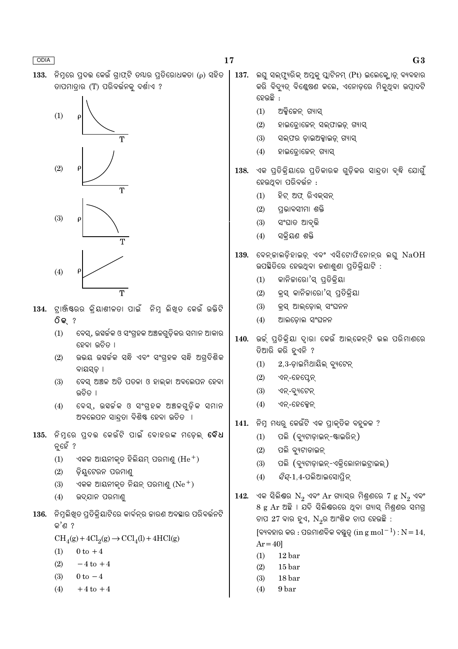ନିମରେ ପଦଭ କେଉଁ ଗାଫଟି ତ୍ୟାର ପତିରୋଧକତା (ρ) ସହିତ 133. ତାପମାତାର (T) ପରିବର୍ତ୍ତନକୁ ଦର୍ଶାଏ ?



 $G<sub>3</sub>$ 

ଅକ୍ସିକେନ୍ ଗ୍ୟାସ୍  $(1)$ 

ହେଉଛି :

- $(2)$ ହାଇଡ଼ୋଜେନ୍ ସଲ୍ଫାଇଡ଼୍ ଗ୍ୟାସ୍
- $(3)$ ସଲ୍ଫର ଡ଼ାଇଅକ୍ସାଇଡ୍ ଗ୍ୟାସ୍
- $(4)$ ହାଇଡ଼ୋଜେନ୍ ଗ୍ୟାସ୍
- ଏକ ପ୍ତିକ୍ିୟାରେ ପ୍ତିକାରକ ଗୁଡ଼ିକର ସାନ୍ଦା ବୃଦ୍ଧି ଯୋଗୁଁ 138. ହେଉଥବା ପରିବର୍ତ୍ତନ :

 $137.$  ଲଘ ସଲ୍ଫ୍ୟରିକ୍ ଅମ୍ଳକ୍ ପ୍ଲାଟିନମ୍ (Pt) ଇଲେକ୍ଲୋଡ୍ ବ୍ୟବହାର

- ହିଟ୍ ଅଫ୍ ରିଏକ୍ସନ୍  $(1)$
- ପଭାବସୀମା ଶକ୍ତି  $(2)$
- $(3)$ ସଂଘାତ ଆବୃତ୍ତି
- ସକିୟଣ ଶକ୍ତି  $(4)$
- $139.$  ବେନ୍କାଲଡ଼ିହାଇଡ଼୍ ଏବଂ ଏସିଟୋଫିନୋନ୍ର ଲଘୁ  $NaOH$ ଉପଛିତିରେ ହେଉଥିବା କଣାଶୁଣା ପ୍ରତିକ୍ରିୟାଟି :
	- କାନିକାରୋ'ସ୍ ପ୍ତିକ୍ୟା  $(1)$
	- $(2)$ କ୍ସ କାନିକାରୋ'ସ୍ ପ୍ତିକ୍ିୟା
	- $(3)$ କ୍ସ ଆଲ୍ଡୋଲ୍ ସଂଘନନ
	- ଆଲଡୋଲ ସଂଘନନ  $(4)$
- ିଉର୍କ୍ ପ୍ତିକ୍ିୟା ଦାୂରା କେଉଁ ଆଲ୍କେନ୍ଟି ଭଲ ପରିମାଣରେ 140. ତିଆରି କରି ହଏନି ?
	- $2,3$ -ଡାଇମିଥାୟିଲ୍ ବ୍ୟଟେନ୍  $(1)$
	- $(2)$ ଏନ୍-ହେପ୍ଲେନ୍
	- $(3)$ ଏନ୍-ବ୍ୟୁଟେନ୍
	- $(4)$ ଏନ୍-ହେକ୍ସେନ୍
- ନିମ୍ନ ମଧ୍ୟରୁ କେଉଁଟି ଏକ ପ୍ରାକୃତିକ ବହୁଳକ ? 141.
	- $(1)$ ପଲି (ବ୍ୟୁଟାଡ଼ାଇନ୍-ଷ୍ଟାଇରିନ୍)
	- $(2)$ ପଲି ବ୍ୟଟାଡାଇନ୍
	- ପଲି (ବ୍ୟୁଟାଡ଼ାଇନ୍-ଏକ୍ରିଲୋନାଇଟ୍ରାଇଲ୍)  $(3)$
	- *ସିସ୍-*1,4-ପଲିଆଇସୋପ୍ରିନ୍  $(4)$
- $142.$  ଏକ ସିଲିଶ୍ଚର  $N_2$  ଏବଂ  $Ar$  ଗ୍ୟାସ୍ର ମିଶ୍ରଣରେ 7  $g \ N_2$  ଏବଂ 8 g Ar ଅଛି । ଯଦି ସିଲିଶ୍ଚରରେ ଥିବା ଗ୍ୟାସ୍ ମିଶ୍ରଶର ସମଗ୍ର ଚାପ 27 ବାର ହୁଏ,  $N_{2}$ ର ଆଂଶିକ ଚାପ ହେଉଛି : [ବ୍ୟବହାର କର : ପରମାଣବିକ ବସ୍ତ୍ରୃତ୍ (in g mol $^{-1}$ ) :  $N = 14$ ,  $Ar = 40$  $12<sub>bar</sub>$  $(1)$ 
	- $15<sub>bar</sub>$
	- $(2)$  $(3)$ 18 bar
	- 9 bar
	- $(4)$
- 134. ଟାଞ୍ଜିଷ୍ରର କିୟାଶୀଳତା ପାଇଁ ନିମ ଲିଖତ କେଉଁ ଉକ୍ତିଟି **ିକ** ?
	- ବେସ୍, ଉହର୍ଚ୍ଚକ ଓ ସଂଗ୍ରହକ ଅଞ୍ଚଳଗୁଡ଼ିକର ସମାନ ଆକାର  $(1)$ ହେବା ଭରିତ ।
	- ଉଭୟ ଉହର୍ଚକ ସନ୍ଧି ଏବଂ ସଂଗ୍ହକ ସନ୍ଧି ଅଗ୍ଦିଶିକ  $(2)$ ବାୟସଡ ।
	- ବେସ୍ ଅଞ୍ଚଳ ଅତି ପତଳା ଓ ହାଲ୍କା ଅବଲେପନ ହେବା  $(3)$ ଉଚିତ ।
	- ବେସ୍, ଉହର୍କକ ଓ ସଂଗ୍ରହକ ଅଞ୍ଚଳଗୁଡ଼ିକ ସମାନ  $(4)$ ଅବଲେପନ ସାନ୍ଦ୍ରତା ବିଶିଷ୍ଟ ହେବା ଉଚିତ ।
- 135. ନିମ୍ରେ ପ୍ଦଭ କେଉଁଟି ପାଇଁ ବୋହରଙ୍କ ମଡେଲ୍ **ବୈଧ** ନ୍ତହଁ ?
	- ଏକକ ଆୟନୀକୃତ ହିଲିୟମ୍ ପରମାଣୁ  $(\mathrm{He}^+)$  $(1)$
	- ଡ଼ିୟଟେରନ ପରମାଣ୍ଡ  $(2)$
	- ଏକକ ଆୟନୀକୃତ ନିୟନ୍ ପରମାଣୁ  $(Ne^+)$  $(3)$
	- ଉଦ୍ଯାନ ପରମାଣ  $(4)$
- 136. ନିମ୍ନଲିଖ୍ଡ ପ୍ରତିକ୍ରିୟାଟିରେ କାର୍ବନ୍ର କାରଣ ଅବସ୍ଥାର ପରିବର୍ତ୍ତନଟି କ'ଣ ?
	- $CH<sub>4</sub>(g) + 4Cl<sub>2</sub>(g) \rightarrow CCl<sub>4</sub>(l) + 4HCl(g)$
	- $(1)$  $0$  to  $+4$
	- $(2)$  $-4$  to  $+4$
	- $(3)$  $0 \text{ to } -4$
	- $(4)$  $+4$  to  $+4$

17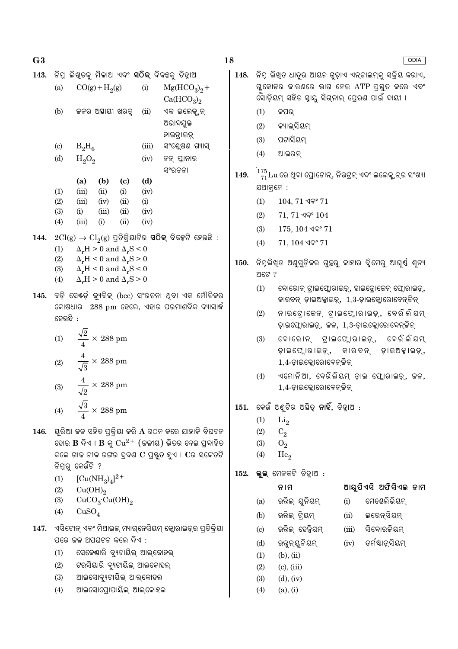$G<sub>3</sub>$ 

| 143. |                             | ନିମ୍ନ ଲିଖ୍ଡକୁ ମିଳାଅ ଏବଂ <b>ସଠିକ୍</b> ବିକକ୍ସକୁ ଚିହ୍ନାଅ |                 |                            |       |        |                                    |                 |
|------|-----------------------------|-------------------------------------------------------|-----------------|----------------------------|-------|--------|------------------------------------|-----------------|
|      | (a)                         |                                                       | $CO(g) + H2(g)$ |                            | (i)   |        |                                    | $Mg(HCO_3)_2 +$ |
|      |                             |                                                       |                 |                            |       |        | Ca(HCO <sub>3</sub> ) <sub>2</sub> |                 |
|      | (b)                         |                                                       | କଳର ଅଛାୟୀ ଖରତ୍ନ |                            | (ii)  |        | ଏକ ଇଲେକ୍ସନ୍                        |                 |
|      |                             |                                                       |                 |                            |       |        | ଅଭାବଯୁକ୍ତ                          |                 |
|      |                             |                                                       |                 |                            |       |        | ହାଇଡ଼ାଇଡ଼୍                         |                 |
|      | $\left( \mathrm{c} \right)$ | $B_2H_6$                                              |                 |                            | (iii) |        |                                    | ସଂଶ୍କେଷଣ ଗ୍ୟାସ୍ |
|      | (d)                         | $H_2O_2$                                              |                 |                            | (iv)  |        | ନନ୍ ପ୍ଲାନାର                        |                 |
|      |                             |                                                       |                 |                            |       | ସଂରଚନା |                                    |                 |
|      |                             | (a)                                                   | (b)             | $\left( \mathrm{e}\right)$ | (d)   |        |                                    |                 |
|      | (1)                         | (iii)                                                 | (ii)            | (i)                        | (iv)  |        |                                    |                 |
|      | (2)                         | (iii)                                                 | (iv)            | (ii)                       | (i)   |        |                                    |                 |
|      | (3)                         | (i)                                                   | (iii)           | (ii)                       | (iv)  |        |                                    |                 |
|      | (4)                         | (iii)                                                 | (i)             | (ii)                       | (iv)  |        |                                    |                 |
|      |                             |                                                       |                 |                            |       |        |                                    |                 |

- $144.$   $2Cl(g) \rightarrow Cl_2(g)$  ପ୍ରତିକ୍ରିୟାଟିର ସ $\widehat{O}$ କ୍ ବିକଳ୍ପଟି ହେଉଛି :
	- $(1)$  $\Delta_r H > 0$  and  $\Delta_r S < 0$
	- $(2)$  $\Delta_r H < 0$  and  $\Delta_r S > 0$
	- $\Delta_r H < 0$  and  $\Delta_r S < 0$  $(3)$
	- $\Delta_r H > 0$  and  $\Delta_r S > 0$  $(4)$
- 145. ବଡ଼ି ସେଷ୍ଡ଼ି କ୍ୟୁବିକ୍ (bcc) ସଂରଚନା ଥିବା ଏକ ମୌଳିକର କୋଷଧାର 288 pm ହେଲେ, ଏହାର ପରମାଣବିକ ବ୍ୟାସାର୍ଦ୍ଧ ଚ୍ଚେଲ୍ଲବି :

(1) 
$$
\frac{\sqrt{2}}{4} \times 288 \text{ pm}
$$
  
(2) 
$$
\frac{4}{\sqrt{3}} \times 288 \text{ pm}
$$
  
(3) 
$$
\frac{4}{\sqrt{2}} \times 288 \text{ pm}
$$
  
(4) 
$$
\frac{\sqrt{3}}{4} \times 288 \text{ pm}
$$

- $146.$  ୟୁରିଆ କଳ ସହିତ ପ୍ରକ୍ରିୟା କରି  $A$  ଗଠନ କରେ ଯାହାକି ବିଘଟନ ହୋଇ  $\bf{B}$  ଦିଏ ।  $\bf{B}$  କ୍  $\rm Cu^{2+}$  (ଚ୍ଚଳୀୟ) ଭିତର ଦେଇ ପ୍ରବାହିତ କଲେ ଗାଢ ନୀଳ ରଙ୍ଗର ଦ୍ବଶ  $\mathbf C$  ପ୍ରସ୍ତ ହଏ ।  $\mathbf C$ ର ସଙ୍କେତଟି ନିମ୍ନର୍ କେଉଁଟି ?
	- $[Cu(NH_3)_4]^{2+}$  $(1)$
	- $(2)$  $Cu(OH)<sub>2</sub>$
	- $(3)$  $CuCO<sub>3</sub>·Cu(OH)<sub>2</sub>$
	- $(4)$  $CuSO<sub>4</sub>$
- 147. ଏସିଟୋନ୍ ଏବଂ ମିଥାଇଲ୍ ମ୍ୟାଗ୍ନେସିୟମ୍ କ୍ଲୋରାଇଡ୍ର ପ୍ତିକିୟା ପରେ ଚ୍ଚଳ ଅପଘଟନ କଲେ ଦିଏ :
	- ସେକେଣ୍ଡାରି ବ୍ୟୁଟାୟିଲ୍ ଆଲ୍କୋହଲ୍  $(1)$
	- $(2)$ ଟରସିୟାରି ବ୍ୟୁଟାୟିଲ୍ ଆଲକୋହଲ୍
	- $(3)$ ଆଇସୋବ୍ୟୁଟାୟିଲ୍ ଆଲ୍କୋହଲ
	- ଆଇସୋପ୍ରୋପାୟିଲ୍ ଆଲ୍କୋହଲ  $(4)$

148. ନିମ୍ନ ଲିଖତ ଧାତ୍ର ଆୟନ ଗଡ଼ାଏ ଏନ୍ଜାଇମ୍କ୍ ସକ୍ିୟ କରାଏ, ଗ୍ଳକୋଚ୍ଚର ଜାରଣରେ ଭାଗ ନେଇ ATP ପ୍ରସ୍ତୁତ କରେ ଏବଂ ସୋଡ଼ିୟମ୍ ସହିତ ସ୍ୱାୟ ସିଗ୍ନାଲ୍ ପେରଣ ପାଇଁ ଦାୟୀ ।  $(1)$ କପର୍

- $(2)$ କ୍ୟାଲ୍ସିୟମ୍
- $(3)$ ପଟାସିୟମ
- $(4)$ ଆଇରନ
- $\frac{175}{71}$ Lu ରେ ଥିବା ପ୍ରୋଟୋନ୍, ନିଉଟ୍ରନ୍ ଏବଂ ଇଲେକ୍ଟ୍ରନ୍ର ସଂଖ୍ୟା 149. ଯଥାକ୍ୱମେ :
	- $104, 71$  ଏବଂ  $71$  $(1)$
	- $(2)$  $71, 71$  ଏବଂ  $104$
	- $(3)$  $175, 104$  ଏବଂ  $71$
	- $(4)$  $71, 104$  ଏବଂ  $71$
- 150. ନିମ୍ନଲିଖ୍ତ ଅଣୁଗୁଡ଼ିକର ଗୁଚ୍ଛରୁ କାହାର ଦୃିମେରୁ ଆଘୁର୍ଷ ଶୂନ୍ୟ ଅଟେ ?
	- $(1)$ ବୋରୋନ୍ ଟ୍ରାଇଫ୍ଲୋରାଇଡ଼୍, ହାଇଡ୍ରୋଜେନ୍ ଫ୍ଲୋରାଇଡ଼୍, କାରବନ୍ ଡ଼ାଇଅକ୍ସାଇଡ୍, 1,3-ଡ଼ାଇକ୍କୋରୋବେନ୍ଟିନ୍
	- ନାଇଟୋକେନ୍, ଟାଇଫ୍ଲୋରାଇଡ଼୍, ବେରିଲିୟମ୍  $(2)$ ଡ଼ାଇଫ୍ଲୋରାଇଡ୍, କଳ, 1,3-ଡ଼ାଇକ୍ଲୋରୋବେନ୍ଟିକ୍
	- ବୋରୋନ୍ ଟାଇଫ୍ଲୋରାଇଡ଼୍, ବେରି ଲିୟମ  $(3)$ ଡାଇଫ୍ଲୋରାଇଡ୍, କାରବନ ଡାଇଅକାଇଡ, 1,4-ଡାଇକ୍ଲୋରୋବେନ୍ କିନ୍
	- $(4)$ ଏମୋନିଆ, ବେରିଲିୟମ ଡାଇ ଫୋରାଇଡ, କଳ, 1,4-ଡାଇକ୍ଲୋରୋବେନ୍ ଜିନ୍
- $151.$  କେଉଁ ଅଣୁଟିର ଅଛିତ୍ୱ ନାହିଁ, ଚିହ୍ନାଅ :
	- $(1)$  $Li<sub>2</sub>$
	- $(2)$  $C<sub>2</sub>$
	- $(3)$  $O<sub>2</sub>$
	- $He<sub>2</sub>$  $(4)$

 $(b)$ 

 $\left( \mathrm{c}\right)$ 

152. ଭୁଲ୍ ମେଳକଟି ଚିହ୍ୱାଅ :

ନାମ

### ଆୟୁପିଏସି ଅଫିସିଏଲ ନାମ ମେଷେଲିଭିୟମ୍

ଡର୍ମଷ୍ଟାଡ଼ସିୟମ୍

ଉନ୍ନିଲ୍ ୟୁନିୟମ୍  $(i)$  $(a)$ 

ଉନ୍ନିଲ୍ ଟ୍ରିୟମ୍

- ଲରେନ୍ସିୟମ୍  $(ii)$
- ଉନ୍ନିଲ୍ ହେକ୍କିୟମ୍ ସିବୋରକିୟମ  $(iii)$
- $(d)$ ଉନ୍କୁନ୍ୟୁନିୟମ୍  $(iv)$
- $(1)$  $(b)$ ,  $(ii)$
- $(2)$  $(c)$ ,  $(iii)$
- $(3)$  $(d)$ ,  $(iv)$
- $(4)$  $(a), (i)$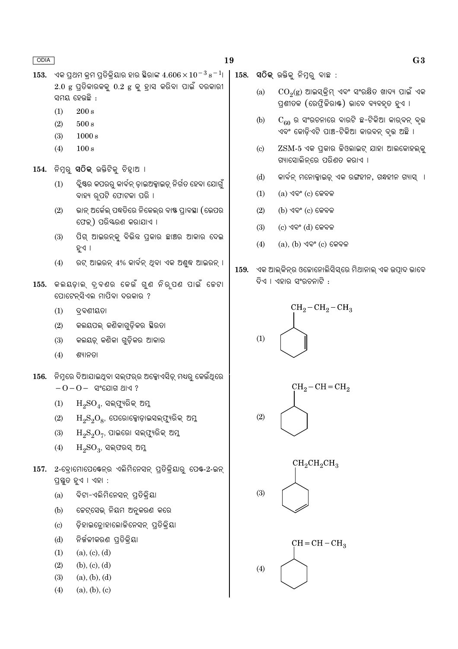- ଏକ ପଥମ କମ ପତିକିୟାର ହାର ସ୍ଥିରାଙ୍କ  $4.606\times10^{-3}$   ${\rm s}^{-1}$ । 153.  $2.0$  g ପ୍ରିକାରକକୁ  $0.2$  g କୁ ହାସ କରିବା ପାଇଁ ଦରକାରୀ ସମୟ ହେଉଛି :
	- $(1)$  $200 s$
	- $(2)$  $500 s$
	- $(3)$  $1000 s$
	- $(4)$  $100 s$
- 154. ନିମୁରୁ ସଠିକ୍ ଉକ୍ତିଟିକୁ ଚିହ୍ୱାଅ ।
	- ିକ୍କୁଷ୍ଟର କପରରୁ କାର୍ବନ୍ ଡ଼ାଇଅକ୍ସାଇଡ୍ ନିର୍ଗତ ହେବା ଯୋଗୁଁ  $(1)$ ବାହ୍ୟ ର୍ପଟି ଫୋଟକା ପରି ।
	- ଭାନ୍ ଅର୍କେଲ୍ ପଦ୍ଧତିରେ ନିକେଲ୍ର ବାଷ୍ଣ ପ୍ରାବସ୍ଥା (ଭେପର  $(2)$ ଫେକ୍) ପରିୟରଣ କରାଯାଏ ।
	- ପିଗ୍ ଆଇରନ୍କ୍ର ବିଭିନ୍ନ ପ୍ରକାର ଛାଞ୍ଚର ଆକାର ଦେଇ  $(3)$ ହୁଏ ।
	- $(4)$ ରଟ୍ ଆଇରନ୍ 4% କାର୍ବନ୍ ଥିବା ଏକ ଅଶ୍ୱଦ୍ଧ ଆଇରନ୍ ।
- 155. କଲୟଡ଼ାଲ୍ ଦ୍ବଣର କେଉଁ ଗୁଣ ନିର୍ପଣ ପାଇଁ ଚେଟା ପୋଟେନ୍ସିଏଲ ମାପିବା ଦରକାର ?
	- $(1)$ ଦ୍ରବଣୀୟତା
	- କଲୟପଲ୍ କଣିକାଗଡିକର ସ୍ଥିରତା  $(2)$
	- କଲୟଡ଼୍ କଣିକା ଗୁଡ଼ିକର ଆକାର  $(3)$
	- $(4)$ ଶ୍ୟାନତା
- <u>156. ନିମରେ ଦିଆଯାଇଥିବା ସଲଫରର ଅକ୍ସୋଏସିଡ୍ ମଧ୍ୟର କେଉଁଥରେ</u>  $-0-0-$  ସଂଯୋଗ ଥାଏ ?
	- $H_2SO_4$ , ସଲ୍ଫ୍ୟରିକ୍ ଅମୁ  $(1)$
	- $H_2S_2O_8$ , ପେରୋକ୍ସୋଡ଼ାଇସଲ୍ଫ୍ୟୁରିକ୍ ଅମ୍ଳ  $(2)$
	- $H_2S_2O_7$ , ପାଇରୋ ସଲ୍ଫ୍ୟରିକ୍ ଅମୁ  $(3)$
	- $(4)$  $H_2SO_3$ , ସଲ୍ଫରସ୍ ଅମୁ
- 157. 2-ବୋମୋପେକ୍ଟେନ୍ର ଏଲିମିନେସନ୍ ପ୍ରିକିୟାର ପେକ୍-2-ଇନ୍ ପ୍ରସ୍ତୁତ ହୁଏ । ଏହା :
	- ବିଟା-ଏଲିମିନେସନ୍ ପ୍ତିକିୟା  $(a)$
	- ଜେଟ୍ସେଭ୍ ନିୟମ ଅନ୍ୱକରଣ କରେ  $(b)$
	- ଡ଼ିହାଇଡ୍ରୋହାଲୋକିନେସନ୍ ପ୍ରତିକ୍ରିୟା  $\left( \mathrm{c}\right)$
	- ନିର୍ଜଳୀକରଣ ପତିକିୟା  $(d)$
	- $(a), (c), (d)$  $(1)$
	- $(2)$  $(b), (c), (d)$
	- $(3)$  $(a), (b), (d)$
	- $(a), (b), (c)$  $(4)$
- $158.$  ସଠିକ୍ ଉକ୍ତିକ୍ ନିମ୍ବର୍ ବାଛ :
	- $\mathrm{CO}_2(\mathrm{g})$  ଆଇସ୍କିମ୍ ଏବଂ ସଂରକ୍ଷିତ ଖାଦ୍ୟ ପାଇଁ ଏକ  $(a)$ ପ୍ରଶୀତକ (ରେଫ୍ଲିକିରାଷ୍ଟ) ଭାବେ ବ୍ୟବହତ ହଏ ।
	- $C_{60}$  ର ସଂରଚନାରେ ବାରଟି ଛ-ଟିକିଆ କାର୍ବନ୍ ବୃଭ  $(b)$ ଏବଂ କୋଡିଏଟି ପାଞ୍ଚ-ଟିକିଆ କାରବନ୍ ବ୍ଭ ଅଛି ।
	- ZSM-5 ଏକ ପ୍ରକାର ଜିଓଲାଇଟ୍ ଯାହା ଆଲକୋହଲ୍କୁ  $\left( \text{c} \right)$ ଗ୍ୟାସୋଲିନରେ ପରିଶତ କରାଏ ।
	- କାର୍ବନ୍ ମନୋକ୍ସାଇଡ୍ ଏକ ରଙ୍ଗହୀନ, ଗନ୍ଧହୀନ ଗ୍ୟାସ୍ ।  $(d)$
	- $(a)$  ଏବଂ  $(c)$  କେବଳ  $(1)$
	- $(2)$  $(b)$  ଏବଂ  $(c)$  କେବଳ
	- $(c)$  ଏବଂ  $(d)$  କେବଳ  $(3)$
	- $(a)$ ,  $(b)$  ଏବଂ  $(c)$  କେବଳ  $(4)$
- ଏକ ଆଲ୍କିନ୍ର ଓଚୋନୋଲିସିସ୍ରେ ମିଥାନାଲ୍ ଏକ ଉତ୍ପାଦ ଭାବେ 159. ଦିଏ । ଏହାର ସଂରଚନାଟି :



 $(2)$ 



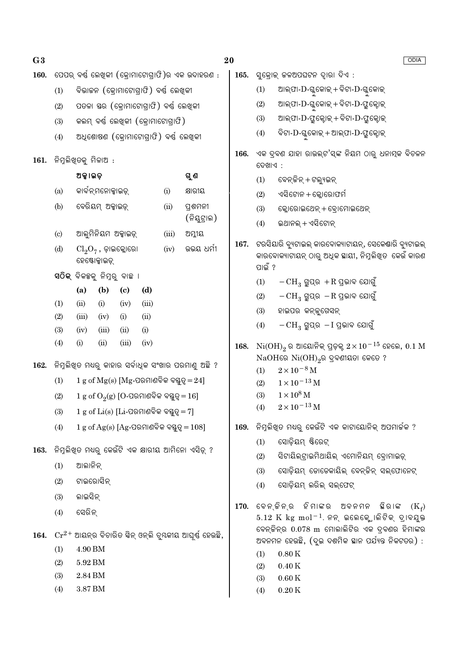| G <sub>3</sub> |                                                         |                                                                                                        |                     |                             |             |       |                                   | 20   |                                                                                                                           |                                                                                    |  |
|----------------|---------------------------------------------------------|--------------------------------------------------------------------------------------------------------|---------------------|-----------------------------|-------------|-------|-----------------------------------|------|---------------------------------------------------------------------------------------------------------------------------|------------------------------------------------------------------------------------|--|
| 160.           |                                                         | ପେପର୍ ବର୍ଷ୍ଣ ଲେଖିକୀ (କ୍ରୋମାଟୋଗ୍ରାଫି)ର ଏକ ଉଦାହରଣ :                                                      |                     |                             |             |       |                                   |      | $165.$ ସୁକ୍ରୋକ୍ କଳଅପଘଟନ ଦ୍ୱାରା ଦିଏ :                                                                                      |                                                                                    |  |
|                | (1)                                                     | ବିଭାଜନ (କ୍ରୋମାଟୋଗ୍ରାଫି) ବର୍ଷ୍ଣ ଲେଖିକୀ                                                                  |                     |                             |             |       |                                   |      | (1)                                                                                                                       | ଆଲ୍ଫା- $D$ -ଗ୍ଳକୋଇ୍ + ବିଟା- $D$ -ଗ୍ଳକୋଇ୍                                           |  |
|                | (2)                                                     | ପତଳା ସ୍ତର (କ୍ରୋମାଟୋଗ୍ରାଫି) ବର୍ଷ୍ଣ ଲେଖିକୀ                                                               |                     |                             |             |       |                                   |      | (2)                                                                                                                       | ଆଲ୍ଫା- $\mathrm{D}$ -ଗ୍ଳକୋଇ୍ + ବିଟା- $\mathrm{D}$ -ଫ୍ରୁକ୍ଟୋଇ୍                      |  |
|                | (3)                                                     | କଲମ୍ ବର୍ଷ୍ଣ ଲେଖିକୀ (କ୍ରୋମାଟୋଗ୍ରାଫି)                                                                    |                     |                             |             |       |                                   |      | (3)                                                                                                                       | ଆଲ୍ଫା-D-ଫ୍ରୁକ୍ଟୋକ୍ + ବିଟା-D-ଫ୍ରୁକ୍ଟୋକ୍                                             |  |
|                | (4)                                                     | ଅଧିଶୋଷଣ (କ୍ରୋମାଟୋଗ୍ରାଫି) ବର୍ଷ ଲେଖିକୀ                                                                   |                     |                             |             |       |                                   |      | (4)                                                                                                                       | ବିଟା- $\mathrm D$ -ଗ୍ଳକୋଇ୍ + ଆଲ୍ଫା- $\mathrm D$ -ଫ୍ରୁକ୍ଟୋଇ୍                        |  |
| 161.           |                                                         | ନିମୁଲିଖ୍ଡକୁ ମିଳାଅ :                                                                                    |                     |                             |             |       |                                   | 166. | ଏକ ଦ୍ରବଣ ଯାହା ରାଉଲ୍ଟ'ସ୍ଙ୍କ ନିୟମ ଠାରୁ ଧନାତ୍ମକ ବିଚଳନ<br>ଦେଖାଏ :                                                             |                                                                                    |  |
|                |                                                         | ଅକ୍କାଇଡ଼                                                                                               |                     |                             |             |       | ଗୁଣ                               |      | (1)                                                                                                                       | ବେନ୍ ଜିନ୍ + ଟଲ୍ୟୁଇନ୍                                                               |  |
|                | (a)                                                     | କାର୍ବନ୍ମନୋକ୍ସାଇଡ୍                                                                                      |                     |                             |             | (i)   | କ୍ଷାରୀୟ                           |      | (2)                                                                                                                       | ଏସିଟୋନ + କ୍ଲୋରୋଫର୍ମ                                                                |  |
|                | (b)                                                     | ବେରିୟମ୍ ଅକ୍କାଇଡ଼୍                                                                                      |                     |                             |             | (ii)  | ପ୍ରଶମନୀ                           |      | (3)                                                                                                                       | କ୍ଲୋରୋଇଥେନ୍ + ବ୍ୱୋମୋଇଥେନ୍                                                          |  |
|                |                                                         |                                                                                                        |                     |                             |             |       | (ନିୟୁଟ୍ରାଲ)                       |      | (4)                                                                                                                       | ଇଥାନଲ୍ + ଏସିଟୋନ୍                                                                   |  |
|                | (c)                                                     |                                                                                                        | ଆଲୁମିନିୟମ ଅକ୍ସାଇଡ଼୍ |                             |             | (iii) | ଅମ୍ଳୀୟ                            | 167. | ଟରସିୟାରି ବ୍ୟୁଟାଇଲ୍ କାରବୋକ୍ୟାଟାୟନ୍, ସେକେଣ୍ଡାରି ବ୍ୟୁଟାଇଲ୍                                                                   |                                                                                    |  |
|                | (d)                                                     | ଉଭୟ ଧର୍ମୀ<br>(iv)<br>$\text{Cl}_2\text{O}_7$ , ଡ଼ାଇକ୍ଲୋରୋ<br>ହେଷ୍ଟୋକ୍ସାଇଡ୍                             |                     |                             |             |       |                                   |      | କାରବୋକ୍ୟାଟାୟନ୍ ଠାରୁ ଅଧିକ ଛାୟୀ, ନିମ୍ନଲିଖିତ  କେଉଁ କାରଣ<br>ପାଇଁ ?                                                            |                                                                                    |  |
|                |                                                         | ସଠିକ୍ ବିକଳ୍ପକୁ ନିମ୍ନରୁ ବାଛ <b>ା</b>                                                                    |                     |                             |             | (1)   | $-CH_3$ ଗ୍ରୁପ୍ର $+R$ ପ୍ରଭାବ ଯୋଗୁଁ |      |                                                                                                                           |                                                                                    |  |
|                |                                                         | (a)                                                                                                    | (b)                 | $\left( \mathbf{c} \right)$ | (d)         |       |                                   |      | (2)                                                                                                                       | $-CH_3$ ଗ୍ରୁପ୍ର $-R$ ପ୍ରଭାବ ଯୋଗୁଁ                                                  |  |
|                | (1)                                                     | (ii)                                                                                                   | (i)                 | (iv)                        | (iii)       |       |                                   |      | (3)                                                                                                                       | ହାଇପର କନ୍ତ୍ରଗେସନ୍                                                                  |  |
|                | (2)<br>(3)                                              | (iii)<br>(iv)                                                                                          | (iv)<br>(iii)       | (i)<br>(ii)                 | (ii)<br>(i) |       |                                   |      | (4)                                                                                                                       | $-CH_3$ ଗ୍ରୁପ୍ର $-I$ ପ୍ରଭାବ ଯୋଗୁଁ                                                  |  |
|                | (4)                                                     | (i)                                                                                                    | (ii)                | (iii)                       | (iv)        |       |                                   | 168. |                                                                                                                           | $\mathrm{Ni(OH)}_{2}$ ର ଆୟୋନିକ୍ ପ୍ରଡ଼କ୍ $2 \times 10^{-15}$ ହେଲେ, $0.1 \mathrm{M}$ |  |
|                |                                                         |                                                                                                        |                     |                             |             |       |                                   |      |                                                                                                                           | $NaOH$ ରେ $Ni(OH)_{2}$ ର ଦ୍ରବଣୀୟତା କେତେ ?                                          |  |
| 162.           |                                                         | ନିମ୍ନଲିଖିତ ମଧ୍ୟରୁ କାହାର ସର୍ବାଧିକ ସଂଖାର ପରମାଣୁ ଅଛି ?<br>$1 g$ of $Mg(s)$ [Mg-ପରମାଣବିକ ବସ୍ତୁତ୍ୱ $= 24$ ] |                     |                             |             |       |                                   |      | (1)                                                                                                                       | $2\times10^{-8}\,\mathrm{M}$                                                       |  |
|                | (1)                                                     |                                                                                                        |                     |                             |             |       |                                   |      | (2)                                                                                                                       | $1 \times 10^{-13}$ M                                                              |  |
|                | (2)                                                     | $1 g$ of $O_2(g)$ [O-ପରମାଣବିକ ବସ୍ତୁତ୍ୱ $= 16$ ]                                                        |                     |                             |             |       |                                   |      | $1 \times 10^8$ M<br>(3)<br>$2 \times 10^{-13}$ M                                                                         |                                                                                    |  |
|                | (3)                                                     | $1 g$ of $Li(s)$ [ $Li$ -ପରମାଣବିକ ବସ୍ତୁତ୍ୱ $= 7$ ]                                                     |                     |                             |             |       |                                   |      | (4)                                                                                                                       |                                                                                    |  |
|                | (4)                                                     | $1 g$ of Ag(s) [Ag-ପରମାଣବିକ ବସ୍ତୁତ୍ୱ $= 108$ ]                                                         |                     |                             |             |       |                                   | 169. |                                                                                                                           | ିନିମ୍ନଲିଖିତ ମଧ୍ୟରୁ କେଉଁଟି ଏକ କାଟାୟୋନିକ୍ ଅପମାର୍ଚ୍ଚକ ?                               |  |
| 163.           | ନିମ୍ନଲିଖିତ ମଧ୍ୟରୁ କେଉଁଟି ଏକ କ୍ଷାରୀୟ ଆମିନୋ ଏସିଡ଼୍ ?      |                                                                                                        |                     |                             |             |       |                                   |      | (1)                                                                                                                       | ସୋଡ଼ିୟମ୍ ଷ୍ଟିରେଟ୍                                                                  |  |
|                | ଆଲାନିନ୍<br>(1)                                          |                                                                                                        |                     |                             |             |       |                                   | 170. | (2)                                                                                                                       | ସିଟାୟିଲ୍ଟାଇମିଥାୟିଲ୍ ଏମୋନିୟମ୍ ବୋମାଇଡ୍<br>ସୋଡ଼ିୟମ୍ ଡୋଡେକାୟିଲ୍ ବେନ୍କିନ୍ ସଲ୍ଫୋନେଟ୍     |  |
|                | (2)                                                     | ଟାଇରୋସିନ୍<br>ଲାଇସିନ୍<br>(3)<br>ସେରିନ୍<br>(4)                                                           |                     |                             |             |       |                                   |      | (3)<br>(4)                                                                                                                | ସୋଡ଼ିୟମ୍ ଲରିଲ୍ ସଲ୍ଫେଟ୍                                                             |  |
|                |                                                         |                                                                                                        |                     |                             |             |       |                                   |      |                                                                                                                           |                                                                                    |  |
|                |                                                         |                                                                                                        |                     |                             |             |       |                                   |      | ବେନ୍ କିନ୍ର ହିମାଙ୍କର ଅବନମନ ଛିରାଙ୍କ<br>$(K_f)$<br>$5.12 \,$ K $\text{kg} \text{ mol}^{-1}$ . ନନ୍ ଇଲେକ୍ଟ୍ରୋଲିଟିକ୍ ଦ୍ରାବଯୁକ୍ତ |                                                                                    |  |
|                |                                                         |                                                                                                        |                     |                             |             |       |                                   |      |                                                                                                                           | ବେନ୍ଜିନ୍ର 0.078 m ମୋଲାଲିଟିର ଏକ ଦ୍ରବଣର ହିମାଙ୍କର                                     |  |
| 164.           | $Cr^{2+}$ ଆୟନ୍ର ବିଚାରିତ ସିନ୍ ଓନ୍ଲି ଚୁୟକୀୟ ଆଘୂର୍ଷ ହେଉଛି, |                                                                                                        |                     |                             |             |       |                                   |      |                                                                                                                           | ଅବନମନ ହେଉଛି, (ଦୁଇ ଦଶମିକ ସ୍ଥାନ ପର୍ଯ୍ୟନ୍ତ ନିକଟତର) :                                  |  |
|                | (1)                                                     | $4.90\,\mathrm{BM}$<br>5.92 BM<br>(2)<br>2.84 BM<br>$3.87\,\mathrm{BM}$                                |                     |                             |             |       |                                   |      | (1)                                                                                                                       | $0.80\,\mathrm{K}$                                                                 |  |
|                | (3)                                                     |                                                                                                        |                     |                             |             |       |                                   |      | (2)<br>(3)                                                                                                                | $0.40\,\mathrm{K}$<br>$0.60\,\mathrm{K}$                                           |  |
|                | (4)                                                     |                                                                                                        |                     |                             |             |       |                                   |      | (4)                                                                                                                       | $0.20\,\mathrm{K}$                                                                 |  |
|                |                                                         |                                                                                                        |                     |                             |             |       |                                   |      |                                                                                                                           |                                                                                    |  |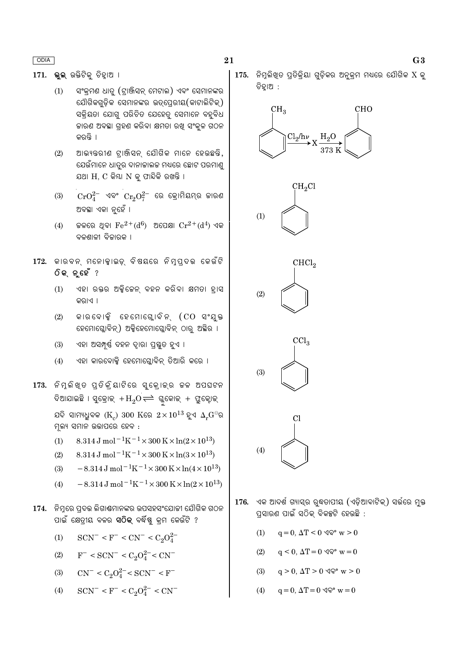171. ଭଲ ଉକ୍ତିଟିକ୍ ଚିହାଅ ।

- ସଂକ୍ରମଣ ଧାତ (ଟାଞ୍ଜିସନ୍ ମେଟାଲ) ଏବଂ ସେମାନଙ୍କର  $(1)$ ଯୌଗିକଗଡ଼ିକ ସେମାନଙ୍କର ଉତ୍ପେରୀୟ(କାଟାଲିଟିକ୍) ସକିୟତା ଯୋଗ୍ ପରିଚିତ ଯେହେତ୍ ସେମାନେ ବହବିଧ କାରଣ ଅବସ୍ଥା ଗହଣ କରିବା କ୍ଷମତା ରଖ ସଂକ୍ଳ ଗଠନ କରନ୍ତି ।
- ଆଭ୍ୟନ୍ତରୀଣ ଟାଞ୍ଜିସନ୍ ଯୌଗିକ ମାନେ ହେଉଛନ୍ତି,  $(2)$ ଯେଉଁମାନେ ଧାତ୍ରର ଦାନାକାଲକ ମଧ୍ୟରେ ଛୋଟ ପରମାଣ୍ଡ ଯଥା H, C କିୟା N କୁ ଫାନ୍ଦିକି ରଖନ୍ତି ।
- $\text{CrO}^{2-}_4$  ଏବଂ  $\text{Cr}_2\text{O}^{2-}_7$  ରେ କ୍ରୋମିୟମ୍ର ଜାରଣ  $(3)$ ଅବସ୍ଥା ଏକା ନୃହେଁ ।
- $(4)$ କଳରେ ଥିବା  $\rm Fe^{2+}(d^6)$  ଅପେକ୍ଷା  $\rm Cr^{2+}(d^4)$  ଏକ ବଳଶାଳୀ ବିଜାରକ ।
- 172. କାରବନ୍ ମନୋକାଇଡ୍ ବିଷୟରେ ନିମ୍ପ୍ଦଭ କେଉଁଟି ଠିକ୍ନ୍ତେହଁ ?
	- ଏହା ରକ୍ତର ଅକ୍ସିକେନ୍ ବହନ କରିବା କ୍ଷମତା ହାସ  $(1)$ କର।ଏ ।
	- କାରବୋକ୍ସି ହେମୋଗ୍ଲୋବିନ୍ (CO ସଂଯୁକ୍ତ  $(2)$ ହେମୋଗ୍ଲୋବିନ୍) ଅକ୍ସିହେମୋଗ୍ଲୋବିନ୍ ଠାର୍ ଅସ୍ଥିର ।
	- $(3)$ ଏହା ଅସମ୍ପୂର୍ଣ୍ଣ ବହନ ଦ୍ୱାରା ପ୍ରସ୍ତୁତ ହୁଏ ।
	- ଏହା କାରବୋକ୍ସି ହେମୋଘ୍ଲୋବିନ୍ ତିଆରି କରେ ।  $(4)$
- 173. ନିମ୍ଳିଖ୍ତ ପ୍ତିକ୍ରିୟାଟିରେ ସୁକ୍ରୋକ୍ର କଳ ଅପଘଟନ ଦିଆଯାଇଛି । ସୁକ୍ରୋକ୍ $\mu_{2} \rightarrow H_{2}$ ତ $\rightleftharpoons$  ଗ୍ଳକୋକ୍ + ପ୍ରୁକ୍ଟୋକ୍ ଯଦି ସାମ୍ୟଧୁବକ ( $K_c$ ) 300  $K$ ରେ  $2 \times 10^{13}$  ହୁଏ  $\Delta_r G^{\ominus}$ ର ମ୍ନଲ୍ୟ ସମାନ ଉତ୍ତାପରେ ହେବ :
	- 8.314 J mol<sup>-1</sup>K<sup>-1</sup> × 300 K × ln(2 × 10<sup>13</sup>)  $(1)$
	- $8.314 \text{ J} \text{ mol}^{-1} \text{K}^{-1} \times 300 \text{ K} \times \ln(3 \times 10^{13})$  $(2)$
	- $-8.314 \text{ J} \text{ mol}^{-1} \text{K}^{-1} \times 300 \text{ K} \times \ln(4 \times 10^{13})$  $(3)$
	- $-8.314 \,\mathrm{J}$  mol<sup>-1</sup>K<sup>-1</sup>×300 K×ln(2×10<sup>13</sup>)  $(4)$
- 174. ନିମ୍ନରେ ପ୍ରଦତ୍ତ ଲିଗାଣ୍ଠମାନଙ୍କର ଉପସହସଂଯୋଜୀ ଯୌଗିକ ଗଠନ ପାଇଁ କ୍ଷେତ୍ରୀୟ ବଳର **ସଠିକ୍** ବର୍ଦ୍ଧିଷ୍ଣ କ୍ରମ କେଉଁଟି ?
	- $(1)$  $SCN^- < F^- < CN^- < C_2O_4^{2-}$
	- $(2)$  $F^-$  < SCN<sup>-</sup> < C<sub>2</sub>O<sub>4</sub><sup>2</sup><sup>-</sup>< CN<sup>-</sup>
	- $CN^- < C_2O_4^{2-} < SCN^- < F^ (3)$
	- $SCN^- < F^- < C_2O_4^{2-} < CN^ (4)$

 $175.$  ନିମ୍ନଲିଖତ ପ୍ରିକିୟା ଗ୍ଡିକର ଅନ୍କ୍ମ ମଧ୍ୟରେ ଯୌଗିକ  $X$  କ୍ ଚିହ୍ରାଅ :





- 176. ଏକ ଆଦର୍ଶ ଗ୍ୟାସ୍ର ର୍ଦ୍ଧତାପୀୟ (ଏଡ଼ିଆବାଟିକ୍) ସର୍ଭରେ ମ୍ଭ ପସାରଣ ପାଇଁ ସଠିକ ବିକଳ୍ପଟି ହେଉଛି :
	- $q = 0$ ,  $\Delta T < 0$   $\Im \mathcal{P}$  w > 0  $(1)$
	- $(2)$  $q < 0$ ,  $\Delta T = 0$   $\Im \mathcal{P}$  w = 0
	- $q > 0$ ,  $\Delta T > 0$   $\sqrt{Q}$ ° w > 0  $(3)$
	- $(4)$  $q = 0$ ,  $\Delta T = 0$   $\sqrt{\mathbf{Q}^{\circ}}$   $\mathbf{w} = 0$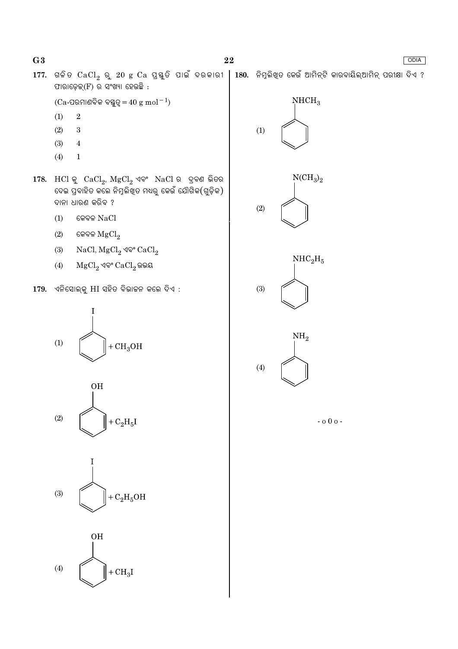$177.$  ଗଳିତ  $CaCl_2$  ରୁ  $20$  g  $Ca$  ପ୍ରୟୁତି ପାଇଁ ଦରକାରୀ  $|180.$  ନିମ୍ନଲିଖ୍ତ କେଉଁ ଆମିନ୍ଟି କାରବାୟିଲ୍ଆମିନ୍ ପରୀକ୍ଷା ଦିଏ ?

ଫାରାଡ଼େକ୍ $(F)$  ର ସଂଖ୍ୟା ହେଉଛି :  $NHCH<sub>3</sub>$  $(Ca$ -ପରମାଣବିକ ବସ୍ତୁତ୍ୱ $=40 \text{ g mol}^{-1}$ )  $(1)$  $\overline{2}$  $(2)$ 3  $(1)$  $(3)$  $\bf 4$  $(4)$  $\mathbf{1}$  $NCH_3)_2$  $178.$  HCl କୁ  $CaCl<sub>2</sub>$ ,  $MgCl<sub>2</sub>$  ଏବଂ  $NaCl$  ର ଦ୍ରବଣ ଭିତର ଦେଇ ପ୍ରବାହିତ କଲେ ନିମ୍ନଲିଖ୍ତ ମଧ୍ୟରୁ କେଉଁ ଯୌଗିକ(ଗୁଡ଼ିକ) ଦାନା ଧାରଣ କରିବ ?  $(2)$ କେବଳ  $NaCl$  $(1)$  $(2)$ କେବଳ  $MgCl<sub>2</sub>$  $(3)$ NaCl,  $MgCl_2$  ଏବଂ  $CaCl_2$  $NHC<sub>2</sub>H<sub>5</sub>$  $MgCl<sub>2</sub>$  ଏବଂ  $CaCl<sub>2</sub>$ ଭଭୟ  $(4)$ 179. ଏନିସୋଲ୍କୁ HI ସହିତ ବିଭାଜନ କଲେ ଦିଏ :  $(3)$ T  $NH<sub>2</sub>$  $(1)$  $+CH<sub>3</sub>OH$  $(4)$ **OH**  $(2)$  $+ C<sub>2</sub>H<sub>5</sub>I$  $-000 (3)$  $+ C<sub>2</sub>H<sub>5</sub>OH$ **OH**  $(4)$  $+CH<sub>3</sub>I$